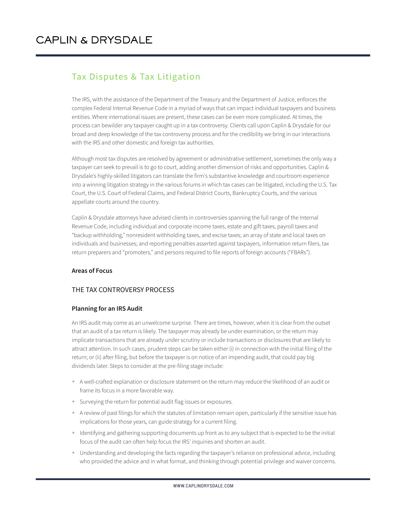### Tax Disputes & Tax Litigation

The IRS, with the assistance of the Department of the Treasury and the Department of Justice, enforces the complex Federal Internal Revenue Code in a myriad of ways that can impact individual taxpayers and business entities. Where international issues are present, these cases can be even more complicated. At times, the process can bewilder any taxpayer caught up in a tax controversy. Clients call upon Caplin & Drysdale for our broad and deep knowledge of the tax controversy process and for the credibility we bring in our interactions with the IRS and other domestic and foreign tax authorities.

Although most tax disputes are resolved by agreement or administrative settlement, sometimes the only way a taxpayer can seek to prevail is to go to court, adding another dimension of risks and opportunities. Caplin & Drysdale's highly-skilled litigators can translate the firm's substantive knowledge and courtroom experience into a winning litigation strategy in the various forums in which tax cases can be litigated, including the U.S. Tax Court, the U.S. Court of Federal Claims, and Federal District Courts, Bankruptcy Courts, and the various appellate courts around the country.

Caplin & Drysdale attorneys have advised clients in controversies spanning the full range of the Internal Revenue Code, including individual and corporate income taxes, estate and gift taxes, payroll taxes and "backup withholding," nonresident withholding taxes, and excise taxes; an array of state and local taxes on individuals and businesses; and reporting penalties asserted against taxpayers, information return filers, tax return preparers and "promoters," and persons required to file reports of foreign accounts ("FBARs").

### **Areas of Focus**

### THE TAX CONTROVERSY PROCESS

### **Planning for an IRS Audit**

An IRS audit may come as an unwelcome surprise. There are times, however, when it is clear from the outset that an audit of a tax return is likely. The taxpayer may already be under examination, or the return may implicate transactions that are already under scrutiny or include transactions or disclosures that are likely to attract attention. In such cases, prudent steps can be taken either (i) in connection with the initial filing of the return; or (ii) after filing, but before the taxpayer is on notice of an impending audit, that could pay big dividends later. Steps to consider at the pre-filing stage include:

- A well-crafted explanation or disclosure statement on the return may reduce the likelihood of an audit or frame its focus in a more favorable way.
- Surveying the return for potential audit flag issues or exposures.
- A review of past filings for which the statutes of limitation remain open, particularly if the sensitive issue has implications for those years, can guide strategy for a current filing.
- Identifying and gathering supporting documents up front as to any subject that is expected to be the initial focus of the audit can often help focus the IRS' inquiries and shorten an audit.
- Understanding and developing the facts regarding the taxpayer's reliance on professional advice, including who provided the advice and in what format, and thinking through potential privilege and waiver concerns.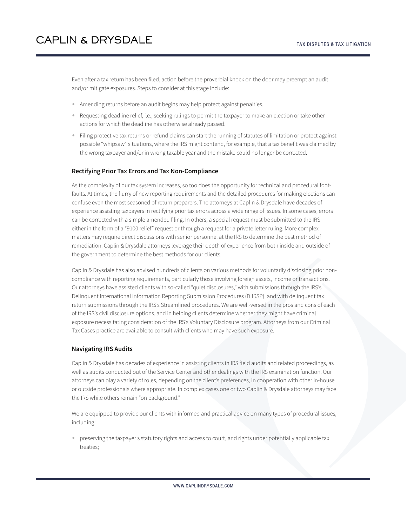Even after a tax return has been filed, action before the proverbial knock on the door may preempt an audit and/or mitigate exposures. Steps to consider at this stage include:

- Amending returns before an audit begins may help protect against penalties.
- Requesting deadline relief, i.e., seeking rulings to permit the taxpayer to make an election or take other actions for which the deadline has otherwise already passed.
- Filing protective tax returns or refund claims can start the running of statutes of limitation or protect against possible "whipsaw" situations, where the IRS might contend, for example, that a tax benefit was claimed by the wrong taxpayer and/or in wrong taxable year and the mistake could no longer be corrected.

#### **Rectifying Prior Tax Errors and Tax Non-Compliance**

As the complexity of our tax system increases, so too does the opportunity for technical and procedural footfaults. At times, the flurry of new reporting requirements and the detailed procedures for making elections can confuse even the most seasoned of return preparers. The attorneys at Caplin & Drysdale have decades of experience assisting taxpayers in rectifying prior tax errors across a wide range of issues. In some cases, errors can be corrected with a simple amended filing. In others, a special request must be submitted to the IRS – either in the form of a "9100 relief" request or through a request for a private letter ruling. More complex matters may require direct discussions with senior personnel at the IRS to determine the best method of remediation. Caplin & Drysdale attorneys leverage their depth of experience from both inside and outside of the government to determine the best methods for our clients.

Caplin & Drysdale has also advised hundreds of clients on various methods for voluntarily disclosing prior noncompliance with reporting requirements, particularly those involving foreign assets, income or transactions. Our attorneys have assisted clients with so-called "quiet disclosures," with submissions through the IRS's Delinquent International Information Reporting Submission Procedures (DIIRSP), and with delinquent tax return submissions through the IRS's Streamlined procedures. We are well-versed in the pros and cons of each of the IRS's civil disclosure options, and in helping clients determine whether they might have criminal exposure necessitating consideration of the IRS's Voluntary Disclosure program. Attorneys from our Criminal Tax Cases practice are available to consult with clients who may have such exposure.

#### **Navigating IRS Audits**

Caplin & Drysdale has decades of experience in assisting clients in IRS field audits and related proceedings, as well as audits conducted out of the Service Center and other dealings with the IRS examination function. Our attorneys can play a variety of roles, depending on the client's preferences, in cooperation with other in-house or outside professionals where appropriate. In complex cases one or two Caplin & Drysdale attorneys may face the IRS while others remain "on background."

We are equipped to provide our clients with informed and practical advice on many types of procedural issues, including:

● preserving the taxpayer's statutory rights and access to court, and rights under potentially applicable tax treaties;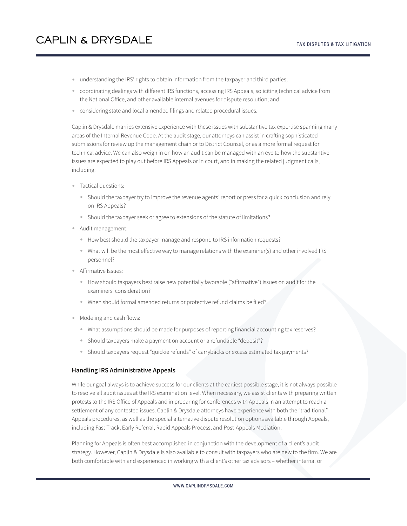- understanding the IRS' rights to obtain information from the taxpayer and third parties;
- coordinating dealings with different IRS functions, accessing IRS Appeals, soliciting technical advice from the National Office, and other available internal avenues for dispute resolution; and
- considering state and local amended filings and related procedural issues.

Caplin & Drysdale marries extensive experience with these issues with substantive tax expertise spanning many areas of the Internal Revenue Code. At the audit stage, our attorneys can assist in crafting sophisticated submissions for review up the management chain or to District Counsel, or as a more formal request for technical advice. We can also weigh in on how an audit can be managed with an eye to how the substantive issues are expected to play out before IRS Appeals or in court, and in making the related judgment calls, including:

- Tactical questions:
	- Should the taxpayer try to improve the revenue agents' report or press for a quick conclusion and rely on IRS Appeals?
	- Should the taxpayer seek or agree to extensions of the statute of limitations?
- Audit management:
	- How best should the taxpayer manage and respond to IRS information requests?
	- What will be the most effective way to manage relations with the examiner(s) and other involved IRS personnel?
- Affirmative Issues:
	- How should taxpayers best raise new potentially favorable ("affirmative") issues on audit for the examiners' consideration?
	- When should formal amended returns or protective refund claims be filed?
- Modeling and cash flows:
	- What assumptions should be made for purposes of reporting financial accounting tax reserves?
	- Should taxpayers make a payment on account or a refundable "deposit"?
	- Should taxpayers request "quickie refunds" of carrybacks or excess estimated tax payments?

#### **Handling IRS Administrative Appeals**

While our goal always is to achieve success for our clients at the earliest possible stage, it is not always possible to resolve all audit issues at the IRS examination level. When necessary, we assist clients with preparing written protests to the IRS Office of Appeals and in preparing for conferences with Appeals in an attempt to reach a settlement of any contested issues. Caplin & Drysdale attorneys have experience with both the "traditional" Appeals procedures, as well as the special alternative dispute resolution options available through Appeals, including Fast Track, Early Referral, Rapid Appeals Process, and Post-Appeals Mediation.

Planning for Appeals is often best accomplished in conjunction with the development of a client's audit strategy. However, Caplin & Drysdale is also available to consult with taxpayers who are new to the firm. We are both comfortable with and experienced in working with a client's other tax advisors – whether internal or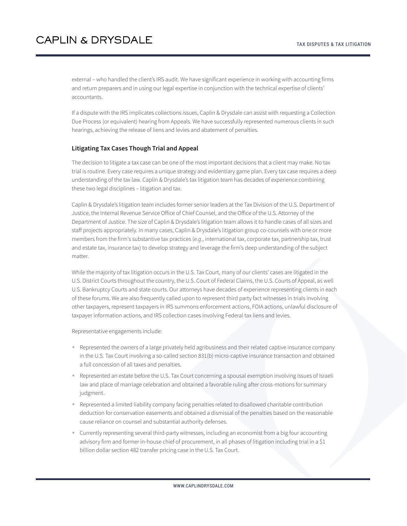external – who handled the client's IRS audit. We have significant experience in working with accounting firms and return preparers and in using our legal expertise in conjunction with the technical expertise of clients' accountants.

If a dispute with the IRS implicates collections issues, Caplin & Drysdale can assist with requesting a Collection Due Process (or equivalent) hearing from Appeals. We have successfully represented numerous clients in such hearings, achieving the release of liens and levies and abatement of penalties.

#### **Litigating Tax Cases Though Trial and Appeal**

The decision to litigate a tax case can be one of the most important decisions that a client may make. No tax trial is routine. Every case requires a unique strategy and evidentiary game plan. Every tax case requires a deep understanding of the tax law. Caplin & Drysdale's tax litigation team has decades of experience combining these two legal disciplines – litigation and tax.

Caplin & Drysdale's litigation team includes former senior leaders at the Tax Division of the U.S. Department of Justice, the Internal Revenue Service Office of Chief Counsel, and the Office of the U.S. Attorney of the Department of Justice. The size of Caplin & Drysdale's litigation team allows it to handle cases of all sizes and staff projects appropriately. In many cases, Caplin & Drysdale's litigation group co-counsels with one or more members from the firm's substantive tax practices (*e.g*., international tax, corporate tax, partnership tax, trust and estate tax, insurance tax) to develop strategy and leverage the firm's deep understanding of the subject matter.

While the majority of tax litigation occurs in the U.S. Tax Court, many of our clients' cases are litigated in the U.S. District Courts throughout the country, the U.S. Court of Federal Claims, the U.S. Courts of Appeal, as well U.S. Bankruptcy Courts and state courts. Our attorneys have decades of experience representing clients in each of these forums. We are also frequently called upon to represent third party fact witnesses in trials involving other taxpayers, represent taxpayers in IRS summons enforcement actions, FOIA actions, unlawful disclosure of taxpayer information actions, and IRS collection cases involving Federal tax liens and levies.

Representative engagements include:

- Represented the owners of a large privately held agribusiness and their related captive insurance company in the U.S. Tax Court involving a so-called section 831(b) micro-captive insurance transaction and obtained a full concession of all taxes and penalties.
- Represented an estate before the U.S. Tax Court concerning a spousal exemption involving issues of Israeli law and place of marriage celebration and obtained a favorable ruling after cross-motions for summary judgment.
- Represented a limited liability company facing penalties related to disallowed charitable contribution deduction for conservation easements and obtained a dismissal of the penalties based on the reasonable cause reliance on counsel and substantial authority defenses.
- Currently representing several third-party witnesses, including an economist from a big four accounting advisory firm and former in-house chief of procurement, in all phases of litigation including trial in a \$1 billion dollar section 482 transfer pricing case in the U.S. Tax Court.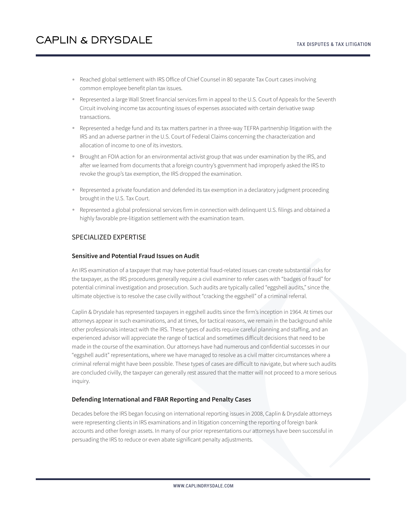- Reached global settlement with IRS Office of Chief Counsel in 80 separate Tax Court cases involving common employee benefit plan tax issues.
- Represented a large Wall Street financial services firm in appeal to the U.S. Court of Appeals for the Seventh Circuit involving income tax accounting issues of expenses associated with certain derivative swap transactions.
- Represented a hedge fund and its tax matters partner in a three-way TEFRA partnership litigation with the IRS and an adverse partner in the U.S. Court of Federal Claims concerning the characterization and allocation of income to one of its investors.
- Brought an FOIA action for an environmental activist group that was under examination by the IRS, and after we learned from documents that a foreign country's government had improperly asked the IRS to revoke the group's tax exemption, the IRS dropped the examination.
- Represented a private foundation and defended its tax exemption in a declaratory judgment proceeding brought in the U.S. Tax Court.
- Represented a global professional services firm in connection with delinquent U.S. filings and obtained a highly favorable pre-litigation settlement with the examination team.

### SPECIALIZED EXPERTISE

#### **Sensitive and Potential Fraud Issues on Audit**

An IRS examination of a taxpayer that may have potential fraud-related issues can create substantial risks for the taxpayer, as the IRS procedures generally require a civil examiner to refer cases with "badges of fraud" for potential criminal investigation and prosecution. Such audits are typically called "eggshell audits," since the ultimate objective is to resolve the case civilly without "cracking the eggshell" of a criminal referral.

Caplin & Drysdale has represented taxpayers in eggshell audits since the firm's inception in 1964. At times our attorneys appear in such examinations, and at times, for tactical reasons, we remain in the background while other professionals interact with the IRS. These types of audits require careful planning and staffing, and an experienced advisor will appreciate the range of tactical and sometimes difficult decisions that need to be made in the course of the examination. Our attorneys have had numerous and confidential successes in our "eggshell audit" representations, where we have managed to resolve as a civil matter circumstances where a criminal referral might have been possible. These types of cases are difficult to navigate, but where such audits are concluded civilly, the taxpayer can generally rest assured that the matter will not proceed to a more serious inquiry.

#### **Defending International and FBAR Reporting and Penalty Cases**

Decades before the IRS began focusing on international reporting issues in 2008, Caplin & Drysdale attorneys were representing clients in IRS examinations and in litigation concerning the reporting of foreign bank accounts and other foreign assets. In many of our prior representations our attorneys have been successful in persuading the IRS to reduce or even abate significant penalty adjustments.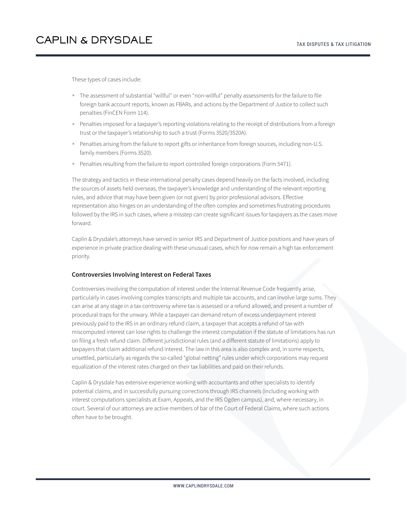These types of cases include:

- The assessment of substantial "willful" or even "non-willful" penalty assessments for the failure to file foreign bank account reports, known as FBARs, and actions by the Department of Justice to collect such penalties (FinCEN Form 114).
- Penalties imposed for a taxpayer's reporting violations relating to the receipt of distributions from a foreign trust or the taxpayer's relationship to such a trust (Forms 3520/3520A).
- Penalties arising from the failure to report gifts or inheritance from foreign sources, including non-U.S. family members (Forms 3520).
- Penalties resulting from the failure to report controlled foreign corporations (Form 5471).

The strategy and tactics in these international penalty cases depend heavily on the facts involved, including the sources of assets held overseas, the taxpayer's knowledge and understanding of the relevant reporting rules, and advice that may have been given (or not given) by prior professional advisors. Effective representation also hinges on an understanding of the often complex and sometimes frustrating procedures followed by the IRS in such cases, where a misstep can create significant issues for taxpayers as the cases move forward.

Caplin & Drysdale's attorneys have served in senior IRS and Department of Justice positions and have years of experience in private practice dealing with these unusual cases, which for now remain a high tax enforcement priority.

#### **Controversies Involving Interest on Federal Taxes**

Controversies involving the computation of interest under the Internal Revenue Code frequently arise, particularly in cases involving complex transcripts and multiple tax accounts, and can involve large sums. They can arise at any stage in a tax controversy where tax is assessed or a refund allowed, and present a number of procedural traps for the unwary. While a taxpayer can demand return of excess underpayment interest previously paid to the IRS in an ordinary refund claim, a taxpayer that accepts a refund of tax with miscomputed interest can lose rights to challenge the interest computation if the statute of limitations has run on filing a fresh refund claim. Different jurisdictional rules (and a different statute of limitations) apply to taxpayers that claim additional refund interest. The law in this area is also complex and, in some respects, unsettled, particularly as regards the so-called "global netting" rules under which corporations may request equalization of the interest rates charged on their tax liabilities and paid on their refunds.

Caplin & Drysdale has extensive experience working with accountants and other specialists to identify potential claims, and in successfully pursuing corrections through IRS channels (including working with interest computations specialists at Exam, Appeals, and the IRS Ogden campus), and, where necessary, in court. Several of our attorneys are active members of bar of the Court of Federal Claims, where such actions often have to be brought.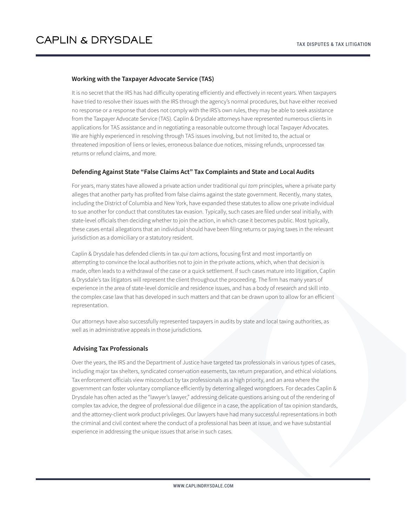### **Working with the Taxpayer Advocate Service (TAS)**

It is no secret that the IRS has had difficulty operating efficiently and effectively in recent years. When taxpayers have tried to resolve their issues with the IRS through the agency's normal procedures, but have either received no response or a response that does not comply with the IRS's own rules, they may be able to seek assistance from the Taxpayer Advocate Service (TAS). Caplin & Drysdale attorneys have represented numerous clients in applications for TAS assistance and in negotiating a reasonable outcome through local Taxpayer Advocates. We are highly experienced in resolving through TAS issues involving, but not limited to, the actual or threatened imposition of liens or levies, erroneous balance due notices, missing refunds, unprocessed tax returns or refund claims, and more.

### **Defending Against State "False Claims Act" Tax Complaints and State and Local Audits**

For years, many states have allowed a private action under traditional *qui tam* principles, where a private party alleges that another party has profited from false claims against the state government. Recently, many states, including the District of Columbia and New York, have expanded these statutes to allow one private individual to sue another for conduct that constitutes tax evasion. Typically, such cases are filed under seal initially, with state-level officials then deciding whether to join the action, in which case it becomes public. Most typically, these cases entail allegations that an individual should have been filing returns or paying taxes in the relevant jurisdiction as a domiciliary or a statutory resident.

Caplin & Drysdale has defended clients in tax *qui tam* actions, focusing first and most importantly on attempting to convince the local authorities not to join in the private actions, which, when that decision is made, often leads to a withdrawal of the case or a quick settlement. If such cases mature into litigation, Caplin & Drysdale's tax litigators will represent the client throughout the proceeding. The firm has many years of experience in the area of state-level domicile and residence issues, and has a body of research and skill into the complex case law that has developed in such matters and that can be drawn upon to allow for an efficient representation.

Our attorneys have also successfully represented taxpayers in audits by state and local taxing authorities, as well as in administrative appeals in those jurisdictions.

#### **Advising Tax Professionals**

Over the years, the IRS and the Department of Justice have targeted tax professionals in various types of cases, including major tax shelters, syndicated conservation easements, tax return preparation, and ethical violations. Tax enforcement officials view misconduct by tax professionals as a high priority, and an area where the government can foster voluntary compliance efficiently by deterring alleged wrongdoers. For decades Caplin & Drysdale has often acted as the "lawyer's lawyer," addressing delicate questions arising out of the rendering of complex tax advice, the degree of professional due diligence in a case, the application of tax opinion standards, and the attorney-client work product privileges. Our lawyers have had many successful representations in both the criminal and civil context where the conduct of a professional has been at issue, and we have substantial experience in addressing the unique issues that arise in such cases.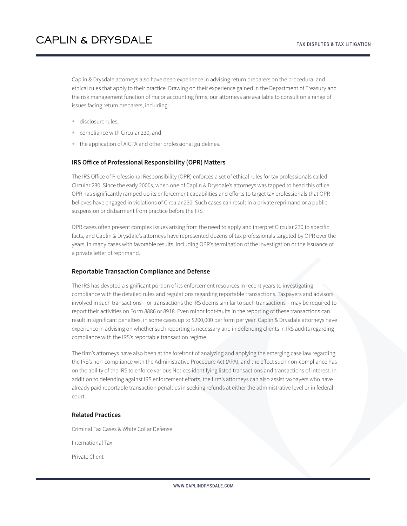Caplin & Drysdale attorneys also have deep experience in advising return preparers on the procedural and ethical rules that apply to their practice. Drawing on their experience gained in the Department of Treasury and the risk management function of major accounting firms, our attorneys are available to consult on a range of issues facing return preparers, including:

- **•** disclosure rules;
- compliance with Circular 230; and
- the application of AICPA and other professional guidelines.

#### **IRS Office of Professional Responsibility (OPR) Matters**

The IRS Office of Professional Responsibility (OPR) enforces a set of ethical rules for tax professionals called Circular 230. Since the early 2000s, when one of Caplin & Drysdale's attorneys was tapped to head this office, OPR has significantly ramped up its enforcement capabilities and efforts to target tax professionals that OPR believes have engaged in violations of Circular 230. Such cases can result in a private reprimand or a public suspension or disbarment from practice before the IRS.

OPR cases often present complex issues arising from the need to apply and interpret Circular 230 to specific facts, and Caplin & Drysdale's attorneys have represented dozens of tax professionals targeted by OPR over the years, in many cases with favorable results, including OPR's termination of the investigation or the issuance of a private letter of reprimand.

#### **Reportable Transaction Compliance and Defense**

The IRS has devoted a significant portion of its enforcement resources in recent years to investigating compliance with the detailed rules and regulations regarding reportable transactions. Taxpayers and advisors involved in such transactions – or transactions the IRS deems similar to such transactions – may be required to report their activities on Form 8886 or 8918. Even minor foot-faults in the reporting of these transactions can result in significant penalties, in some cases up to \$200,000 per form per year. Caplin & Drysdale attorneys have experience in advising on whether such reporting is necessary and in defending clients in IRS audits regarding compliance with the IRS's reportable transaction regime.

The firm's attorneys have also been at the forefront of analyzing and applying the emerging case law regarding the IRS's non-compliance with the Administrative Procedure Act (APA), and the effect such non-compliance has on the ability of the IRS to enforce various Notices identifying listed transactions and transactions of interest. In addition to defending against IRS enforcement efforts, the firm's attorneys can also assist taxpayers who have already paid reportable transaction penalties in seeking refunds at either the administrative level or in federal court.

### **Related Practices**

Criminal Tax Cases & White Collar Defense

International Tax

Private Client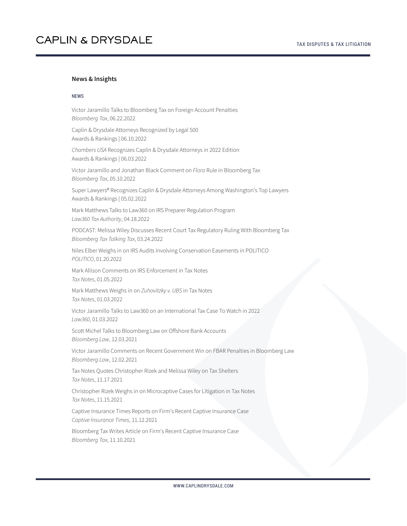#### **News & Insights**

#### NEWS

Victor Jaramillo Talks to Bloomberg Tax on Foreign Account Penalties *Bloomberg Tax*, 06.22.2022

Caplin & Drysdale Attorneys Recognized by Legal 500 Awards & Rankings | 06.10.2022

*Chambers USA* Recognizes Caplin & Drysdale Attorneys in 2022 Edition Awards & Rankings | 06.03.2022

Victor Jaramillo and Jonathan Black Comment on *Flora* Rule in Bloomberg Tax *Bloomberg Tax*, 05.10.2022

Super Lawyers® Recognizes Caplin & Drysdale Attorneys Among Washington's Top Lawyers Awards & Rankings | 05.02.2022

Mark Matthews Talks to Law360 on IRS Preparer Regulation Program *Law360 Tax Authority*, 04.18.2022

PODCAST: Melissa Wiley Discusses Recent Court Tax Regulatory Ruling With Bloomberg Tax *Bloomberg Tax Talking Tax*, 03.24.2022

Niles Elber Weighs in on IRS Audits Involving Conservation Easements in POLITICO *POLITICO*, 01.20.2022

Mark Allison Comments on IRS Enforcement in Tax Notes *Tax Notes*, 01.05.2022

Mark Matthews Weighs in on *Zuhovitzky v. UBS* in Tax Notes *Tax Notes*, 01.03.2022

Victor Jaramillo Talks to Law360 on an International Tax Case To Watch in 2022 *Law360*, 01.03.2022

Scott Michel Talks to Bloomberg Law on Offshore Bank Accounts *Bloomberg Law*, 12.03.2021

Victor Jaramillo Comments on Recent Government Win on FBAR Penalties in Bloomberg Law *Bloomberg Law*, 12.02.2021

Tax Notes Quotes Christopher Rizek and Melissa Wiley on Tax Shelters *Tax Notes*, 11.17.2021

Christopher Rizek Weighs in on Microcaptive Cases for Litigation in Tax Notes *Tax Notes*, 11.15.2021

Captive Insurance Times Reports on Firm's Recent Captive Insurance Case *Captive Insurance Times*, 11.12.2021

Bloomberg Tax Writes Article on Firm's Recent Captive Insurance Case *Bloomberg Tax*, 11.10.2021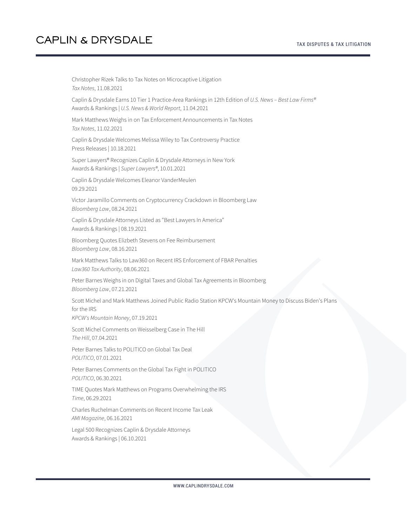Christopher Rizek Talks to Tax Notes on Microcaptive Litigation *Tax Notes*, 11.08.2021 Caplin & Drysdale Earns 10 Tier 1 Practice-Area Rankings in 12th Edition of *U.S. News – Best Law Firms®* Awards & Rankings | *U.S. News & World Report*, 11.04.2021 Mark Matthews Weighs in on Tax Enforcement Announcements in Tax Notes *Tax Notes*, 11.02.2021 Caplin & Drysdale Welcomes Melissa Wiley to Tax Controversy Practice Press Releases | 10.18.2021 Super Lawyers® Recognizes Caplin & Drysdale Attorneys in New York Awards & Rankings | *Super Lawyers®*, 10.01.2021 Caplin & Drysdale Welcomes Eleanor VanderMeulen 09.29.2021 Victor Jaramillo Comments on Cryptocurrency Crackdown in Bloomberg Law *Bloomberg Law*, 08.24.2021 Caplin & Drysdale Attorneys Listed as "Best Lawyers In America" Awards & Rankings | 08.19.2021 Bloomberg Quotes Elizbeth Stevens on Fee Reimbursement *Bloomberg Law*, 08.16.2021 Mark Matthews Talks to Law360 on Recent IRS Enforcement of FBAR Penalties *Law360 Tax Authority*, 08.06.2021 Peter Barnes Weighs in on Digital Taxes and Global Tax Agreements in Bloomberg *Bloomberg Law*, 07.21.2021 Scott Michel and Mark Matthews Joined Public Radio Station KPCW's Mountain Money to Discuss Biden's Plans for the IRS *KPCW's Mountain Money*, 07.19.2021 Scott Michel Comments on Weisselberg Case in The Hill *The Hill*, 07.04.2021 Peter Barnes Talks to POLITICO on Global Tax Deal *POLITICO*, 07.01.2021 Peter Barnes Comments on the Global Tax Fight in POLITICO *POLITICO*, 06.30.2021 TIME Quotes Mark Matthews on Programs Overwhelming the IRS *Time*, 06.29.2021 Charles Ruchelman Comments on Recent Income Tax Leak *AMI Magazine*, 06.16.2021 Legal 500 Recognizes Caplin & Drysdale Attorneys Awards & Rankings | 06.10.2021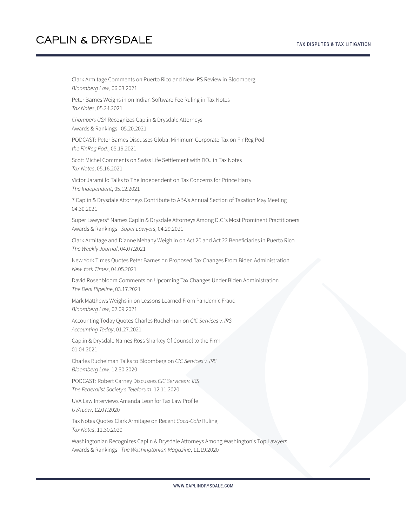Clark Armitage Comments on Puerto Rico and New IRS Review in Bloomberg *Bloomberg Law*, 06.03.2021 Peter Barnes Weighs in on Indian Software Fee Ruling in Tax Notes *Tax Notes*, 05.24.2021 *Chambers USA* Recognizes Caplin & Drysdale Attorneys Awards & Rankings | 05.20.2021 PODCAST: Peter Barnes Discusses Global Minimum Corporate Tax on FinReg Pod *the FinReg Pod.*, 05.19.2021 Scott Michel Comments on Swiss Life Settlement with DOJ in Tax Notes *Tax Notes*, 05.16.2021 Victor Jaramillo Talks to The Independent on Tax Concerns for Prince Harry *The Independent*, 05.12.2021 7 Caplin & Drysdale Attorneys Contribute to ABA's Annual Section of Taxation May Meeting 04.30.2021 Super Lawyers® Names Caplin & Drysdale Attorneys Among D.C.'s Most Prominent Practitioners Awards & Rankings | *Super Lawyers*, 04.29.2021 Clark Armitage and Dianne Mehany Weigh in on Act 20 and Act 22 Beneficiaries in Puerto Rico *The Weekly Journal*, 04.07.2021 New York Times Quotes Peter Barnes on Proposed Tax Changes From Biden Administration *New York Times*, 04.05.2021 David Rosenbloom Comments on Upcoming Tax Changes Under Biden Administration *The Deal Pipeline*, 03.17.2021 Mark Matthews Weighs in on Lessons Learned From Pandemic Fraud *Bloomberg Law*, 02.09.2021 Accounting Today Quotes Charles Ruchelman on *CIC Services v. IRS Accounting Today*, 01.27.2021 Caplin & Drysdale Names Ross Sharkey Of Counsel to the Firm 01.04.2021 Charles Ruchelman Talks to Bloomberg on *CIC Services v. IRS Bloomberg Law*, 12.30.2020 PODCAST: Robert Carney Discusses *CIC Services v. IRS The Federalist Society's Teleforum*, 12.11.2020 UVA Law Interviews Amanda Leon for Tax Law Profile *UVA Law*, 12.07.2020 Tax Notes Quotes Clark Armitage on Recent *Coca-Cola* Ruling *Tax Notes*, 11.30.2020 Washingtonian Recognizes Caplin & Drysdale Attorneys Among Washington's Top Lawyers Awards & Rankings | *The Washingtonian Magazine*, 11.19.2020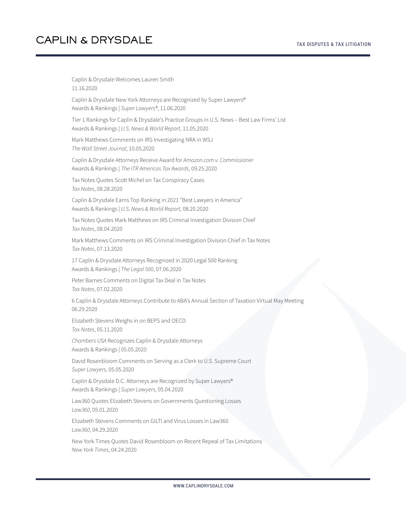Caplin & Drysdale Welcomes Lauren Smith 11.16.2020 Caplin & Drysdale New York Attorneys are Recognized by Super Lawyers® Awards & Rankings | *Super Lawyers®*, 11.06.2020 Tier 1 Rankings for Caplin & Drysdale's Practice Groups in U.S. News – Best Law Firms' List Awards & Rankings | *U.S. News & World Report*, 11.05.2020 Mark Matthews Comments on IRS Investigating NRA in WSJ *The Wall Street Journal*, 10.05.2020 Caplin & Drysdale Attorneys Receive Award for *Amazon.com v. Commissioner* Awards & Rankings | *The ITR Americas Tax Awards*, 09.25.2020 Tax Notes Quotes Scott Michel on Tax Conspiracy Cases *Tax Notes*, 08.28.2020 Caplin & Drysdale Earns Top Ranking in 2021 "Best Lawyers in America" Awards & Rankings | *U.S. News & World Report*, 08.20.2020 Tax Notes Quotes Mark Matthews on IRS Criminal Investigation Division Chief *Tax Notes*, 08.04.2020 Mark Matthews Comments on IRS Criminal Investigation Division Chief in Tax Notes *Tax Notes*, 07.13.2020 17 Caplin & Drysdale Attorneys Recognized in 2020 Legal 500 Ranking Awards & Rankings | *The Legal 500*, 07.06.2020 Peter Barnes Comments on Digital Tax Deal in Tax Notes *Tax Notes*, 07.02.2020 6 Caplin & Drysdale Attorneys Contribute to ABA's Annual Section of Taxation Virtual May Meeting 06.29.2020 Elizabeth Stevens Weighs in on BEPS and OECD *Tax Notes*, 05.11.2020 *Chambers USA* Recognizes Caplin & Drysdale Attorneys Awards & Rankings | 05.05.2020 David Rosenbloom Comments on Serving as a Clerk to U.S. Supreme Court *Super Lawyers*, 05.05.2020 Caplin & Drysdale D.C. Attorneys are Recognized by Super Lawyers® Awards & Rankings | *Super Lawyers*, 05.04.2020 Law360 Quotes Elizabeth Stevens on Governments Questioning Losses *Law360*, 05.01.2020 Elizabeth Stevens Comments on GILTI and Virus Losses in Law360 *Law360*, 04.29.2020

New York Times Quotes David Rosenbloom on Recent Repeal of Tax Limitations *New York Times*, 04.24.2020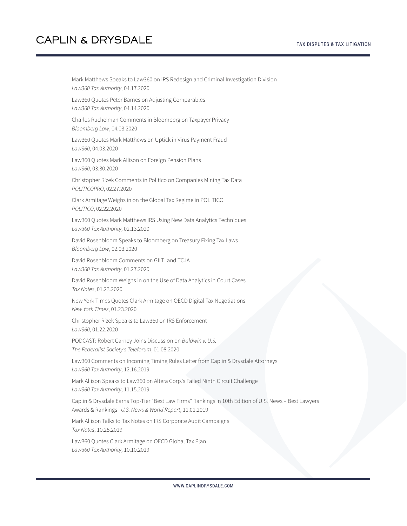Mark Matthews Speaks to Law360 on IRS Redesign and Criminal Investigation Division *Law360 Tax Authority*, 04.17.2020

Law360 Quotes Peter Barnes on Adjusting Comparables *Law360 Tax Authority*, 04.14.2020

Charles Ruchelman Comments in Bloomberg on Taxpayer Privacy *Bloomberg Law*, 04.03.2020

Law360 Quotes Mark Matthews on Uptick in Virus Payment Fraud *Law360*, 04.03.2020

Law360 Quotes Mark Allison on Foreign Pension Plans *Law360*, 03.30.2020

Christopher Rizek Comments in Politico on Companies Mining Tax Data *POLITICOPRO*, 02.27.2020

Clark Armitage Weighs in on the Global Tax Regime in POLITICO *POLITICO*, 02.22.2020

Law360 Quotes Mark Matthews IRS Using New Data Analytics Techniques *Law360 Tax Authority*, 02.13.2020

David Rosenbloom Speaks to Bloomberg on Treasury Fixing Tax Laws *Bloomberg Law*, 02.03.2020

David Rosenbloom Comments on GILTI and TCJA *Law360 Tax Authority*, 01.27.2020

David Rosenbloom Weighs in on the Use of Data Analytics in Court Cases *Tax Notes*, 01.23.2020

New York Times Quotes Clark Armitage on OECD Digital Tax Negotiations *New York Times*, 01.23.2020

Christopher Rizek Speaks to Law360 on IRS Enforcement *Law360*, 01.22.2020

PODCAST: Robert Carney Joins Discussion on *Baldwin v. U.S. The Federalist Society's Teleforum*, 01.08.2020

Law360 Comments on Incoming Timing Rules Letter from Caplin & Drysdale Attorneys *Law360 Tax Authority*, 12.16.2019

Mark Allison Speaks to Law360 on Altera Corp.'s Failed Ninth Circuit Challenge *Law360 Tax Authority*, 11.15.2019

Caplin & Drysdale Earns Top-Tier "Best Law Firms" Rankings in 10th Edition of U.S. News – Best Lawyers Awards & Rankings | *U.S. News & World Report*, 11.01.2019

Mark Allison Talks to Tax Notes on IRS Corporate Audit Campaigns *Tax Notes*, 10.25.2019

Law360 Quotes Clark Armitage on OECD Global Tax Plan *Law360 Tax Authority*, 10.10.2019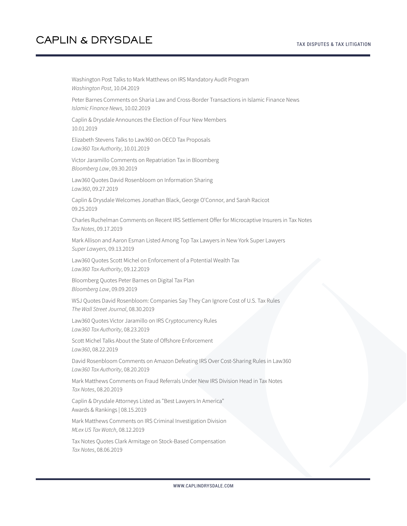Washington Post Talks to Mark Matthews on IRS Mandatory Audit Program *Washington Post*, 10.04.2019 Peter Barnes Comments on Sharia Law and Cross-Border Transactions in Islamic Finance News *Islamic Finance News*, 10.02.2019 Caplin & Drysdale Announces the Election of Four New Members 10.01.2019 Elizabeth Stevens Talks to Law360 on OECD Tax Proposals *Law360 Tax Authority*, 10.01.2019 Victor Jaramillo Comments on Repatriation Tax in Bloomberg *Bloomberg Law*, 09.30.2019 Law360 Quotes David Rosenbloom on Information Sharing *Law360*, 09.27.2019 Caplin & Drysdale Welcomes Jonathan Black, George O'Connor, and Sarah Racicot 09.25.2019 Charles Ruchelman Comments on Recent IRS Settlement Offer for Microcaptive Insurers in Tax Notes *Tax Notes*, 09.17.2019 Mark Allison and Aaron Esman Listed Among Top Tax Lawyers in New York Super Lawyers *Super Lawyers*, 09.13.2019 Law360 Quotes Scott Michel on Enforcement of a Potential Wealth Tax *Law360 Tax Authority*, 09.12.2019 Bloomberg Quotes Peter Barnes on Digital Tax Plan *Bloomberg Law*, 09.09.2019 WSJ Quotes David Rosenbloom: Companies Say They Can Ignore Cost of U.S. Tax Rules *The Wall Street Journal*, 08.30.2019 Law360 Quotes Victor Jaramillo on IRS Cryptocurrency Rules *Law360 Tax Authority*, 08.23.2019 Scott Michel Talks About the State of Offshore Enforcement *Law360*, 08.22.2019 David Rosenbloom Comments on Amazon Defeating IRS Over Cost-Sharing Rules in Law360 *Law360 Tax Authority*, 08.20.2019 Mark Matthews Comments on Fraud Referrals Under New IRS Division Head in Tax Notes *Tax Notes*, 08.20.2019 Caplin & Drysdale Attorneys Listed as "Best Lawyers In America" Awards & Rankings | 08.15.2019 Mark Matthews Comments on IRS Criminal Investigation Division *MLex US Tax Watch*, 08.12.2019 Tax Notes Quotes Clark Armitage on Stock-Based Compensation *Tax Notes*, 08.06.2019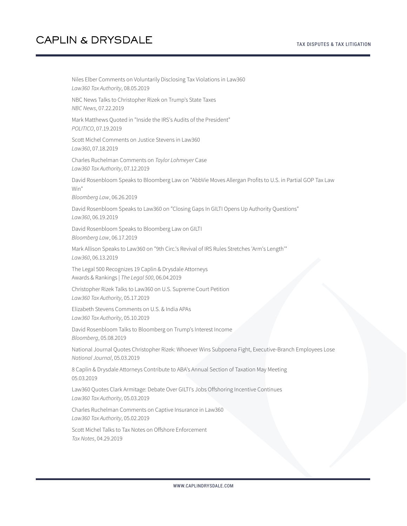Niles Elber Comments on Voluntarily Disclosing Tax Violations in Law360 *Law360 Tax Authority*, 08.05.2019 NBC News Talks to Christopher Rizek on Trump's State Taxes *NBC News*, 07.22.2019 Mark Matthews Quoted in "Inside the IRS's Audits of the President" *POLITICO*, 07.19.2019 Scott Michel Comments on Justice Stevens in Law360 *Law360*, 07.18.2019 Charles Ruchelman Comments on *Taylor Lohmeyer* Case *Law360 Tax Authority*, 07.12.2019 David Rosenbloom Speaks to Bloomberg Law on "AbbVie Moves Allergan Profits to U.S. in Partial GOP Tax Law Win" *Bloomberg Law*, 06.26.2019 David Rosenbloom Speaks to Law360 on "Closing Gaps In GILTI Opens Up Authority Questions" *Law360*, 06.19.2019 David Rosenbloom Speaks to Bloomberg Law on GILTI *Bloomberg Law*, 06.17.2019 Mark Allison Speaks to Law360 on "9th Circ.'s Revival of IRS Rules Stretches 'Arm's Length'" *Law360*, 06.13.2019 The Legal 500 Recognizes 19 Caplin & Drysdale Attorneys Awards & Rankings | *The Legal 500*, 06.04.2019 Christopher Rizek Talks to Law360 on U.S. Supreme Court Petition *Law360 Tax Authority*, 05.17.2019 Elizabeth Stevens Comments on U.S. & India APAs *Law360 Tax Authority*, 05.10.2019 David Rosenbloom Talks to Bloomberg on Trump's Interest Income *Bloomberg*, 05.08.2019 National Journal Quotes Christopher Rizek: Whoever Wins Subpoena Fight, Executive-Branch Employees Lose *National Journal*, 05.03.2019 8 Caplin & Drysdale Attorneys Contribute to ABA's Annual Section of Taxation May Meeting 05.03.2019 Law360 Quotes Clark Armitage: Debate Over GILTI's Jobs Offshoring Incentive Continues *Law360 Tax Authority*, 05.03.2019 Charles Ruchelman Comments on Captive Insurance in Law360 *Law360 Tax Authority*, 05.02.2019 Scott Michel Talks to Tax Notes on Offshore Enforcement *Tax Notes*, 04.29.2019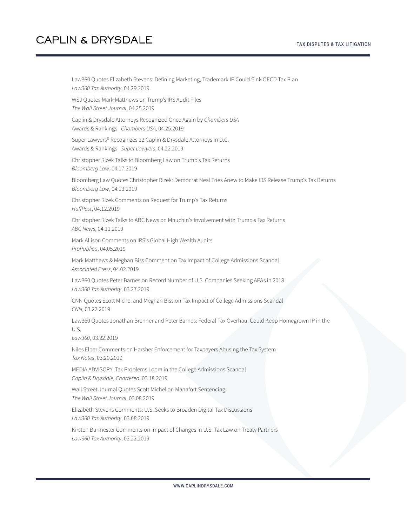#### TAX DISPUTES & TAX LITIGATION

## **CAPLIN & DRYSDALE**

Law360 Quotes Elizabeth Stevens: Defining Marketing, Trademark IP Could Sink OECD Tax Plan *Law360 Tax Authority*, 04.29.2019 WSJ Quotes Mark Matthews on Trump's IRS Audit Files *The Wall Street Journal*, 04.25.2019 Caplin & Drysdale Attorneys Recognized Once Again by *Chambers USA* Awards & Rankings | *Chambers USA*, 04.25.2019 Super Lawyers® Recognizes 22 Caplin & Drysdale Attorneys in D.C. Awards & Rankings | *Super Lawyers*, 04.22.2019 Christopher Rizek Talks to Bloomberg Law on Trump's Tax Returns *Bloomberg Law*, 04.17.2019 Bloomberg Law Quotes Christopher Rizek: Democrat Neal Tries Anew to Make IRS Release Trump's Tax Returns *Bloomberg Law*, 04.13.2019 Christopher Rizek Comments on Request for Trump's Tax Returns *HuffPost*, 04.12.2019 Christopher Rizek Talks to ABC News on Mnuchin's Involvement with Trump's Tax Returns *ABC News*, 04.11.2019 Mark Allison Comments on IRS's Global High Wealth Audits *ProPublica*, 04.05.2019 Mark Matthews & Meghan Biss Comment on Tax Impact of College Admissions Scandal *Associated Press*, 04.02.2019 Law360 Quotes Peter Barnes on Record Number of U.S. Companies Seeking APAs in 2018 *Law360 Tax Authority*, 03.27.2019 CNN Quotes Scott Michel and Meghan Biss on Tax Impact of College Admissions Scandal *CNN*, 03.22.2019 Law360 Quotes Jonathan Brenner and Peter Barnes: Federal Tax Overhaul Could Keep Homegrown IP in the U.S. *Law360*, 03.22.2019 Niles Elber Comments on Harsher Enforcement for Taxpayers Abusing the Tax System *Tax Notes*, 03.20.2019 MEDIA ADVISORY: Tax Problems Loom in the College Admissions Scandal *Caplin & Drysdale, Chartered*, 03.18.2019 Wall Street Journal Quotes Scott Michel on Manafort Sentencing *The Wall Street Journal*, 03.08.2019 Elizabeth Stevens Comments: U.S. Seeks to Broaden Digital Tax Discussions *Law360 Tax Authority*, 03.08.2019 Kirsten Burmester Comments on Impact of Changes in U.S. Tax Law on Treaty Partners *Law360 Tax Authority*, 02.22.2019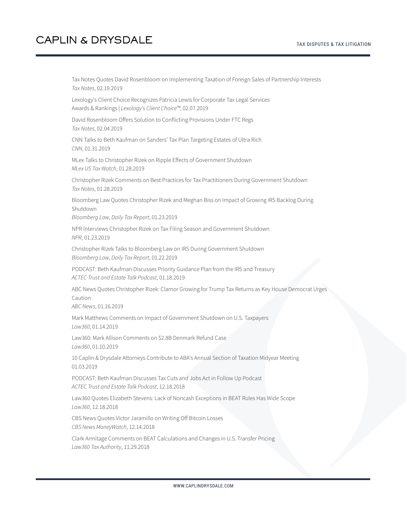Tax Notes Quotes David Rosenbloom on Implementing Taxation of Foreign Sales of Partnership Interests *Tax Notes*, 02.19.2019

Lexology's Client Choice Recognizes Patricia Lewis for Corporate Tax Legal Services Awards & Rankings | *Lexology's Client Choice™*, 02.07.2019

David Rosenbloom Offers Solution to Conflicting Provisions Under FTC Regs *Tax Notes*, 02.04.2019

CNN Talks to Beth Kaufman on Sanders' Tax Plan Targeting Estates of Ultra Rich *CNN*, 01.31.2019

MLex Talks to Christopher Rizek on Ripple Effects of Government Shutdown *MLex US Tax Watch*, 01.28.2019

Christopher Rizek Comments on Best Practices for Tax Practitioners During Government Shutdown *Tax Notes*, 01.28.2019

Bloomberg Law Quotes Christopher Rizek and Meghan Biss on Impact of Growing IRS Backlog During Shutdown

*Bloomberg Law, Daily Tax Report*, 01.23.2019

NPR Interviews Christopher Rizek on Tax Filing Season and Government Shutdown *NPR*, 01.23.2019

Christopher Rizek Talks to Bloomberg Law on IRS During Government Shutdown *Bloomberg Law, Daily Tax Report*, 01.22.2019

PODCAST: Beth Kaufman Discusses Priority Guidance Plan from the IRS and Treasury *ACTEC Trust and Estate Talk Podcast*, 01.18.2019

ABC News Quotes Christopher Rizek: Clamor Growing for Trump Tax Returns as Key House Democrat Urges Caution

*ABC News*, 01.16.2019

Mark Matthews Comments on Impact of Government Shutdown on U.S. Taxpayers *Law360*, 01.14.2019

Law360: Mark Allison Comments on \$2.8B Denmark Refund Case *Law360*, 01.10.2019

10 Caplin & Drysdale Attorneys Contribute to ABA's Annual Section of Taxation Midyear Meeting 01.03.2019

PODCAST: Beth Kaufman Discusses Tax Cuts and Jobs Act in Follow Up Podcast *ACTEC Trust and Estate Talk Podcast*, 12.18.2018

Law360 Quotes Elizabeth Stevens: Lack of Noncash Exceptions in BEAT Rules Has Wide Scope *Law360*, 12.18.2018

CBS News Quotes Victor Jaramillo on Writing Off Bitcoin Losses *CBS News MoneyWatch*, 12.14.2018

Clark Armitage Comments on BEAT Calculations and Changes in U.S. Transfer Pricing *Law360 Tax Authority*, 11.29.2018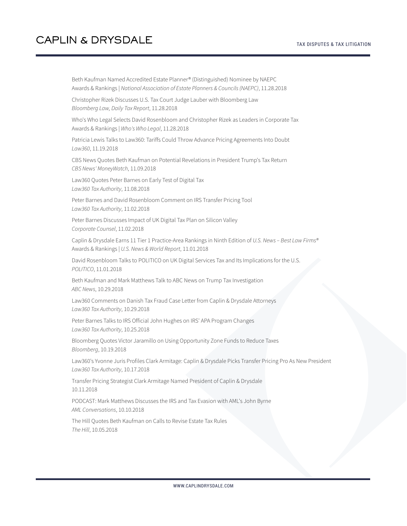Beth Kaufman Named Accredited Estate Planner® (Distinguished) Nominee by NAEPC Awards & Rankings | *National Association of Estate Planners & Councils (NAEPC)*, 11.28.2018

Christopher Rizek Discusses U.S. Tax Court Judge Lauber with Bloomberg Law *Bloomberg Law, Daily Tax Report*, 11.28.2018

Who's Who Legal Selects David Rosenbloom and Christopher Rizek as Leaders in Corporate Tax Awards & Rankings | *Who's Who Legal*, 11.28.2018

Patricia Lewis Talks to Law360: Tariffs Could Throw Advance Pricing Agreements Into Doubt *Law360*, 11.19.2018

CBS News Quotes Beth Kaufman on Potential Revelations in President Trump's Tax Return *CBS News' MoneyWatch*, 11.09.2018

Law360 Quotes Peter Barnes on Early Test of Digital Tax *Law360 Tax Authority*, 11.08.2018

Peter Barnes and David Rosenbloom Comment on IRS Transfer Pricing Tool *Law360 Tax Authority*, 11.02.2018

Peter Barnes Discusses Impact of UK Digital Tax Plan on Silicon Valley *Corporate Counsel*, 11.02.2018

Caplin & Drysdale Earns 11 Tier 1 Practice-Area Rankings in Ninth Edition of *U.S. News – Best Law Firms®* Awards & Rankings | *U.S. News & World Report*, 11.01.2018

David Rosenbloom Talks to POLITICO on UK Digital Services Tax and Its Implications for the U.S. *POLITICO*, 11.01.2018

Beth Kaufman and Mark Matthews Talk to ABC News on Trump Tax Investigation *ABC News*, 10.29.2018

Law360 Comments on Danish Tax Fraud Case Letter from Caplin & Drysdale Attorneys *Law360 Tax Authority*, 10.29.2018

Peter Barnes Talks to IRS Official John Hughes on IRS' APA Program Changes *Law360 Tax Authority*, 10.25.2018

Bloomberg Quotes Victor Jaramillo on Using Opportunity Zone Funds to Reduce Taxes *Bloomberg*, 10.19.2018

Law360's Yvonne Juris Profiles Clark Armitage: Caplin & Drysdale Picks Transfer Pricing Pro As New President *Law360 Tax Authority*, 10.17.2018

Transfer Pricing Strategist Clark Armitage Named President of Caplin & Drysdale 10.11.2018

PODCAST: Mark Matthews Discusses the IRS and Tax Evasion with AML's John Byrne *AML Conversations*, 10.10.2018

The Hill Quotes Beth Kaufman on Calls to Revise Estate Tax Rules *The Hill*, 10.05.2018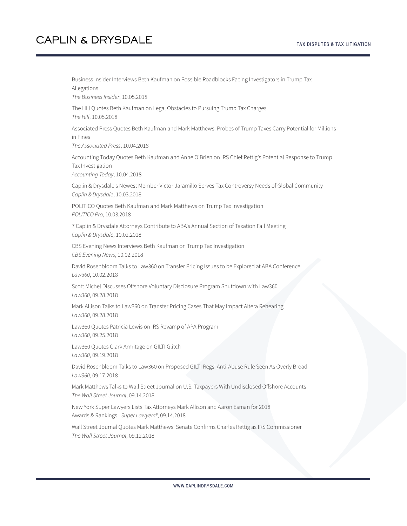Business Insider Interviews Beth Kaufman on Possible Roadblocks Facing Investigators in Trump Tax Allegations *The Business Insider*, 10.05.2018 The Hill Quotes Beth Kaufman on Legal Obstacles to Pursuing Trump Tax Charges *The Hill*, 10.05.2018 Associated Press Quotes Beth Kaufman and Mark Matthews: Probes of Trump Taxes Carry Potential for Millions in Fines *The Associated Press*, 10.04.2018 Accounting Today Quotes Beth Kaufman and Anne O'Brien on IRS Chief Rettig's Potential Response to Trump Tax Investigation *Accounting Today*, 10.04.2018 Caplin & Drysdale's Newest Member Victor Jaramillo Serves Tax Controversy Needs of Global Community *Caplin & Drysdale*, 10.03.2018 POLITICO Quotes Beth Kaufman and Mark Matthews on Trump Tax Investigation *POLITICO Pro*, 10.03.2018 7 Caplin & Drysdale Attorneys Contribute to ABA's Annual Section of Taxation Fall Meeting *Caplin & Drysdale*, 10.02.2018 CBS Evening News Interviews Beth Kaufman on Trump Tax Investigation *CBS Evening News*, 10.02.2018 David Rosenbloom Talks to Law360 on Transfer Pricing Issues to be Explored at ABA Conference *Law360*, 10.02.2018 Scott Michel Discusses Offshore Voluntary Disclosure Program Shutdown with Law360 *Law360*, 09.28.2018 Mark Allison Talks to Law360 on Transfer Pricing Cases That May Impact Altera Rehearing *Law360*, 09.28.2018 Law360 Quotes Patricia Lewis on IRS Revamp of APA Program *Law360*, 09.25.2018 Law360 Quotes Clark Armitage on GILTI Glitch *Law360*, 09.19.2018 David Rosenbloom Talks to Law360 on Proposed GILTI Regs' Anti-Abuse Rule Seen As Overly Broad *Law360*, 09.17.2018 Mark Matthews Talks to Wall Street Journal on U.S. Taxpayers With Undisclosed Offshore Accounts *The Wall Street Journal*, 09.14.2018 New York Super Lawyers Lists Tax Attorneys Mark Allison and Aaron Esman for 2018 Awards & Rankings | *Super Lawyers®*, 09.14.2018 Wall Street Journal Quotes Mark Matthews: Senate Confirms Charles Rettig as IRS Commissioner *The Wall Street Journal*, 09.12.2018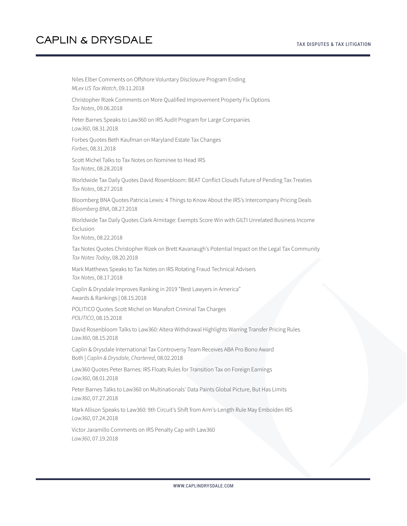Niles Elber Comments on Offshore Voluntary Disclosure Program Ending *MLex US Tax Watch*, 09.11.2018 Christopher Rizek Comments on More Qualified Improvement Property Fix Options *Tax Notes*, 09.06.2018 Peter Barnes Speaks to Law360 on IRS Audit Program for Large Companies *Law360*, 08.31.2018 Forbes Quotes Beth Kaufman on Maryland Estate Tax Changes *Forbes*, 08.31.2018 Scott Michel Talks to Tax Notes on Nominee to Head IRS *Tax Notes*, 08.28.2018 Worldwide Tax Daily Quotes David Rosenbloom: BEAT Conflict Clouds Future of Pending Tax Treaties *Tax Notes*, 08.27.2018 Bloomberg BNA Quotes Patricia Lewis: 4 Things to Know About the IRS's Intercompany Pricing Deals *Bloomberg BNA*, 08.27.2018 Worldwide Tax Daily Quotes Clark Armitage: Exempts Score Win with GILTI Unrelated Business Income Exclusion *Tax Notes*, 08.22.2018 Tax Notes Quotes Christopher Rizek on Brett Kavanaugh's Potential Impact on the Legal Tax Community *Tax Notes Today*, 08.20.2018 Mark Matthews Speaks to Tax Notes on IRS Rotating Fraud Technical Advisers *Tax Notes*, 08.17.2018 Caplin & Drysdale Improves Ranking in 2019 "Best Lawyers in America" Awards & Rankings | 08.15.2018 POLITICO Quotes Scott Michel on Manafort Criminal Tax Charges *POLITICO*, 08.15.2018 David Rosenbloom Talks to Law360: Altera Withdrawal Highlights Warring Transfer Pricing Rules *Law360*, 08.15.2018 Caplin & Drysdale International Tax Controversy Team Receives ABA Pro Bono Award Both | *Caplin & Drysdale, Chartered*, 08.02.2018 Law360 Quotes Peter Barnes: IRS Floats Rules for Transition Tax on Foreign Earnings *Law360*, 08.01.2018 Peter Barnes Talks to Law360 on Multinationals' Data Paints Global Picture, But Has Limits *Law360*, 07.27.2018 Mark Allison Speaks to Law360: 9th Circuit's Shift from Arm's-Length Rule May Embolden IRS *Law360*, 07.24.2018 Victor Jaramillo Comments on IRS Penalty Cap with Law360 *Law360*, 07.19.2018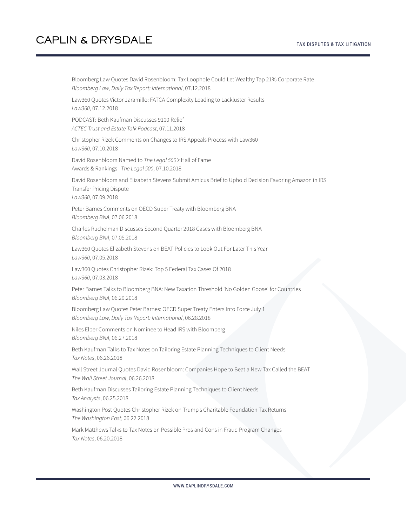| Bloomberg Law Quotes David Rosenbloom: Tax Loophole Could Let Wealthy Tap 21% Corporate Rate<br>Bloomberg Law, Daily Tax Report: International, 07.12.2018    |
|---------------------------------------------------------------------------------------------------------------------------------------------------------------|
| Law360 Quotes Victor Jaramillo: FATCA Complexity Leading to Lackluster Results<br>Law360, 07.12.2018                                                          |
| PODCAST: Beth Kaufman Discusses 9100 Relief<br>ACTEC Trust and Estate Talk Podcast, 07.11.2018                                                                |
| Christopher Rizek Comments on Changes to IRS Appeals Process with Law360<br>Law360, 07.10.2018                                                                |
| David Rosenbloom Named to The Legal 500's Hall of Fame<br>Awards & Rankings   The Legal 500, 07.10.2018                                                       |
| David Rosenbloom and Elizabeth Stevens Submit Amicus Brief to Uphold Decision Favoring Amazon in IRS<br><b>Transfer Pricing Dispute</b><br>Law360, 07.09.2018 |
| Peter Barnes Comments on OECD Super Treaty with Bloomberg BNA<br>Bloomberg BNA, 07.06.2018                                                                    |
| Charles Ruchelman Discusses Second Quarter 2018 Cases with Bloomberg BNA<br>Bloomberg BNA, 07.05.2018                                                         |
| Law360 Quotes Elizabeth Stevens on BEAT Policies to Look Out For Later This Year<br>Law360, 07.05.2018                                                        |
| Law360 Quotes Christopher Rizek: Top 5 Federal Tax Cases Of 2018<br>Law360, 07.03.2018                                                                        |
| Peter Barnes Talks to Bloomberg BNA: New Taxation Threshold 'No Golden Goose' for Countries<br>Bloomberg BNA, 06.29.2018                                      |
| Bloomberg Law Quotes Peter Barnes: OECD Super Treaty Enters Into Force July 1<br>Bloomberg Law, Daily Tax Report: International, 06.28.2018                   |
| Niles Elber Comments on Nominee to Head IRS with Bloomberg<br>Bloomberg BNA, 06.27.2018                                                                       |
| Beth Kaufman Talks to Tax Notes on Tailoring Estate Planning Techniques to Client Needs<br>Tax Notes, 06.26.2018                                              |
| Wall Street Journal Quotes David Rosenbloom: Companies Hope to Beat a New Tax Called the BEAT<br>The Wall Street Journal, 06.26.2018                          |
| Beth Kaufman Discusses Tailoring Estate Planning Techniques to Client Needs<br>Tax Analysts, 06.25.2018                                                       |
| Washington Post Quotes Christopher Rizek on Trump's Charitable Foundation Tax Returns<br>The Washington Post, 06.22.2018                                      |
| Mark Matthews Talks to Tax Notes on Possible Pros and Cons in Fraud Program Changes<br>Tax Notes, 06.20.2018                                                  |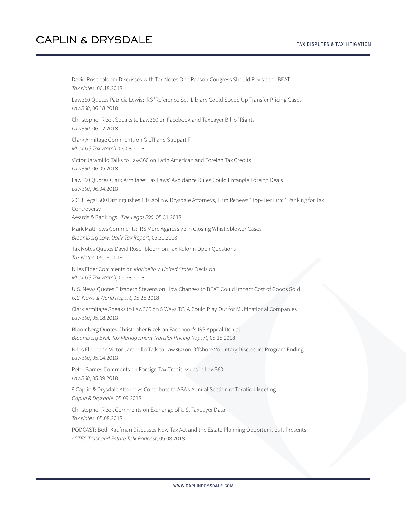David Rosenbloom Discusses with Tax Notes One Reason Congress Should Revisit the BEAT *Tax Notes*, 06.18.2018 Law360 Quotes Patricia Lewis: IRS 'Reference Set' Library Could Speed Up Transfer Pricing Cases *Law360*, 06.18.2018 Christopher Rizek Speaks to Law360 on Facebook and Taxpayer Bill of Rights *Law360*, 06.12.2018 Clark Armitage Comments on GILTI and Subpart F *MLex US Tax Watch*, 06.08.2018 Victor Jaramillo Talks to Law360 on Latin American and Foreign Tax Credits *Law360*, 06.05.2018 Law360 Quotes Clark Armitage: Tax Laws' Avoidance Rules Could Entangle Foreign Deals *Law360*, 06.04.2018 2018 Legal 500 Distinguishes 18 Caplin & Drysdale Attorneys, Firm Renews "Top-Tier Firm" Ranking for Tax Controversy Awards & Rankings | *The Legal 500*, 05.31.2018 Mark Matthews Comments: IRS More Aggressive in Closing Whistleblower Cases *Bloomberg Law, Daily Tax Report*, 05.30.2018 Tax Notes Quotes David Rosenbloom on Tax Reform Open Questions *Tax Notes*, 05.29.2018 Niles Elber Comments on *Marinello v. United States* Decision *MLex US Tax Watch*, 05.28.2018 U.S. News Quotes Elizabeth Stevens on How Changes to BEAT Could Impact Cost of Goods Sold *U.S. News & World Report*, 05.25.2018 Clark Armitage Speaks to Law360 on 5 Ways TCJA Could Play Out for Multinational Companies *Law360*, 05.18.2018 Bloomberg Quotes Christopher Rizek on Facebook's IRS Appeal Denial *Bloomberg BNA, Tax Management Transfer Pricing Report*, 05.15.2018 Niles Elber and Victor Jaramillo Talk to Law360 on Offshore Voluntary Disclosure Program Ending *Law360*, 05.14.2018 Peter Barnes Comments on Foreign Tax Credit Issues in Law360 *Law360*, 05.09.2018 9 Caplin & Drysdale Attorneys Contribute to ABA's Annual Section of Taxation Meeting *Caplin & Drysdale*, 05.09.2018 Christopher Rizek Comments on Exchange of U.S. Taxpayer Data *Tax Notes*, 05.08.2018

PODCAST: Beth Kaufman Discusses New Tax Act and the Estate Planning Opportunities It Presents *ACTEC Trust and Estate Talk Podcast*, 05.08.2018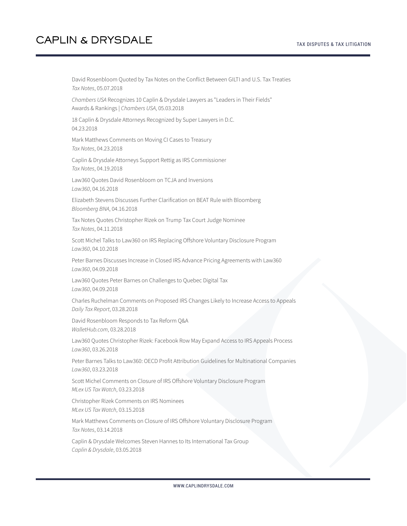David Rosenbloom Quoted by Tax Notes on the Conflict Between GILTI and U.S. Tax Treaties *Tax Notes*, 05.07.2018 *Chambers USA* Recognizes 10 Caplin & Drysdale Lawyers as "Leaders in Their Fields" Awards & Rankings | *Chambers USA*, 05.03.2018 18 Caplin & Drysdale Attorneys Recognized by Super Lawyers in D.C. 04.23.2018 Mark Matthews Comments on Moving CI Cases to Treasury *Tax Notes*, 04.23.2018 Caplin & Drysdale Attorneys Support Rettig as IRS Commissioner *Tax Notes*, 04.19.2018 Law360 Quotes David Rosenbloom on TCJA and Inversions *Law360*, 04.16.2018 Elizabeth Stevens Discusses Further Clarification on BEAT Rule with Bloomberg *Bloomberg BNA*, 04.16.2018 Tax Notes Quotes Christopher Rizek on Trump Tax Court Judge Nominee *Tax Notes*, 04.11.2018 Scott Michel Talks to Law360 on IRS Replacing Offshore Voluntary Disclosure Program *Law360*, 04.10.2018 Peter Barnes Discusses Increase in Closed IRS Advance Pricing Agreements with Law360 *Law360*, 04.09.2018 Law360 Quotes Peter Barnes on Challenges to Quebec Digital Tax *Law360*, 04.09.2018 Charles Ruchelman Comments on Proposed IRS Changes Likely to Increase Access to Appeals *Daily Tax Report*, 03.28.2018 David Rosenbloom Responds to Tax Reform Q&A *WalletHub.com*, 03.28.2018 Law360 Quotes Christopher Rizek: Facebook Row May Expand Access to IRS Appeals Process *Law360*, 03.26.2018 Peter Barnes Talks to Law360: OECD Profit Attribution Guidelines for Multinational Companies *Law360*, 03.23.2018 Scott Michel Comments on Closure of IRS Offshore Voluntary Disclosure Program *MLex US Tax Watch*, 03.23.2018 Christopher Rizek Comments on IRS Nominees *MLex US Tax Watch*, 03.15.2018 Mark Matthews Comments on Closure of IRS Offshore Voluntary Disclosure Program *Tax Notes*, 03.14.2018 Caplin & Drysdale Welcomes Steven Hannes to Its International Tax Group

*Caplin & Drysdale*, 03.05.2018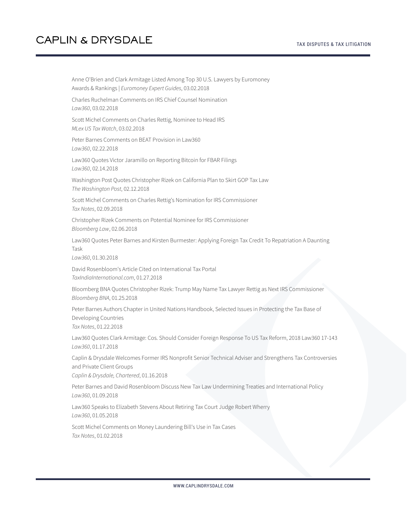Anne O'Brien and Clark Armitage Listed Among Top 30 U.S. Lawyers by Euromoney Awards & Rankings | *Euromoney Expert Guides*, 03.02.2018 Charles Ruchelman Comments on IRS Chief Counsel Nomination *Law360*, 03.02.2018 Scott Michel Comments on Charles Rettig, Nominee to Head IRS *MLex US Tax Watch*, 03.02.2018 Peter Barnes Comments on BEAT Provision in Law360 *Law360*, 02.22.2018 Law360 Quotes Victor Jaramillo on Reporting Bitcoin for FBAR Filings *Law360*, 02.14.2018 Washington Post Quotes Christopher Rizek on California Plan to Skirt GOP Tax Law *The Washington Post*, 02.12.2018 Scott Michel Comments on Charles Rettig's Nomination for IRS Commissioner *Tax Notes*, 02.09.2018 Christopher Rizek Comments on Potential Nominee for IRS Commissioner *Bloomberg Law*, 02.06.2018 Law360 Quotes Peter Barnes and Kirsten Burmester: Applying Foreign Tax Credit To Repatriation A Daunting Task *Law360*, 01.30.2018 David Rosenbloom's Article Cited on International Tax Portal *TaxIndiaInternational.com*, 01.27.2018 Bloomberg BNA Quotes Christopher Rizek: Trump May Name Tax Lawyer Rettig as Next IRS Commissioner *Bloomberg BNA*, 01.25.2018 Peter Barnes Authors Chapter in United Nations Handbook, Selected Issues in Protecting the Tax Base of Developing Countries *Tax Notes*, 01.22.2018 Law360 Quotes Clark Armitage: Cos. Should Consider Foreign Response To US Tax Reform, 2018 Law360 17-143 *Law360*, 01.17.2018 Caplin & Drysdale Welcomes Former IRS Nonprofit Senior Technical Adviser and Strengthens Tax Controversies and Private Client Groups *Caplin & Drysdale, Chartered*, 01.16.2018 Peter Barnes and David Rosenbloom Discuss New Tax Law Undermining Treaties and International Policy *Law360*, 01.09.2018 Law360 Speaks to Elizabeth Stevens About Retiring Tax Court Judge Robert Wherry *Law360*, 01.05.2018 Scott Michel Comments on Money Laundering Bill's Use in Tax Cases *Tax Notes*, 01.02.2018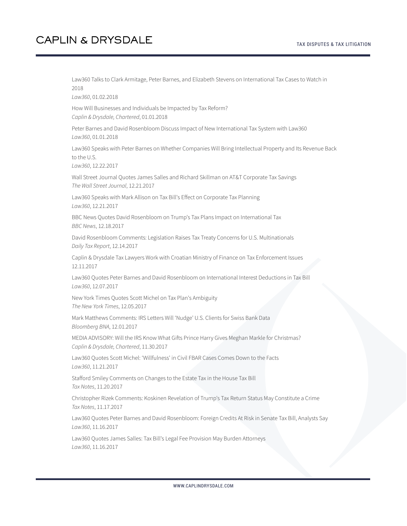#### TAX DISPUTES & TAX LITIGATION

### **CAPLIN & DRYSDALE**

Law360 Talks to Clark Armitage, Peter Barnes, and Elizabeth Stevens on International Tax Cases to Watch in 2018

*Law360*, 01.02.2018

How Will Businesses and Individuals be Impacted by Tax Reform? *Caplin & Drysdale, Chartered*, 01.01.2018

Peter Barnes and David Rosenbloom Discuss Impact of New International Tax System with Law360 *Law360*, 01.01.2018

Law360 Speaks with Peter Barnes on Whether Companies Will Bring Intellectual Property and Its Revenue Back to the U.S.

*Law360*, 12.22.2017

Wall Street Journal Quotes James Salles and Richard Skillman on AT&T Corporate Tax Savings *The Wall Street Journal*, 12.21.2017

Law360 Speaks with Mark Allison on Tax Bill's Effect on Corporate Tax Planning *Law360*, 12.21.2017

BBC News Quotes David Rosenbloom on Trump's Tax Plans Impact on International Tax *BBC News*, 12.18.2017

David Rosenbloom Comments: Legislation Raises Tax Treaty Concerns for U.S. Multinationals *Daily Tax Report*, 12.14.2017

Caplin & Drysdale Tax Lawyers Work with Croatian Ministry of Finance on Tax Enforcement Issues 12.11.2017

Law360 Quotes Peter Barnes and David Rosenbloom on International Interest Deductions in Tax Bill *Law360*, 12.07.2017

New York Times Quotes Scott Michel on Tax Plan's Ambiguity *The New York Times*, 12.05.2017

Mark Matthews Comments: IRS Letters Will 'Nudge' U.S. Clients for Swiss Bank Data *Bloomberg BNA*, 12.01.2017

MEDIA ADVISORY: Will the IRS Know What Gifts Prince Harry Gives Meghan Markle for Christmas? *Caplin & Drysdale, Chartered*, 11.30.2017

Law360 Quotes Scott Michel: 'Willfulness' in Civil FBAR Cases Comes Down to the Facts *Law360*, 11.21.2017

Stafford Smiley Comments on Changes to the Estate Tax in the House Tax Bill *Tax Notes*, 11.20.2017

Christopher Rizek Comments: Koskinen Revelation of Trump's Tax Return Status May Constitute a Crime *Tax Notes*, 11.17.2017

Law360 Quotes Peter Barnes and David Rosenbloom: Foreign Credits At Risk in Senate Tax Bill, Analysts Say *Law360*, 11.16.2017

Law360 Quotes James Salles: Tax Bill's Legal Fee Provision May Burden Attorneys *Law360*, 11.16.2017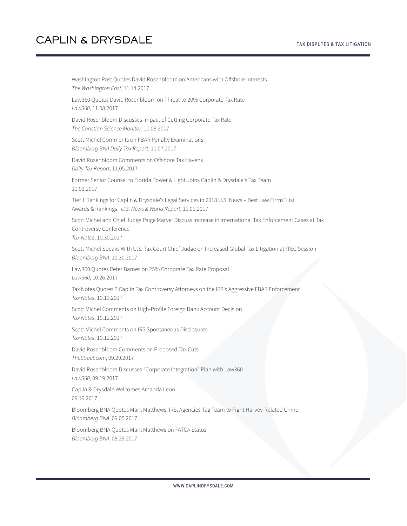Washington Post Quotes David Rosenbloom on Americans with Offshore Interests *The Washington Post*, 11.14.2017

Law360 Quotes David Rosenbloom on Threat to 20% Corporate Tax Rate *Law360*, 11.08.2017

David Rosenbloom Discusses Impact of Cutting Corporate Tax Rate *The Christian Science Monitor*, 11.08.2017

Scott Michel Comments on FBAR Penalty Examinations *Bloomberg BNA Daily Tax Report*, 11.07.2017

David Rosenbloom Comments on Offshore Tax Havens *Daily Tax Report*, 11.05.2017

Former Senior Counsel to Florida Power & Light Joins Caplin & Drysdale's Tax Team 11.01.2017

Tier 1 Rankings for Caplin & Drysdale's Legal Services in 2018 U.S. News – Best Law Firms' List Awards & Rankings | *U.S. News & World Report*, 11.01.2017

Scott Michel and Chief Judge Paige Marvel Discuss Increase in International Tax Enforcement Cases at Tax Controversy Conference *Tax Notes*, 10.30.2017

Scott Michel Speaks With U.S. Tax Court Chief Judge on Increased Global Tax Litigation at ITEC Session *Bloomberg BNA*, 10.30.2017

Law360 Quotes Peter Barnes on 25% Corporate Tax Rate Proposal *Law360*, 10.26.2017

Tax Notes Quotes 3 Caplin Tax Controversy Attorneys on the IRS's Aggressive FBAR Enforcement *Tax Notes*, 10.19.2017

Scott Michel Comments on High-Profile Foreign Bank Account Decision *Tax Notes*, 10.12.2017

Scott Michel Comments on IRS Spontaneous Disclosures *Tax Notes*, 10.12.2017

David Rosenbloom Comments on Proposed Tax Cuts *TheStreet.com*, 09.29.2017

David Rosenbloom Discusses "Corporate Integration" Plan with Law360 *Law360*, 09.19.2017

Caplin & Drysdale Welcomes Amanda Leon 09.19.2017

Bloomberg BNA Quotes Mark Matthews: IRS, Agencies Tag Team to Fight Harvey-Related Crime *Bloomberg BNA*, 09.05.2017

Bloomberg BNA Quotes Mark Matthews on FATCA Status *Bloomberg BNA*, 08.29.2017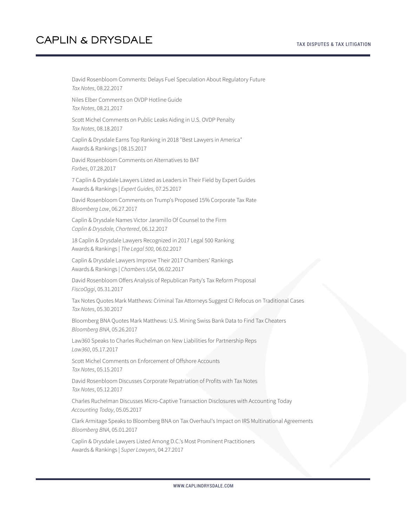David Rosenbloom Comments: Delays Fuel Speculation About Regulatory Future *Tax Notes*, 08.22.2017 Niles Elber Comments on OVDP Hotline Guide *Tax Notes*, 08.21.2017 Scott Michel Comments on Public Leaks Aiding in U.S. OVDP Penalty *Tax Notes*, 08.18.2017 Caplin & Drysdale Earns Top Ranking in 2018 "Best Lawyers in America" Awards & Rankings | 08.15.2017 David Rosenbloom Comments on Alternatives to BAT *Forbes*, 07.28.2017 7 Caplin & Drysdale Lawyers Listed as Leaders in Their Field by Expert Guides Awards & Rankings | *Expert Guides*, 07.25.2017 David Rosenbloom Comments on Trump's Proposed 15% Corporate Tax Rate *Bloomberg Law*, 06.27.2017 Caplin & Drysdale Names Victor Jaramillo Of Counsel to the Firm *Caplin & Drysdale, Chartered*, 06.12.2017 18 Caplin & Drysdale Lawyers Recognized in 2017 Legal 500 Ranking Awards & Rankings | *The Legal 500*, 06.02.2017 Caplin & Drysdale Lawyers Improve Their 2017 Chambers' Rankings Awards & Rankings | *Chambers USA*, 06.02.2017 David Rosenbloom Offers Analysis of Republican Party's Tax Reform Proposal *FiscoOggi*, 05.31.2017 Tax Notes Quotes Mark Matthews: Criminal Tax Attorneys Suggest CI Refocus on Traditional Cases *Tax Notes*, 05.30.2017 Bloomberg BNA Quotes Mark Matthews: U.S. Mining Swiss Bank Data to Find Tax Cheaters *Bloomberg BNA*, 05.26.2017 Law360 Speaks to Charles Ruchelman on New Liabilities for Partnership Reps *Law360*, 05.17.2017 Scott Michel Comments on Enforcement of Offshore Accounts *Tax Notes*, 05.15.2017 David Rosenbloom Discusses Corporate Repatriation of Profits with Tax Notes *Tax Notes*, 05.12.2017 Charles Ruchelman Discusses Micro-Captive Transaction Disclosures with Accounting Today *Accounting Today*, 05.05.2017 Clark Armitage Speaks to Bloomberg BNA on Tax Overhaul's Impact on IRS Multinational Agreements *Bloomberg BNA*, 05.01.2017 Caplin & Drysdale Lawyers Listed Among D.C.'s Most Prominent Practitioners Awards & Rankings | *Super Lawyers*, 04.27.2017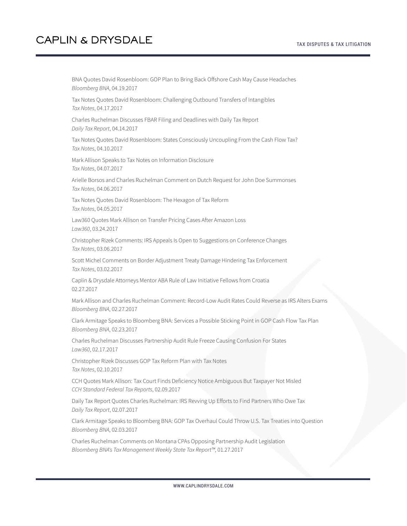BNA Quotes David Rosenbloom: GOP Plan to Bring Back Offshore Cash May Cause Headaches *Bloomberg BNA*, 04.19.2017 Tax Notes Quotes David Rosenbloom: Challenging Outbound Transfers of Intangibles *Tax Notes*, 04.17.2017 Charles Ruchelman Discusses FBAR Filing and Deadlines with Daily Tax Report *Daily Tax Report*, 04.14.2017 Tax Notes Quotes David Rosenbloom: States Consciously Uncoupling From the Cash Flow Tax? *Tax Notes*, 04.10.2017 Mark Allison Speaks to Tax Notes on Information Disclosure *Tax Notes*, 04.07.2017 Arielle Borsos and Charles Ruchelman Comment on Dutch Request for John Doe Summonses *Tax Notes*, 04.06.2017 Tax Notes Quotes David Rosenbloom: The Hexagon of Tax Reform *Tax Notes*, 04.05.2017 Law360 Quotes Mark Allison on Transfer Pricing Cases After Amazon Loss *Law360*, 03.24.2017 Christopher Rizek Comments: IRS Appeals Is Open to Suggestions on Conference Changes *Tax Notes*, 03.06.2017 Scott Michel Comments on Border Adjustment Treaty Damage Hindering Tax Enforcement *Tax Notes*, 03.02.2017 Caplin & Drysdale Attorneys Mentor ABA Rule of Law Initiative Fellows from Croatia 02.27.2017 Mark Allison and Charles Ruchelman Comment: Record-Low Audit Rates Could Reverse as IRS Alters Exams *Bloomberg BNA*, 02.27.2017 Clark Armitage Speaks to Bloomberg BNA: Services a Possible Sticking Point in GOP Cash Flow Tax Plan *Bloomberg BNA*, 02.23.2017 Charles Ruchelman Discusses Partnership Audit Rule Freeze Causing Confusion For States *Law360*, 02.17.2017 Christopher Rizek Discusses GOP Tax Reform Plan with Tax Notes *Tax Notes*, 02.10.2017 CCH Quotes Mark Allison: Tax Court Finds Deficiency Notice Ambiguous But Taxpayer Not Misled *CCH Standard Federal Tax Reports*, 02.09.2017 Daily Tax Report Quotes Charles Ruchelman: IRS Revving Up Efforts to Find Partners Who Owe Tax *Daily Tax Report*, 02.07.2017 Clark Armitage Speaks to Bloomberg BNA: GOP Tax Overhaul Could Throw U.S. Tax Treaties into Question *Bloomberg BNA*, 02.03.2017

Charles Ruchelman Comments on Montana CPAs Opposing Partnership Audit Legislation *Bloomberg BNA's Tax Management Weekly State Tax Report™*, 01.27.2017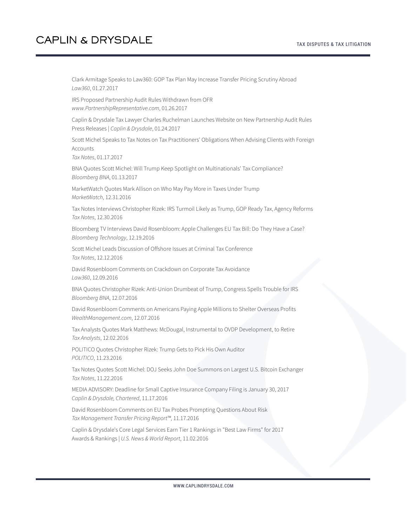Clark Armitage Speaks to Law360: GOP Tax Plan May Increase Transfer Pricing Scrutiny Abroad *Law360*, 01.27.2017

IRS Proposed Partnership Audit Rules Withdrawn from OFR *www.PartnershipRepresentative.com*, 01.26.2017

Caplin & Drysdale Tax Lawyer Charles Ruchelman Launches Website on New Partnership Audit Rules Press Releases | *Caplin & Drysdale*, 01.24.2017

Scott Michel Speaks to Tax Notes on Tax Practitioners' Obligations When Advising Clients with Foreign Accounts

*Tax Notes*, 01.17.2017

BNA Quotes Scott Michel: Will Trump Keep Spotlight on Multinationals' Tax Compliance? *Bloomberg BNA*, 01.13.2017

MarketWatch Quotes Mark Allison on Who May Pay More in Taxes Under Trump *MarketWatch*, 12.31.2016

Tax Notes Interviews Christopher Rizek: IRS Turmoil Likely as Trump, GOP Ready Tax, Agency Reforms *Tax Notes*, 12.30.2016

Bloomberg TV Interviews David Rosenbloom: Apple Challenges EU Tax Bill: Do They Have a Case? *Bloomberg Technology*, 12.19.2016

Scott Michel Leads Discussion of Offshore Issues at Criminal Tax Conference *Tax Notes*, 12.12.2016

David Rosenbloom Comments on Crackdown on Corporate Tax Avoidance *Law360*, 12.09.2016

BNA Quotes Christopher Rizek: Anti-Union Drumbeat of Trump, Congress Spells Trouble for IRS *Bloomberg BNA*, 12.07.2016

David Rosenbloom Comments on Americans Paying Apple Millions to Shelter Overseas Profits *WealthManagement.com*, 12.07.2016

Tax Analysts Quotes Mark Matthews: McDougal, Instrumental to OVDP Development, to Retire *Tax Analysts*, 12.02.2016

POLITICO Quotes Christopher Rizek: Trump Gets to Pick His Own Auditor *POLITICO*, 11.23.2016

Tax Notes Quotes Scott Michel: DOJ Seeks John Doe Summons on Largest U.S. Bitcoin Exchanger *Tax Notes*, 11.22.2016

MEDIA ADVISORY: Deadline for Small Captive Insurance Company Filing is January 30, 2017 *Caplin & Drysdale, Chartered*, 11.17.2016

David Rosenbloom Comments on EU Tax Probes Prompting Questions About Risk *Tax Management Transfer Pricing Report™*, 11.17.2016

Caplin & Drysdale's Core Legal Services Earn Tier 1 Rankings in "Best Law Firms" for 2017 Awards & Rankings | *U.S. News & World Report*, 11.02.2016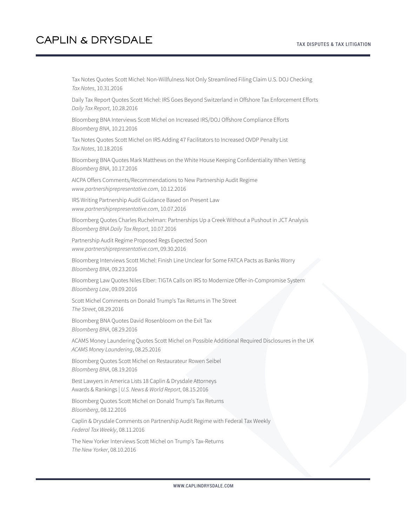Tax Notes Quotes Scott Michel: Non-Willfulness Not Only Streamlined Filing Claim U.S. DOJ Checking *Tax Notes*, 10.31.2016

Daily Tax Report Quotes Scott Michel: IRS Goes Beyond Switzerland in Offshore Tax Enforcement Efforts *Daily Tax Report*, 10.28.2016

Bloomberg BNA Interviews Scott Michel on Increased IRS/DOJ Offshore Compliance Efforts *Bloomberg BNA*, 10.21.2016

Tax Notes Quotes Scott Michel on IRS Adding 47 Facilitators to Increased OVDP Penalty List *Tax Notes*, 10.18.2016

Bloomberg BNA Quotes Mark Matthews on the White House Keeping Confidentiality When Vetting *Bloomberg BNA*, 10.17.2016

AICPA Offers Comments/Recommendations to New Partnership Audit Regime *www.partnershiprepresentative.com*, 10.12.2016

IRS Writing Partnership Audit Guidance Based on Present Law *www.partnershiprepresentative.com*, 10.07.2016

Bloomberg Quotes Charles Ruchelman: Partnerships Up a Creek Without a Pushout in JCT Analysis *Bloomberg BNA Daily Tax Report*, 10.07.2016

Partnership Audit Regime Proposed Regs Expected Soon *www.partnershiprepresentative.com*, 09.30.2016

Bloomberg Interviews Scott Michel: Finish Line Unclear for Some FATCA Pacts as Banks Worry *Bloomberg BNA*, 09.23.2016

Bloomberg Law Quotes Niles Elber: TIGTA Calls on IRS to Modernize Offer-in-Compromise System *Bloomberg Law*, 09.09.2016

Scott Michel Comments on Donald Trump's Tax Returns in The Street *The Street*, 08.29.2016

Bloomberg BNA Quotes David Rosenbloom on the Exit Tax *Bloomberg BNA*, 08.29.2016

ACAMS Money Laundering Quotes Scott Michel on Possible Additional Required Disclosures in the UK *ACAMS Money Laundering*, 08.25.2016

Bloomberg Quotes Scott Michel on Restaurateur Rowen Seibel *Bloomberg BNA*, 08.19.2016

Best Lawyers in America Lists 18 Caplin & Drysdale Attorneys Awards & Rankings | *U.S. News & World Report*, 08.15.2016

Bloomberg Quotes Scott Michel on Donald Trump's Tax Returns *Bloomberg*, 08.12.2016

Caplin & Drysdale Comments on Partnership Audit Regime with Federal Tax Weekly *Federal Tax Weekly*, 08.11.2016

The New Yorker Interviews Scott Michel on Trump's Tax-Returns *The New Yorker*, 08.10.2016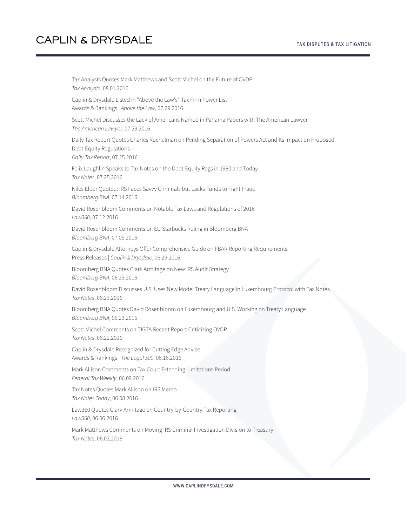Tax Analysts Quotes Mark Matthews and Scott Michel on the Future of OVDP *Tax Analysts*, 08.01.2016 Caplin & Drysdale Listed in "Above the Law's" Tax Firm Power List Awards & Rankings | *Above the Law*, 07.29.2016 Scott Michel Discusses the Lack of Americans Named in Panama Papers with The American Lawyer *The American Lawyer*, 07.29.2016 Daily Tax Report Quotes Charles Ruchelman on Pending Separation of Powers Act and Its Impact on Proposed Debt-Equity Regulations *Daily Tax Report*, 07.25.2016 Felix Laughlin Speaks to Tax Notes on the Debt-Equity Regs in 1980 and Today *Tax Notes*, 07.25.2016 Niles Elber Quoted: IRS Faces Savvy Criminals but Lacks Funds to Fight Fraud *Bloomberg BNA*, 07.14.2016 David Rosenbloom Comments on Notable Tax Laws and Regulations of 2016 *Law360*, 07.12.2016 David Rosenbloom Comments on EU Starbucks Ruling in Bloomberg BNA *Bloomberg BNA*, 07.05.2016 Caplin & Drysdale Attorneys Offer Comprehensive Guide on FBAR Reporting Requirements Press Releases | *Caplin & Drysdale*, 06.29.2016 Bloomberg BNA Quotes Clark Armitage on New IRS Audit Strategy *Bloomberg BNA*, 06.23.2016 David Rosenbloom Discusses U.S. Uses New Model Treaty Language in Luxembourg Protocol with Tax Notes *Tax Notes*, 06.23.2016 Bloomberg BNA Quotes David Rosenbloom on Luxembourg and U.S. Working on Treaty Language *Bloomberg BNA*, 06.23.2016 Scott Michel Comments on TIGTA Recent Report Criticizing OVDP *Tax Notes*, 06.22.2016 Caplin & Drysdale Recognized for Cutting Edge Advice Awards & Rankings | *The Legal 500*, 06.16.2016 Mark Allison Comments on Tax Court Extending Limitations Period *Federal Tax Weekly*, 06.09.2016 Tax Notes Quotes Mark Allison on IRS Memo *Tax Notes Today*, 06.08.2016 Law360 Quotes Clark Armitage on Country-by-Country Tax Reporting *Law360*, 06.06.2016 Mark Matthews Comments on Moving IRS Criminal Investigation Division to Treasury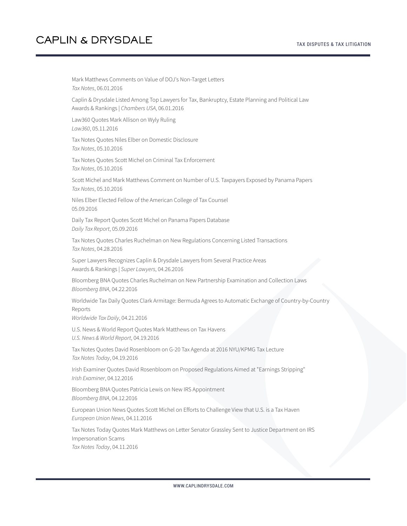Mark Matthews Comments on Value of DOJ's Non-Target Letters *Tax Notes*, 06.01.2016 Caplin & Drysdale Listed Among Top Lawyers for Tax, Bankruptcy, Estate Planning and Political Law Awards & Rankings | *Chambers USA*, 06.01.2016 Law360 Quotes Mark Allison on Wyly Ruling *Law360*, 05.11.2016 Tax Notes Quotes Niles Elber on Domestic Disclosure *Tax Notes*, 05.10.2016 Tax Notes Quotes Scott Michel on Criminal Tax Enforcement *Tax Notes*, 05.10.2016 Scott Michel and Mark Matthews Comment on Number of U.S. Taxpayers Exposed by Panama Papers *Tax Notes*, 05.10.2016 Niles Elber Elected Fellow of the American College of Tax Counsel 05.09.2016 Daily Tax Report Quotes Scott Michel on Panama Papers Database *Daily Tax Report*, 05.09.2016 Tax Notes Quotes Charles Ruchelman on New Regulations Concerning Listed Transactions *Tax Notes*, 04.28.2016 Super Lawyers Recognizes Caplin & Drysdale Lawyers from Several Practice Areas Awards & Rankings | *Super Lawyers*, 04.26.2016 Bloomberg BNA Quotes Charles Ruchelman on New Partnership Examination and Collection Laws *Bloomberg BNA*, 04.22.2016 Worldwide Tax Daily Quotes Clark Armitage: Bermuda Agrees to Automatic Exchange of Country-by-Country Reports *Worldwide Tax Daily*, 04.21.2016 U.S. News & World Report Quotes Mark Matthews on Tax Havens *U.S. News & World Report*, 04.19.2016 Tax Notes Quotes David Rosenbloom on G-20 Tax Agenda at 2016 NYU/KPMG Tax Lecture *Tax Notes Today*, 04.19.2016 Irish Examiner Quotes David Rosenbloom on Proposed Regulations Aimed at "Earnings Stripping" *Irish Examiner*, 04.12.2016 Bloomberg BNA Quotes Patricia Lewis on New IRS Appointment *Bloomberg BNA*, 04.12.2016 European Union News Quotes Scott Michel on Efforts to Challenge View that U.S. is a Tax Haven *European Union News*, 04.11.2016 Tax Notes Today Quotes Mark Matthews on Letter Senator Grassley Sent to Justice Department on IRS Impersonation Scams *Tax Notes Today*, 04.11.2016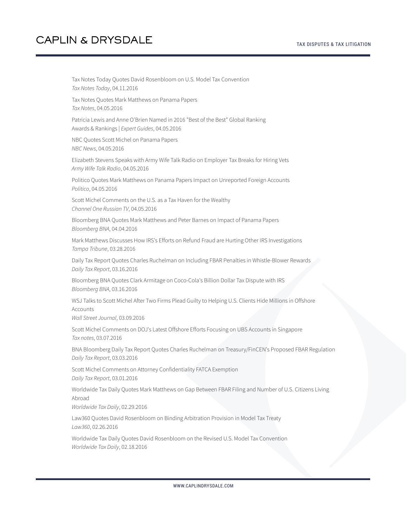Tax Notes Today Quotes David Rosenbloom on U.S. Model Tax Convention *Tax Notes Today*, 04.11.2016 Tax Notes Quotes Mark Matthews on Panama Papers *Tax Notes*, 04.05.2016 Patricia Lewis and Anne O'Brien Named in 2016 "Best of the Best" Global Ranking Awards & Rankings | *Expert Guides*, 04.05.2016 NBC Quotes Scott Michel on Panama Papers *NBC News*, 04.05.2016 Elizabeth Stevens Speaks with Army Wife Talk Radio on Employer Tax Breaks for Hiring Vets *Army Wife Talk Radio*, 04.05.2016 Politico Quotes Mark Matthews on Panama Papers Impact on Unreported Foreign Accounts *Politico*, 04.05.2016 Scott Michel Comments on the U.S. as a Tax Haven for the Wealthy *Channel One Russian TV*, 04.05.2016 Bloomberg BNA Quotes Mark Matthews and Peter Barnes on Impact of Panama Papers *Bloomberg BNA*, 04.04.2016 Mark Matthews Discusses How IRS's Efforts on Refund Fraud are Hurting Other IRS Investigations *Tampa Tribune*, 03.28.2016 Daily Tax Report Quotes Charles Ruchelman on Including FBAR Penalties in Whistle-Blower Rewards *Daily Tax Report*, 03.16.2016 Bloomberg BNA Quotes Clark Armitage on Coco-Cola's Billion Dollar Tax Dispute with IRS *Bloomberg BNA*, 03.16.2016 WSJ Talks to Scott Michel After Two Firms Plead Guilty to Helping U.S. Clients Hide Millions in Offshore **Accounts** *Wall Street Journal*, 03.09.2016 Scott Michel Comments on DOJ's Latest Offshore Efforts Focusing on UBS Accounts in Singapore *Tax notes*, 03.07.2016 BNA Bloomberg Daily Tax Report Quotes Charles Ruchelman on Treasury/FinCEN's Proposed FBAR Regulation *Daily Tax Report*, 03.03.2016 Scott Michel Comments on Attorney Confidentiality FATCA Exemption *Daily Tax Report*, 03.01.2016 Worldwide Tax Daily Quotes Mark Matthews on Gap Between FBAR Filing and Number of U.S. Citizens Living Abroad *Worldwide Tax Daily*, 02.29.2016 Law360 Quotes David Rosenbloom on Binding Arbitration Provision in Model Tax Treaty *Law360*, 02.26.2016 Worldwide Tax Daily Quotes David Rosenbloom on the Revised U.S. Model Tax Convention

*Worldwide Tax Daily*, 02.18.2016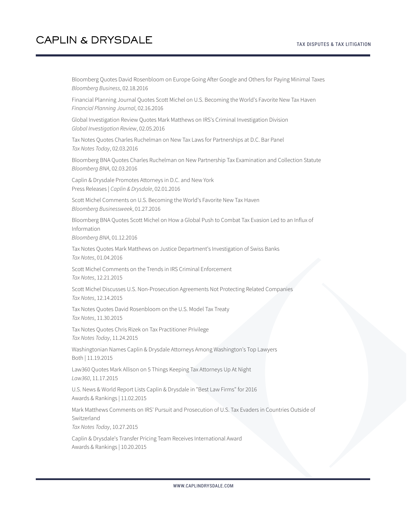Bloomberg Quotes David Rosenbloom on Europe Going After Google and Others for Paying Minimal Taxes *Bloomberg Business*, 02.18.2016

Financial Planning Journal Quotes Scott Michel on U.S. Becoming the World's Favorite New Tax Haven *Financial Planning Journal*, 02.16.2016

Global Investigation Review Quotes Mark Matthews on IRS's Criminal Investigation Division *Global Investigation Review*, 02.05.2016

Tax Notes Quotes Charles Ruchelman on New Tax Laws for Partnerships at D.C. Bar Panel *Tax Notes Today*, 02.03.2016

Bloomberg BNA Quotes Charles Ruchelman on New Partnership Tax Examination and Collection Statute *Bloomberg BNA*, 02.03.2016

Caplin & Drysdale Promotes Attorneys in D.C. and New York Press Releases | *Caplin & Drysdale*, 02.01.2016

Scott Michel Comments on U.S. Becoming the World's Favorite New Tax Haven *Bloomberg Businessweek*, 01.27.2016

Bloomberg BNA Quotes Scott Michel on How a Global Push to Combat Tax Evasion Led to an Influx of Information

*Bloomberg BNA*, 01.12.2016

Tax Notes Quotes Mark Matthews on Justice Department's Investigation of Swiss Banks *Tax Notes*, 01.04.2016

Scott Michel Comments on the Trends in IRS Criminal Enforcement *Tax Notes*, 12.21.2015

Scott Michel Discusses U.S. Non-Prosecution Agreements Not Protecting Related Companies *Tax Notes*, 12.14.2015

Tax Notes Quotes David Rosenbloom on the U.S. Model Tax Treaty *Tax Notes*, 11.30.2015

Tax Notes Quotes Chris Rizek on Tax Practitioner Privilege *Tax Notes Today*, 11.24.2015

Washingtonian Names Caplin & Drysdale Attorneys Among Washington's Top Lawyers Both | 11.19.2015

Law360 Quotes Mark Allison on 5 Things Keeping Tax Attorneys Up At Night *Law360*, 11.17.2015

U.S. News & World Report Lists Caplin & Drysdale in "Best Law Firms" for 2016 Awards & Rankings | 11.02.2015

Mark Matthews Comments on IRS' Pursuit and Prosecution of U.S. Tax Evaders in Countries Outside of Switzerland *Tax Notes Today*, 10.27.2015

Caplin & Drysdale's Transfer Pricing Team Receives International Award Awards & Rankings | 10.20.2015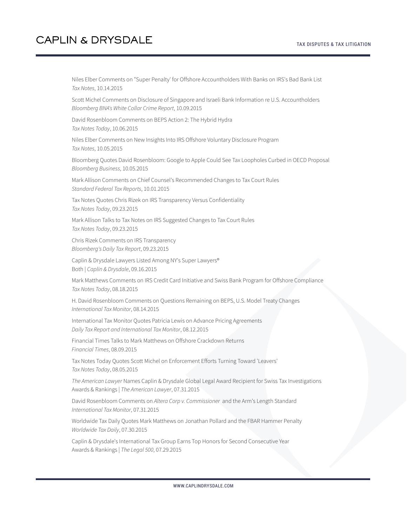Niles Elber Comments on "Super Penalty' for Offshore Accountholders With Banks on IRS's Bad Bank List *Tax Notes*, 10.14.2015

Scott Michel Comments on Disclosure of Singapore and Israeli Bank Information re U.S. Accountholders *Bloomberg BNA's White Collar Crime Report*, 10.09.2015

David Rosenbloom Comments on BEPS Action 2: The Hybrid Hydra *Tax Notes Today*, 10.06.2015

Niles Elber Comments on New Insights Into IRS Offshore Voluntary Disclosure Program *Tax Notes*, 10.05.2015

Bloomberg Quotes David Rosenbloom: Google to Apple Could See Tax Loopholes Curbed in OECD Proposal *Bloomberg Business*, 10.05.2015

Mark Allison Comments on Chief Counsel's Recommended Changes to Tax Court Rules *Standard Federal Tax Reports*, 10.01.2015

Tax Notes Quotes Chris Rizek on IRS Transparency Versus Confidentiality *Tax Notes Today*, 09.23.2015

Mark Allison Talks to Tax Notes on IRS Suggested Changes to Tax Court Rules *Tax Notes Today*, 09.23.2015

Chris Rizek Comments on IRS Transparency *Bloomberg's Daily Tax Report*, 09.23.2015

Caplin & Drysdale Lawyers Listed Among NY's Super Lawyers® Both | *Caplin & Drysdale*, 09.16.2015

Mark Matthews Comments on IRS Credit Card Initiative and Swiss Bank Program for Offshore Compliance *Tax Notes Today*, 08.18.2015

H. David Rosenbloom Comments on Questions Remaining on BEPS, U.S. Model Treaty Changes *International Tax Monitor*, 08.14.2015

International Tax Monitor Quotes Patricia Lewis on Advance Pricing Agreements *Daily Tax Report and International Tax Monitor*, 08.12.2015

Financial Times Talks to Mark Matthews on Offshore Crackdown Returns *Financial Times*, 08.09.2015

Tax Notes Today Quotes Scott Michel on Enforcement Efforts Turning Toward 'Leavers' *Tax Notes Today*, 08.05.2015

*The American Lawyer* Names Caplin & Drysdale Global Legal Award Recipient for Swiss Tax Investigations Awards & Rankings | *The American Lawyer*, 07.31.2015

David Rosenbloom Comments on *Altera Corp v. Commissioner* and the Arm's Length Standard *International Tax Monitor*, 07.31.2015

Worldwide Tax Daily Quotes Mark Matthews on Jonathan Pollard and the FBAR Hammer Penalty *Worldwide Tax Daily*, 07.30.2015

Caplin & Drysdale's International Tax Group Earns Top Honors for Second Consecutive Year Awards & Rankings | *The Legal 500*, 07.29.2015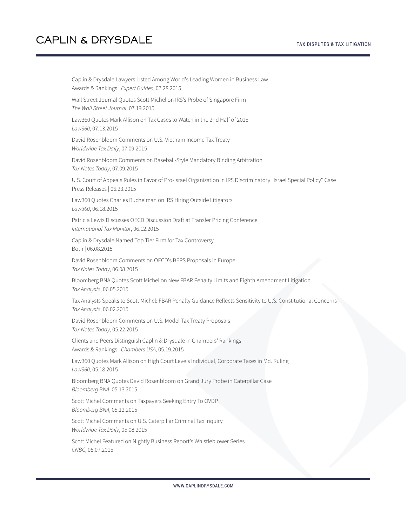Caplin & Drysdale Lawyers Listed Among World's Leading Women in Business Law Awards & Rankings | *Expert Guides*, 07.28.2015 Wall Street Journal Quotes Scott Michel on IRS's Probe of Singapore Firm *The Wall Street Journal*, 07.19.2015 Law360 Quotes Mark Allison on Tax Cases to Watch in the 2nd Half of 2015 *Law360*, 07.13.2015 David Rosenbloom Comments on U.S.-Vietnam Income Tax Treaty *Worldwide Tax Daily*, 07.09.2015 David Rosenbloom Comments on Baseball-Style Mandatory Binding Arbitration *Tax Notes Today*, 07.09.2015 U.S. Court of Appeals Rules in Favor of Pro-Israel Organization in IRS Discriminatory "Israel Special Policy" Case Press Releases | 06.23.2015 Law360 Quotes Charles Ruchelman on IRS Hiring Outside Litigators *Law360*, 06.18.2015 Patricia Lewis Discusses OECD Discussion Draft at Transfer Pricing Conference *International Tax Monitor*, 06.12.2015 Caplin & Drysdale Named Top Tier Firm for Tax Controversy Both | 06.08.2015 David Rosenbloom Comments on OECD's BEPS Proposals in Europe *Tax Notes Today*, 06.08.2015 Bloomberg BNA Quotes Scott Michel on New FBAR Penalty Limits and Eighth Amendment Litigation *Tax Analysts*, 06.05.2015 Tax Analysts Speaks to Scott Michel: FBAR Penalty Guidance Reflects Sensitivity to U.S. Constitutional Concerns *Tax Analysts*, 06.02.2015 David Rosenbloom Comments on U.S. Model Tax Treaty Proposals *Tax Notes Today*, 05.22.2015 Clients and Peers Distinguish Caplin & Drysdale in Chambers' Rankings Awards & Rankings | *Chambers USA*, 05.19.2015 Law360 Quotes Mark Allison on High Court Levels Individual, Corporate Taxes in Md. Ruling *Law360*, 05.18.2015 Bloomberg BNA Quotes David Rosenbloom on Grand Jury Probe in Caterpillar Case *Bloomberg BNA*, 05.13.2015 Scott Michel Comments on Taxpayers Seeking Entry To OVDP *Bloomberg BNA*, 05.12.2015 Scott Michel Comments on U.S. Caterpillar Criminal Tax Inquiry *Worldwide Tax Daily*, 05.08.2015 Scott Michel Featured on Nightly Business Report's Whistleblower Series *CNBC*, 05.07.2015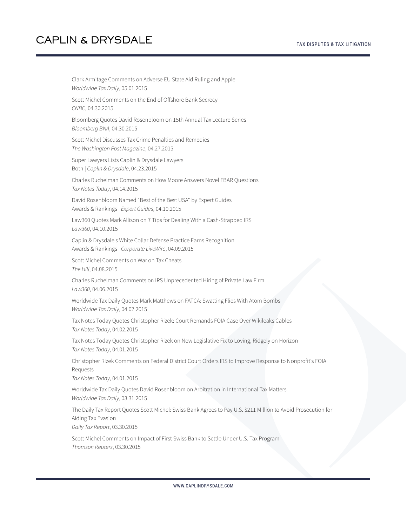Clark Armitage Comments on Adverse EU State Aid Ruling and Apple *Worldwide Tax Daily*, 05.01.2015 Scott Michel Comments on the End of Offshore Bank Secrecy *CNBC*, 04.30.2015 Bloomberg Quotes David Rosenbloom on 15th Annual Tax Lecture Series *Bloomberg BNA*, 04.30.2015 Scott Michel Discusses Tax Crime Penalties and Remedies *The Washington Post Magazine*, 04.27.2015 Super Lawyers Lists Caplin & Drysdale Lawyers Both | *Caplin & Drysdale*, 04.23.2015 Charles Ruchelman Comments on How Moore Answers Novel FBAR Questions *Tax Notes Today*, 04.14.2015 David Rosenbloom Named "Best of the Best USA" by Expert Guides Awards & Rankings | *Expert Guides*, 04.10.2015 Law360 Quotes Mark Allison on 7 Tips for Dealing With a Cash-Strapped IRS *Law360*, 04.10.2015 Caplin & Drysdale's White Collar Defense Practice Earns Recognition Awards & Rankings | *Corporate LiveWire*, 04.09.2015 Scott Michel Comments on War on Tax Cheats *The Hill*, 04.08.2015 Charles Ruchelman Comments on IRS Unprecedented Hiring of Private Law Firm *Law360*, 04.06.2015 Worldwide Tax Daily Quotes Mark Matthews on FATCA: Swatting Flies With Atom Bombs *Worldwide Tax Daily*, 04.02.2015 Tax Notes Today Quotes Christopher Rizek: Court Remands FOIA Case Over Wikileaks Cables *Tax Notes Today*, 04.02.2015 Tax Notes Today Quotes Christopher Rizek on New Legislative Fix to Loving, Ridgely on Horizon *Tax Notes Today*, 04.01.2015 Christopher Rizek Comments on Federal District Court Orders IRS to Improve Response to Nonprofit's FOIA Requests *Tax Notes Today*, 04.01.2015 Worldwide Tax Daily Quotes David Rosenbloom on Arbitration in International Tax Matters *Worldwide Tax Daily*, 03.31.2015 The Daily Tax Report Quotes Scott Michel: Swiss Bank Agrees to Pay U.S. \$211 Million to Avoid Prosecution for Aiding Tax Evasion *Daily Tax Report*, 03.30.2015 Scott Michel Comments on Impact of First Swiss Bank to Settle Under U.S. Tax Program

*Thomson Reuters*, 03.30.2015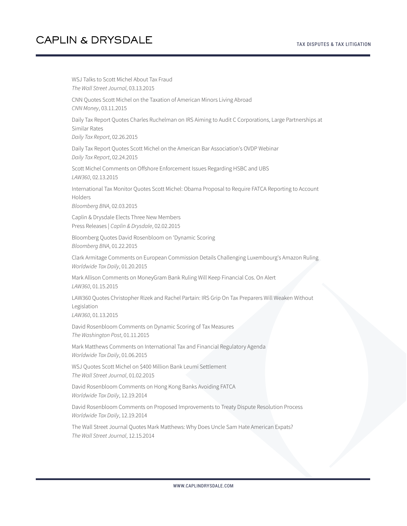#### TAX DISPUTES & TAX LITIGATION

#### **CAPLIN & DRYSDALE**

WSJ Talks to Scott Michel About Tax Fraud *The Wall Street Journal*, 03.13.2015 CNN Quotes Scott Michel on the Taxation of American Minors Living Abroad *CNN Money*, 03.11.2015 Daily Tax Report Quotes Charles Ruchelman on IRS Aiming to Audit C Corporations, Large Partnerships at Similar Rates *Daily Tax Report*, 02.26.2015 Daily Tax Report Quotes Scott Michel on the American Bar Association's OVDP Webinar *Daily Tax Report*, 02.24.2015 Scott Michel Comments on Offshore Enforcement Issues Regarding HSBC and UBS *LAW360*, 02.13.2015 International Tax Monitor Quotes Scott Michel: Obama Proposal to Require FATCA Reporting to Account Holders *Bloomberg BNA*, 02.03.2015 Caplin & Drysdale Elects Three New Members Press Releases | *Caplin & Drysdale*, 02.02.2015 Bloomberg Quotes David Rosenbloom on 'Dynamic Scoring *Bloomberg BNA*, 01.22.2015 Clark Armitage Comments on European Commission Details Challenging Luxembourg's Amazon Ruling *Worldwide Tax Daily*, 01.20.2015 Mark Allison Comments on MoneyGram Bank Ruling Will Keep Financial Cos. On Alert *LAW360*, 01.15.2015 LAW360 Quotes Christopher Rizek and Rachel Partain: IRS Grip On Tax Preparers Will Weaken Without Legislation *LAW360*, 01.13.2015 David Rosenbloom Comments on Dynamic Scoring of Tax Measures *The Washington Post*, 01.11.2015 Mark Matthews Comments on International Tax and Financial Regulatory Agenda *Worldwide Tax Daily*, 01.06.2015 WSJ Quotes Scott Michel on \$400 Million Bank Leumi Settlement *The Wall Street Journal*, 01.02.2015 David Rosenbloom Comments on Hong Kong Banks Avoiding FATCA *Worldwide Tax Daily*, 12.19.2014 David Rosenbloom Comments on Proposed Improvements to Treaty Dispute Resolution Process *Worldwide Tax Daily*, 12.19.2014 The Wall Street Journal Quotes Mark Matthews: Why Does Uncle Sam Hate American Expats? *The Wall Street Journal*, 12.15.2014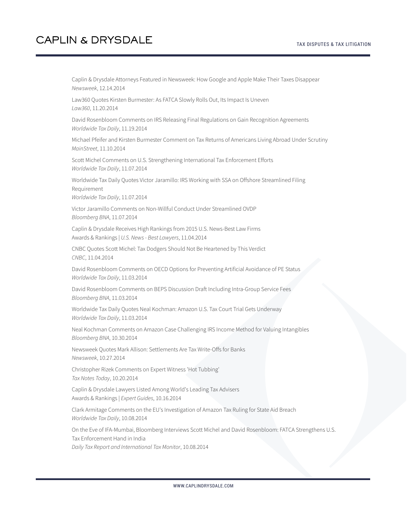Caplin & Drysdale Attorneys Featured in Newsweek: How Google and Apple Make Their Taxes Disappear *Newsweek*, 12.14.2014 Law360 Quotes Kirsten Burmester: As FATCA Slowly Rolls Out, Its Impact Is Uneven *Law360*, 11.20.2014 David Rosenbloom Comments on IRS Releasing Final Regulations on Gain Recognition Agreements *Worldwide Tax Daily*, 11.19.2014 Michael Pfeifer and Kirsten Burmester Comment on Tax Returns of Americans Living Abroad Under Scrutiny *MainStreet*, 11.10.2014 Scott Michel Comments on U.S. Strengthening International Tax Enforcement Efforts *Worldwide Tax Daily*, 11.07.2014 Worldwide Tax Daily Quotes Victor Jaramillo: IRS Working with SSA on Offshore Streamlined Filing Requirement *Worldwide Tax Daily*, 11.07.2014 Victor Jaramillo Comments on Non-Willful Conduct Under Streamlined OVDP *Bloomberg BNA*, 11.07.2014 Caplin & Drysdale Receives High Rankings from 2015 U.S. News-Best Law Firms Awards & Rankings | *U.S. News - Best Lawyers*, 11.04.2014 CNBC Quotes Scott Michel: Tax Dodgers Should Not Be Heartened by This Verdict *CNBC*, 11.04.2014 David Rosenbloom Comments on OECD Options for Preventing Artificial Avoidance of PE Status *Worldwide Tax Daily*, 11.03.2014 David Rosenbloom Comments on BEPS Discussion Draft Including Intra-Group Service Fees *Bloomberg BNA*, 11.03.2014 Worldwide Tax Daily Quotes Neal Kochman: Amazon U.S. Tax Court Trial Gets Underway *Worldwide Tax Daily*, 11.03.2014 Neal Kochman Comments on Amazon Case Challenging IRS Income Method for Valuing Intangibles *Bloomberg BNA*, 10.30.2014 Newsweek Quotes Mark Allison: Settlements Are Tax Write-Offs for Banks *Newsweek*, 10.27.2014 Christopher Rizek Comments on Expert Witness 'Hot Tubbing' *Tax Notes Today*, 10.20.2014 Caplin & Drysdale Lawyers Listed Among World's Leading Tax Advisers Awards & Rankings | *Expert Guides*, 10.16.2014 Clark Armitage Comments on the EU's Investigation of Amazon Tax Ruling for State Aid Breach *Worldwide Tax Daily*, 10.08.2014 On the Eve of IFA-Mumbai, Bloomberg Interviews Scott Michel and David Rosenbloom: FATCA Strengthens U.S. Tax Enforcement Hand in India *Daily Tax Report and International Tax Monitor*, 10.08.2014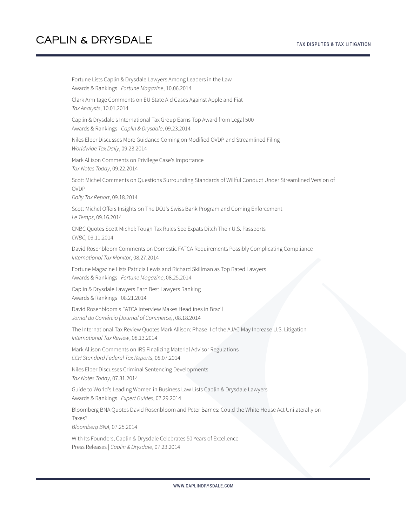Fortune Lists Caplin & Drysdale Lawyers Among Leaders in the Law Awards & Rankings | *Fortune Magazine*, 10.06.2014 Clark Armitage Comments on EU State Aid Cases Against Apple and Fiat *Tax Analysts*, 10.01.2014 Caplin & Drysdale's International Tax Group Earns Top Award from Legal 500 Awards & Rankings | *Caplin & Drysdale*, 09.23.2014 Niles Elber Discusses More Guidance Coming on Modified OVDP and Streamlined Filing *Worldwide Tax Daily*, 09.23.2014 Mark Allison Comments on Privilege Case's Importance *Tax Notes Today*, 09.22.2014 Scott Michel Comments on Questions Surrounding Standards of Willful Conduct Under Streamlined Version of OVDP *Daily Tax Report*, 09.18.2014 Scott Michel Offers Insights on The DOJ's Swiss Bank Program and Coming Enforcement *Le Temps*, 09.16.2014 CNBC Quotes Scott Michel: Tough Tax Rules See Expats Ditch Their U.S. Passports *CNBC*, 09.11.2014 David Rosenbloom Comments on Domestic FATCA Requirements Possibly Complicating Compliance *International Tax Monitor*, 08.27.2014 Fortune Magazine Lists Patricia Lewis and Richard Skillman as Top Rated Lawyers Awards & Rankings | *Fortune Magazine*, 08.25.2014 Caplin & Drysdale Lawyers Earn Best Lawyers Ranking Awards & Rankings | 08.21.2014 David Rosenbloom's FATCA Interview Makes Headlines in Brazil *Jornal do Comércio (Journal of Commerce)*, 08.18.2014 The International Tax Review Quotes Mark Allison: Phase II of the AJAC May Increase U.S. Litigation *International Tax Review*, 08.13.2014 Mark Allison Comments on IRS Finalizing Material Advisor Regulations *CCH Standard Federal Tax Reports*, 08.07.2014 Niles Elber Discusses Criminal Sentencing Developments *Tax Notes Today*, 07.31.2014 Guide to World's Leading Women in Business Law Lists Caplin & Drysdale Lawyers Awards & Rankings | *Expert Guides*, 07.29.2014 Bloomberg BNA Quotes David Rosenbloom and Peter Barnes: Could the White House Act Unilaterally on Taxes? *Bloomberg BNA*, 07.25.2014 With Its Founders, Caplin & Drysdale Celebrates 50 Years of Excellence Press Releases | *Caplin & Drysdale*, 07.23.2014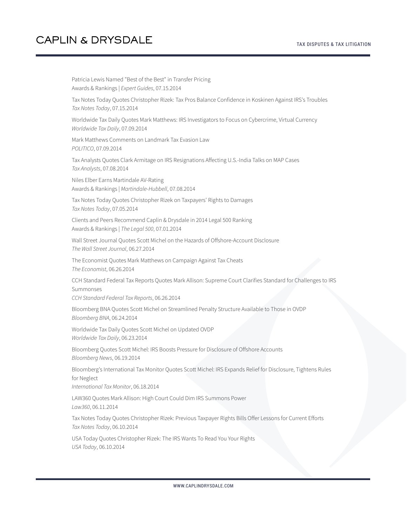Patricia Lewis Named "Best of the Best" in Transfer Pricing Awards & Rankings | *Expert Guides*, 07.15.2014 Tax Notes Today Quotes Christopher Rizek: Tax Pros Balance Confidence in Koskinen Against IRS's Troubles *Tax Notes Today*, 07.15.2014 Worldwide Tax Daily Quotes Mark Matthews: IRS Investigators to Focus on Cybercrime, Virtual Currency *Worldwide Tax Daily*, 07.09.2014 Mark Matthews Comments on Landmark Tax Evasion Law *POLITICO*, 07.09.2014 Tax Analysts Quotes Clark Armitage on IRS Resignations Affecting U.S.-India Talks on MAP Cases *Tax Analysts*, 07.08.2014 Niles Elber Earns Martindale AV-Rating Awards & Rankings | *Martindale-Hubbell*, 07.08.2014 Tax Notes Today Quotes Christopher Rizek on Taxpayers' Rights to Damages *Tax Notes Today*, 07.05.2014 Clients and Peers Recommend Caplin & Drysdale in 2014 Legal 500 Ranking Awards & Rankings | *The Legal 500*, 07.01.2014 Wall Street Journal Quotes Scott Michel on the Hazards of Offshore-Account Disclosure *The Wall Street Journal*, 06.27.2014 The Economist Quotes Mark Matthews on Campaign Against Tax Cheats *The Economist*, 06.26.2014 CCH Standard Federal Tax Reports Quotes Mark Allison: Supreme Court Clarifies Standard for Challenges to IRS Summonses *CCH Standard Federal Tax Reports*, 06.26.2014 Bloomberg BNA Quotes Scott Michel on Streamlined Penalty Structure Available to Those in OVDP *Bloomberg BNA*, 06.24.2014 Worldwide Tax Daily Quotes Scott Michel on Updated OVDP *Worldwide Tax Daily*, 06.23.2014 Bloomberg Quotes Scott Michel: IRS Boosts Pressure for Disclosure of Offshore Accounts *Bloomberg News*, 06.19.2014 Bloomberg's International Tax Monitor Quotes Scott Michel: IRS Expands Relief for Disclosure, Tightens Rules for Neglect *International Tax Monitor*, 06.18.2014 LAW360 Quotes Mark Allison: High Court Could Dim IRS Summons Power *Law360*, 06.11.2014 Tax Notes Today Quotes Christopher Rizek: Previous Taxpayer Rights Bills Offer Lessons for Current Efforts *Tax Notes Today*, 06.10.2014 USA Today Quotes Christopher Rizek: The IRS Wants To Read You Your Rights *USA Today*, 06.10.2014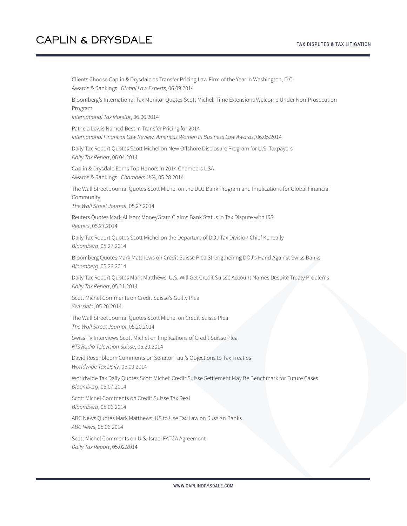Clients Choose Caplin & Drysdale as Transfer Pricing Law Firm of the Year in Washington, D.C. Awards & Rankings | *Global Law Experts*, 06.09.2014 Bloomberg's International Tax Monitor Quotes Scott Michel: Time Extensions Welcome Under Non-Prosecution Program *International Tax Monitor*, 06.06.2014 Patricia Lewis Named Best in Transfer Pricing for 2014 *International Financial Law Review, Americas Women in Business Law Awards*, 06.05.2014 Daily Tax Report Quotes Scott Michel on New Offshore Disclosure Program for U.S. Taxpayers *Daily Tax Report*, 06.04.2014 Caplin & Drysdale Earns Top Honors in 2014 Chambers USA Awards & Rankings | *Chambers USA*, 05.28.2014 The Wall Street Journal Quotes Scott Michel on the DOJ Bank Program and Implications for Global Financial Community *The Wall Street Journal*, 05.27.2014 Reuters Quotes Mark Allison: MoneyGram Claims Bank Status in Tax Dispute with IRS *Reuters*, 05.27.2014 Daily Tax Report Quotes Scott Michel on the Departure of DOJ Tax Division Chief Keneally *Bloomberg*, 05.27.2014 Bloomberg Quotes Mark Matthews on Credit Suisse Plea Strengthening DOJ's Hand Against Swiss Banks *Bloomberg*, 05.26.2014 Daily Tax Report Quotes Mark Matthews: U.S. Will Get Credit Suisse Account Names Despite Treaty Problems *Daily Tax Report*, 05.21.2014 Scott Michel Comments on Credit Suisse's Guilty Plea *Swissinfo*, 05.20.2014 The Wall Street Journal Quotes Scott Michel on Credit Suisse Plea *The Wall Street Journal*, 05.20.2014 Swiss TV Interviews Scott Michel on Implications of Credit Suisse Plea *RTS Radio Television Suisse*, 05.20.2014 David Rosenbloom Comments on Senator Paul's Objections to Tax Treaties *Worldwide Tax Daily*, 05.09.2014 Worldwide Tax Daily Quotes Scott Michel: Credit Suisse Settlement May Be Benchmark for Future Cases *Bloomberg*, 05.07.2014 Scott Michel Comments on Credit Suisse Tax Deal *Bloomberg*, 05.06.2014 ABC News Quotes Mark Matthews: US to Use Tax Law on Russian Banks *ABC News*, 05.06.2014 Scott Michel Comments on U.S.-Israel FATCA Agreement *Daily Tax Report*, 05.02.2014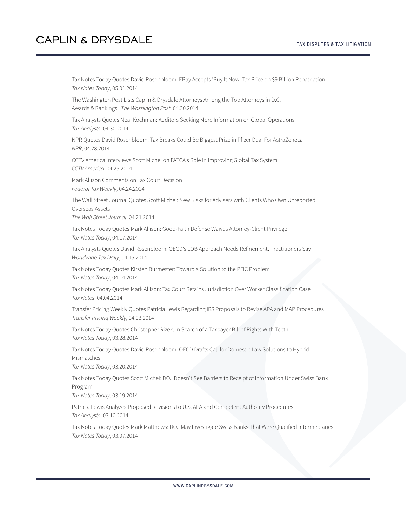Tax Notes Today Quotes David Rosenbloom: EBay Accepts 'Buy It Now' Tax Price on \$9 Billion Repatriation *Tax Notes Today*, 05.01.2014

The Washington Post Lists Caplin & Drysdale Attorneys Among the Top Attorneys in D.C. Awards & Rankings | *The Washington Post*, 04.30.2014

Tax Analysts Quotes Neal Kochman: Auditors Seeking More Information on Global Operations *Tax Analysts*, 04.30.2014

NPR Quotes David Rosenbloom: Tax Breaks Could Be Biggest Prize in Pfizer Deal For AstraZeneca *NPR*, 04.28.2014

CCTV America Interviews Scott Michel on FATCA's Role in Improving Global Tax System *CCTV America*, 04.25.2014

Mark Allison Comments on Tax Court Decision *Federal Tax Weekly*, 04.24.2014

The Wall Street Journal Quotes Scott Michel: New Risks for Advisers with Clients Who Own Unreported Overseas Assets

*The Wall Street Journal*, 04.21.2014

Tax Notes Today Quotes Mark Allison: Good-Faith Defense Waives Attorney-Client Privilege *Tax Notes Today*, 04.17.2014

Tax Analysts Quotes David Rosenbloom: OECD's LOB Approach Needs Refinement, Practitioners Say *Worldwide Tax Daily*, 04.15.2014

Tax Notes Today Quotes Kirsten Burmester: Toward a Solution to the PFIC Problem *Tax Notes Today*, 04.14.2014

Tax Notes Today Quotes Mark Allison: Tax Court Retains Jurisdiction Over Worker Classification Case *Tax Notes*, 04.04.2014

Transfer Pricing Weekly Quotes Patricia Lewis Regarding IRS Proposals to Revise APA and MAP Procedures *Transfer Pricing Weekly*, 04.03.2014

Tax Notes Today Quotes Christopher Rizek: In Search of a Taxpayer Bill of Rights With Teeth *Tax Notes Today*, 03.28.2014

Tax Notes Today Quotes David Rosenbloom: OECD Drafts Call for Domestic Law Solutions to Hybrid Mismatches

*Tax Notes Today*, 03.20.2014

Tax Notes Today Quotes Scott Michel: DOJ Doesn't See Barriers to Receipt of Information Under Swiss Bank Program

*Tax Notes Today*, 03.19.2014

Patricia Lewis Analyzes Proposed Revisions to U.S. APA and Competent Authority Procedures *Tax Analysts*, 03.10.2014

Tax Notes Today Quotes Mark Matthews: DOJ May Investigate Swiss Banks That Were Qualified Intermediaries *Tax Notes Today*, 03.07.2014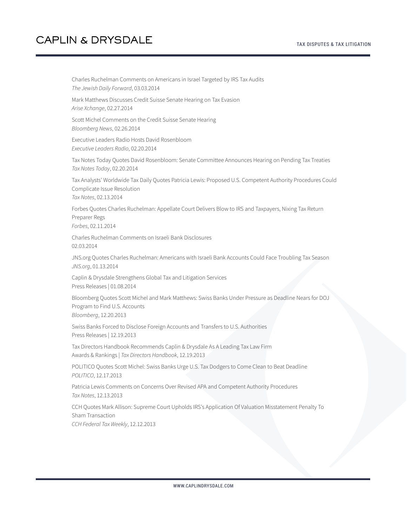Charles Ruchelman Comments on Americans in Israel Targeted by IRS Tax Audits *The Jewish Daily Forward*, 03.03.2014 Mark Matthews Discusses Credit Suisse Senate Hearing on Tax Evasion *Arise Xchange*, 02.27.2014 Scott Michel Comments on the Credit Suisse Senate Hearing *Bloomberg News*, 02.26.2014 Executive Leaders Radio Hosts David Rosenbloom *Executive Leaders Radio*, 02.20.2014 Tax Notes Today Quotes David Rosenbloom: Senate Committee Announces Hearing on Pending Tax Treaties *Tax Notes Today*, 02.20.2014 Tax Analysts' Worldwide Tax Daily Quotes Patricia Lewis: Proposed U.S. Competent Authority Procedures Could Complicate Issue Resolution *Tax Notes*, 02.13.2014 Forbes Quotes Charles Ruchelman: Appellate Court Delivers Blow to IRS and Taxpayers, Nixing Tax Return Preparer Regs *Forbes*, 02.11.2014 Charles Ruchelman Comments on Israeli Bank Disclosures 02.03.2014 JNS.org Quotes Charles Ruchelman: Americans with Israeli Bank Accounts Could Face Troubling Tax Season *JNS.org*, 01.13.2014 Caplin & Drysdale Strengthens Global Tax and Litigation Services Press Releases | 01.08.2014 Bloomberg Quotes Scott Michel and Mark Matthews: Swiss Banks Under Pressure as Deadline Nears for DOJ Program to Find U.S. Accounts *Bloomberg*, 12.20.2013 Swiss Banks Forced to Disclose Foreign Accounts and Transfers to U.S. Authorities Press Releases | 12.19.2013 Tax Directors Handbook Recommends Caplin & Drysdale As A Leading Tax Law Firm Awards & Rankings | *Tax Directors Handbook*, 12.19.2013 POLITICO Quotes Scott Michel: Swiss Banks Urge U.S. Tax Dodgers to Come Clean to Beat Deadline *POLITICO*, 12.17.2013 Patricia Lewis Comments on Concerns Over Revised APA and Competent Authority Procedures *Tax Notes*, 12.13.2013 CCH Quotes Mark Allison: Supreme Court Upholds IRS's Application Of Valuation Misstatement Penalty To Sham Transaction *CCH Federal Tax Weekly*, 12.12.2013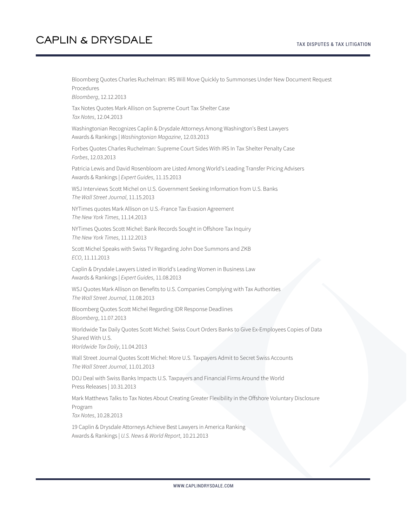#### TAX DISPUTES & TAX LITIGATION

# **CAPLIN & DRYSDALE**

Bloomberg Quotes Charles Ruchelman: IRS Will Move Quickly to Summonses Under New Document Request Procedures

*Bloomberg*, 12.12.2013

Tax Notes Quotes Mark Allison on Supreme Court Tax Shelter Case *Tax Notes*, 12.04.2013

Washingtonian Recognizes Caplin & Drysdale Attorneys Among Washington's Best Lawyers Awards & Rankings | *Washingtonian Magazine*, 12.03.2013

Forbes Quotes Charles Ruchelman: Supreme Court Sides With IRS In Tax Shelter Penalty Case *Forbes*, 12.03.2013

Patricia Lewis and David Rosenbloom are Listed Among World's Leading Transfer Pricing Advisers Awards & Rankings | *Expert Guides*, 11.15.2013

WSJ Interviews Scott Michel on U.S. Government Seeking Information from U.S. Banks *The Wall Street Journal*, 11.15.2013

NYTimes quotes Mark Allison on U.S.-France Tax Evasion Agreement *The New York Times*, 11.14.2013

NYTimes Quotes Scott Michel: Bank Records Sought in Offshore Tax Inquiry *The New York Times*, 11.12.2013

Scott Michel Speaks with Swiss TV Regarding John Doe Summons and ZKB *ECO*, 11.11.2013

Caplin & Drysdale Lawyers Listed in World's Leading Women in Business Law Awards & Rankings | *Expert Guides*, 11.08.2013

WSJ Quotes Mark Allison on Benefits to U.S. Companies Complying with Tax Authorities *The Wall Street Journal*, 11.08.2013

Bloomberg Quotes Scott Michel Regarding IDR Response Deadlines *Bloomberg*, 11.07.2013

Worldwide Tax Daily Quotes Scott Michel: Swiss Court Orders Banks to Give Ex-Employees Copies of Data Shared With U.S. *Worldwide Tax Daily*, 11.04.2013

Wall Street Journal Quotes Scott Michel: More U.S. Taxpayers Admit to Secret Swiss Accounts *The Wall Street Journal*, 11.01.2013

DOJ Deal with Swiss Banks Impacts U.S. Taxpayers and Financial Firms Around the World Press Releases | 10.31.2013

Mark Matthews Talks to Tax Notes About Creating Greater Flexibility in the Offshore Voluntary Disclosure Program

*Tax Notes*, 10.28.2013

19 Caplin & Drysdale Attorneys Achieve Best Lawyers in America Ranking Awards & Rankings | *U.S. News & World Report*, 10.21.2013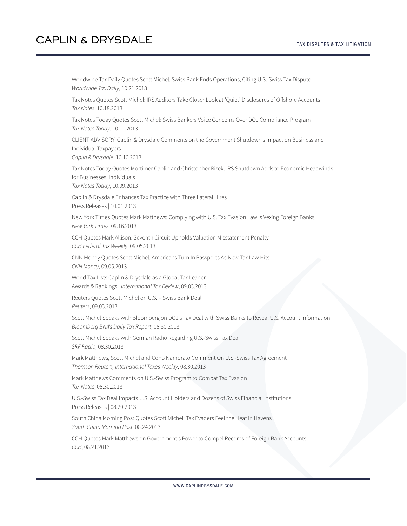Worldwide Tax Daily Quotes Scott Michel: Swiss Bank Ends Operations, Citing U.S.-Swiss Tax Dispute *Worldwide Tax Daily*, 10.21.2013

Tax Notes Quotes Scott Michel: IRS Auditors Take Closer Look at 'Quiet' Disclosures of Offshore Accounts *Tax Notes*, 10.18.2013

Tax Notes Today Quotes Scott Michel: Swiss Bankers Voice Concerns Over DOJ Compliance Program *Tax Notes Today*, 10.11.2013

CLIENT ADVISORY: Caplin & Drysdale Comments on the Government Shutdown's Impact on Business and Individual Taxpayers

*Caplin & Drysdale*, 10.10.2013

Tax Notes Today Quotes Mortimer Caplin and Christopher Rizek: IRS Shutdown Adds to Economic Headwinds for Businesses, Individuals *Tax Notes Today*, 10.09.2013

Caplin & Drysdale Enhances Tax Practice with Three Lateral Hires Press Releases | 10.01.2013

New York Times Quotes Mark Matthews: Complying with U.S. Tax Evasion Law is Vexing Foreign Banks *New York Times*, 09.16.2013

CCH Quotes Mark Allison: Seventh Circuit Upholds Valuation Misstatement Penalty *CCH Federal Tax Weekly*, 09.05.2013

CNN Money Quotes Scott Michel: Americans Turn In Passports As New Tax Law Hits *CNN Money*, 09.05.2013

World Tax Lists Caplin & Drysdale as a Global Tax Leader Awards & Rankings | *International Tax Review*, 09.03.2013

Reuters Quotes Scott Michel on U.S. – Swiss Bank Deal *Reuters*, 09.03.2013

Scott Michel Speaks with Bloomberg on DOJ's Tax Deal with Swiss Banks to Reveal U.S. Account Information *Bloomberg BNA's Daily Tax Report*, 08.30.2013

Scott Michel Speaks with German Radio Regarding U.S.-Swiss Tax Deal *SRF Radio*, 08.30.2013

Mark Matthews, Scott Michel and Cono Namorato Comment On U.S.-Swiss Tax Agreement *Thomson Reuters, International Taxes Weekly*, 08.30.2013

Mark Matthews Comments on U.S.-Swiss Program to Combat Tax Evasion *Tax Notes*, 08.30.2013

U.S.-Swiss Tax Deal Impacts U.S. Account Holders and Dozens of Swiss Financial Institutions Press Releases | 08.29.2013

South China Morning Post Quotes Scott Michel: Tax Evaders Feel the Heat in Havens *South China Morning Post*, 08.24.2013

CCH Quotes Mark Matthews on Government's Power to Compel Records of Foreign Bank Accounts *CCH*, 08.21.2013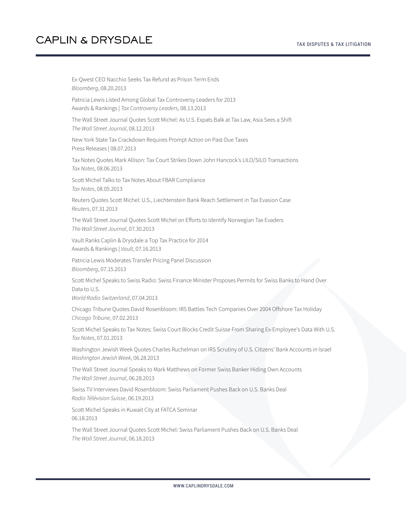Ex-Qwest CEO Nacchio Seeks Tax Refund as Prison Term Ends *Bloomberg*, 08.20.2013 Patricia Lewis Listed Among Global Tax Controversy Leaders for 2013 Awards & Rankings | *Tax Controversy Leaders*, 08.13.2013 The Wall Street Journal Quotes Scott Michel: As U.S. Expats Balk at Tax Law, Asia Sees a Shift *The Wall Street Journal*, 08.12.2013 New York State Tax Crackdown Requires Prompt Action on Past-Due Taxes Press Releases | 08.07.2013 Tax Notes Quotes Mark Allison: Tax Court Strikes Down John Hancock's LILO/SILO Transactions *Tax Notes*, 08.06.2013 Scott Michel Talks to Tax Notes About FBAR Compliance *Tax Notes*, 08.05.2013 Reuters Quotes Scott Michel: U.S., Liechtenstein Bank Reach Settlement in Tax Evasion Case *Reuters*, 07.31.2013 The Wall Street Journal Quotes Scott Michel on Efforts to Identify Norwegian Tax Evaders *The Wall Street Journal*, 07.30.2013 Vault Ranks Caplin & Drysdale a Top Tax Practice for 2014 Awards & Rankings | *Vault*, 07.16.2013 Patricia Lewis Moderates Transfer Pricing Panel Discussion *Bloomberg*, 07.15.2013 Scott Michel Speaks to Swiss Radio: Swiss Finance Minister Proposes Permits for Swiss Banks to Hand Over Data to U.S. *World Radio Switzerland*, 07.04.2013 Chicago Tribune Quotes David Rosenbloom: IRS Battles Tech Companies Over 2004 Offshore Tax Holiday *Chicago Tribune*, 07.02.2013 Scott Michel Speaks to Tax Notes: Swiss Court Blocks Credit Suisse From Sharing Ex-Employee's Data With U.S. *Tax Notes*, 07.01.2013 Washington Jewish Week Quotes Charles Ruchelman on IRS Scrutiny of U.S. Citizens' Bank Accounts in Israel *Washington Jewish Week*, 06.28.2013 The Wall Street Journal Speaks to Mark Matthews on Former Swiss Banker Hiding Own Accounts *The Wall Street Journal*, 06.28.2013 Swiss TV Interviews David Rosenbloom: Swiss Parliament Pushes Back on U.S. Banks Deal *Radio Télévision Suisse*, 06.19.2013 Scott Michel Speaks in Kuwait City at FATCA Seminar 06.18.2013 The Wall Street Journal Quotes Scott Michel: Swiss Parliament Pushes Back on U.S. Banks Deal *The Wall Street Journal*, 06.18.2013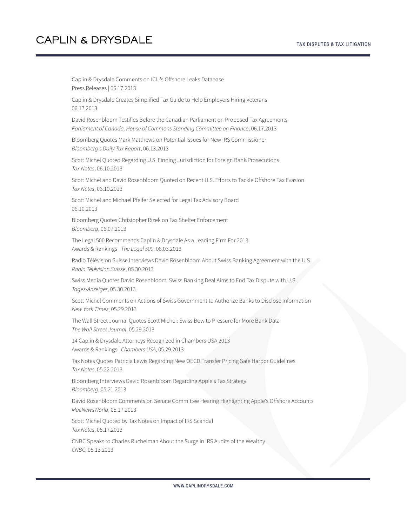Caplin & Drysdale Comments on ICIJ's Offshore Leaks Database Press Releases | 06.17.2013 Caplin & Drysdale Creates Simplified Tax Guide to Help Employers Hiring Veterans 06.17.2013 David Rosenbloom Testifies Before the Canadian Parliament on Proposed Tax Agreements *Parliament of Canada, House of Commons Standing Committee on Finance*, 06.17.2013 Bloomberg Quotes Mark Matthews on Potential Issues for New IRS Commissioner *Bloomberg's Daily Tax Report*, 06.13.2013 Scott Michel Quoted Regarding U.S. Finding Jurisdiction for Foreign Bank Prosecutions *Tax Notes*, 06.10.2013 Scott Michel and David Rosenbloom Quoted on Recent U.S. Efforts to Tackle Offshore Tax Evasion *Tax Notes*, 06.10.2013 Scott Michel and Michael Pfeifer Selected for Legal Tax Advisory Board 06.10.2013 Bloomberg Quotes Christopher Rizek on Tax Shelter Enforcement *Bloomberg*, 06.07.2013 The Legal 500 Recommends Caplin & Drysdale As a Leading Firm For 2013 Awards & Rankings | *The Legal 500*, 06.03.2013 Radio Télévision Suisse Interviews David Rosenbloom About Swiss Banking Agreement with the U.S. *Radio Télévision Suisse*, 05.30.2013 Swiss Media Quotes David Rosenbloom: Swiss Banking Deal Aims to End Tax Dispute with U.S. *Tages-Anzeiger*, 05.30.2013 Scott Michel Comments on Actions of Swiss Government to Authorize Banks to Disclose Information *New York Times*, 05.29.2013 The Wall Street Journal Quotes Scott Michel: Swiss Bow to Pressure for More Bank Data *The Wall Street Journal*, 05.29.2013 14 Caplin & Drysdale Attorneys Recognized in Chambers USA 2013 Awards & Rankings | *Chambers USA*, 05.29.2013 Tax Notes Quotes Patricia Lewis Regarding New OECD Transfer Pricing Safe Harbor Guidelines *Tax Notes*, 05.22.2013 Bloomberg Interviews David Rosenbloom Regarding Apple's Tax Strategy *Bloomberg*, 05.21.2013 David Rosenbloom Comments on Senate Committee Hearing Highlighting Apple's Offshore Accounts *MacNewsWorld*, 05.17.2013 Scott Michel Quoted by Tax Notes on Impact of IRS Scandal *Tax Notes*, 05.17.2013 CNBC Speaks to Charles Ruchelman About the Surge in IRS Audits of the Wealthy *CNBC*, 05.13.2013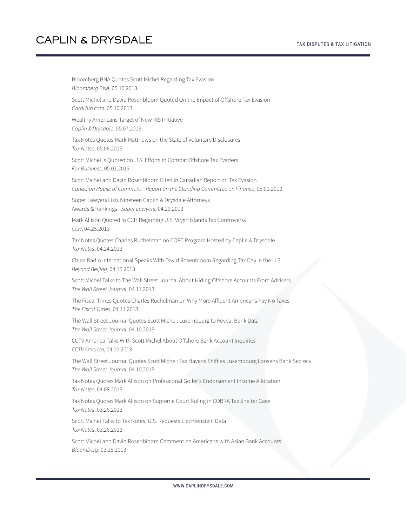Bloomberg BNA Quotes Scott Michel Regarding Tax Evasion *Bloomberg BNA*, 05.10.2013 Scott Michel and David Rosenbloom Quoted On the Impact of Offshore Tax Evasion *CardHub.com*, 05.10.2013 Wealthy Americans Target of New IRS Initiative *Caplin & Drysdale*, 05.07.2013 Tax Notes Quotes Mark Matthews on the State of Voluntary Disclosures *Tax Notes*, 05.06.2013 Scott Michel is Quoted on U.S. Efforts to Combat Offshore Tax Evaders *Fox Business*, 05.01.2013 Scott Michel and David Rosenbloom Cited in Canadian Report on Tax Evasion *Canadian House of Commons - Report on the Standing Committee on Finance*, 05.01.2013 Super Lawyers Lists Nineteen Caplin & Drysdale Attorneys Awards & Rankings | *Super Lawyers*, 04.29.2013 Mark Allison Quoted in CCH Regarding U.S. Virgin Islands Tax Controversy *CCH*, 04.25.2013 Tax Notes Quotes Charles Ruchelman on COFC Program Hosted by Caplin & Drysdale *Tax Notes*, 04.24.2013 China Radio International Speaks With David Rosenbloom Regarding Tax Day in the U.S. *Beyond Beijing*, 04.15.2013 Scott Michel Talks to The Wall Street Journal About Hiding Offshore Accounts From Advisers *The Wall Street Journal*, 04.11.2013 The Fiscal Times Quotes Charles Ruchelman on Why More Affluent Americans Pay No Taxes *The Fiscal Times*, 04.11.2013 The Wall Street Journal Quotes Scott Michel: Luxembourg to Reveal Bank Data *The Wall Street Journal*, 04.10.2013 CCTV America Talks With Scott Michel About Offshore Bank Account Inquiries *CCTV America*, 04.10.2013 The Wall Street Journal Quotes Scott Michel: Tax Havens Shift as Luxembourg Loosens Bank Secrecy *The Wall Street Journal*, 04.10.2013 Tax Notes Quotes Mark Allison on Professional Golfer's Endorsement Income Allocation *Tax Notes*, 04.08.2013 Tax Notes Quotes Mark Allison on Supreme Court Ruling in COBRA Tax Shelter Case *Tax Notes*, 03.26.2013 Scott Michel Talks to Tax Notes, U.S. Requests Liechtenstein Data *Tax Notes*, 03.26.2013 Scott Michel and David Rosenbloom Comment on Americans with Asian Bank Accounts *Bloomberg*, 03.25.2013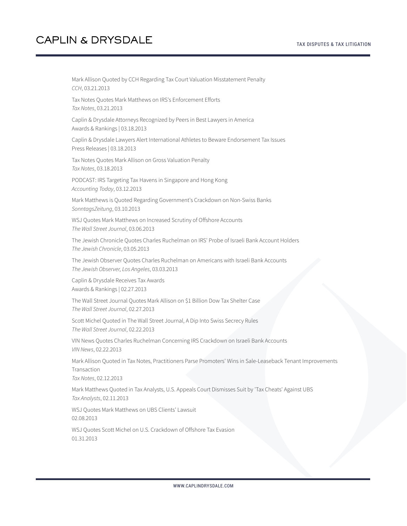Mark Allison Quoted by CCH Regarding Tax Court Valuation Misstatement Penalty *CCH*, 03.21.2013 Tax Notes Quotes Mark Matthews on IRS's Enforcement Efforts *Tax Notes*, 03.21.2013 Caplin & Drysdale Attorneys Recognized by Peers in Best Lawyers in America Awards & Rankings | 03.18.2013 Caplin & Drysdale Lawyers Alert International Athletes to Beware Endorsement Tax Issues Press Releases | 03.18.2013 Tax Notes Quotes Mark Allison on Gross Valuation Penalty *Tax Notes*, 03.18.2013 PODCAST: IRS Targeting Tax Havens in Singapore and Hong Kong *Accounting Today*, 03.12.2013 Mark Matthews is Quoted Regarding Government's Crackdown on Non-Swiss Banks *SonntagsZeitung*, 03.10.2013 WSJ Quotes Mark Matthews on Increased Scrutiny of Offshore Accounts *The Wall Street Journal*, 03.06.2013 The Jewish Chronicle Quotes Charles Ruchelman on IRS' Probe of Israeli Bank Account Holders *The Jewish Chronicle*, 03.05.2013 The Jewish Observer Quotes Charles Ruchelman on Americans with Israeli Bank Accounts *The Jewish Observer, Los Angeles*, 03.03.2013 Caplin & Drysdale Receives Tax Awards Awards & Rankings | 02.27.2013 The Wall Street Journal Quotes Mark Allison on \$1 Billion Dow Tax Shelter Case *The Wall Street Journal*, 02.27.2013 Scott Michel Quoted in The Wall Street Journal, A Dip Into Swiss Secrecy Rules *The Wall Street Journal*, 02.22.2013 VIN News Quotes Charles Ruchelman Concerning IRS Crackdown on Israeli Bank Accounts *VIN News*, 02.22.2013 Mark Allison Quoted in Tax Notes, Practitioners Parse Promoters' Wins in Sale-Leaseback Tenant Improvements Transaction *Tax Notes*, 02.12.2013 Mark Matthews Quoted in Tax Analysts, U.S. Appeals Court Dismisses Suit by 'Tax Cheats' Against UBS *Tax Analysts*, 02.11.2013 WSJ Quotes Mark Matthews on UBS Clients' Lawsuit 02.08.2013 WSJ Quotes Scott Michel on U.S. Crackdown of Offshore Tax Evasion 01.31.2013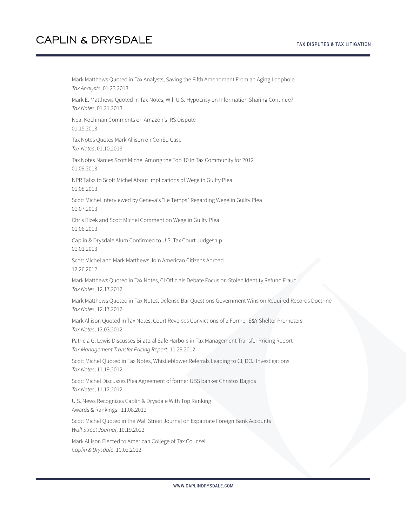Mark Matthews Quoted in Tax Analysts, Saving the Fifth Amendment From an Aging Loophole *Tax Analysts*, 01.23.2013 Mark E. Matthews Quoted in Tax Notes, Will U.S. Hypocrisy on Information Sharing Continue? *Tax Notes*, 01.21.2013 Neal Kochman Comments on Amazon's IRS Dispute 01.15.2013 Tax Notes Quotes Mark Allison on ConEd Case *Tax Notes*, 01.10.2013 Tax Notes Names Scott Michel Among the Top 10 in Tax Community for 2012 01.09.2013 NPR Talks to Scott Michel About Implications of Wegelin Guilty Plea 01.08.2013 Scott Michel Interviewed by Geneva's "Le Temps" Regarding Wegelin Guilty Plea 01.07.2013 Chris Rizek and Scott Michel Comment on Wegelin Guilty Plea 01.06.2013 Caplin & Drysdale Alum Confirmed to U.S. Tax Court Judgeship 01.01.2013 Scott Michel and Mark Matthews Join American Citizens Abroad 12.26.2012 Mark Matthews Quoted in Tax Notes, CI Officials Debate Focus on Stolen Identity Refund Fraud *Tax Notes*, 12.17.2012 Mark Matthews Quoted in Tax Notes, Defense Bar Questions Government Wins on Required Records Doctrine *Tax Notes*, 12.17.2012 Mark Allison Quoted in Tax Notes, Court Reverses Convictions of 2 Former E&Y Shelter Promoters *Tax Notes*, 12.03.2012 Patricia G. Lewis Discusses Bilateral Safe Harbors in Tax Management Transfer Pricing Report *Tax Management Transfer Pricing Report*, 11.29.2012 Scott Michel Quoted in Tax Notes, Whistleblower Referrals Leading to CI, DOJ Investigations *Tax Notes*, 11.19.2012 Scott Michel Discusses Plea Agreement of former UBS banker Christos Bagios *Tax Notes*, 11.12.2012 U.S. News Recognizes Caplin & Drysdale With Top Ranking Awards & Rankings | 11.08.2012 Scott Michel Quoted in the Wall Street Journal on Expatriate Foreign Bank Accounts *Wall Street Journal*, 10.19.2012 Mark Allison Elected to American College of Tax Counsel

*Caplin & Drysdale*, 10.02.2012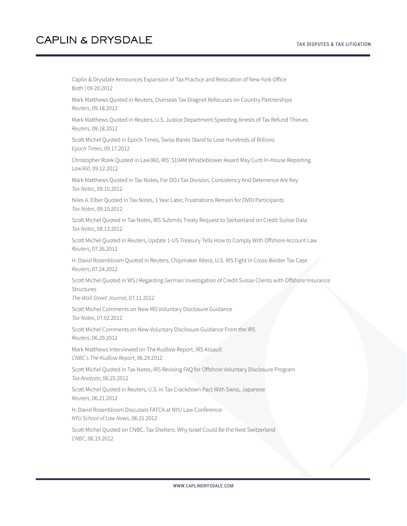Caplin & Drysdale Announces Expansion of Tax Practice and Relocation of New York Office Both | 09.20.2012

Mark Matthews Quoted in Reuters, Overseas Tax Dragnet Refocuses on Country Partnerships *Reuters*, 09.18.2012

Mark Matthews Quoted in Reuters, U.S. Justice Department Speeding Arrests of Tax Refund Thieves *Reuters*, 09.18.2012

Scott Michel Quoted in Epoch Times, Swiss Banks Stand to Lose Hundreds of Billions *Epoch Times*, 09.17.2012

Christopher Rizek Quoted in Law360, IRS' \$104M Whistleblower Award May Curb In-House Reporting *Law360*, 09.12.2012

Mark Matthews Quoted in Tax Notes, For DOJ Tax Division, Consistency And Deterrence Are Key *Tax Notes*, 09.10.2012

Niles A. Elber Quoted in Tax Notes, 1 Year Later, Frustrations Remain for OVDI Participants *Tax Notes*, 09.10.2012

Scott Michel Quoted in Tax Notes, IRS Submits Treaty Request to Switzerland on Credit Suisse Data *Tax Notes*, 08.13.2012

Scott Michel Quoted in Reuters, Update 1-US Treasury Tells How to Comply With Offshore Account Law *Reuters*, 07.26.2012

H. David Rosenbloom Quoted in Reuters, Chipmaker Altera, U.S. IRS Fight in Cross-Border Tax Case *Reuters*, 07.24.2012

Scott Michel Quoted in WSJ Regarding German Investigation of Credit Suisse Clients with Offshore Insurance Structures

*The Wall Street Journal*, 07.11.2012

Scott Michel Comments on New IRS Voluntary Disclosure Guidance *Tax Notes*, 07.02.2012

Scott Michel Comments on New Voluntary Disclosure Guidance From the IRS *Reuters*, 06.29.2012

Mark Matthews Interviewed on The Kudlow Report, IRS Assault *CNBC's The Kudlow Report*, 06.29.2012

Scott Michel Quoted in Tax Notes, IRS Revising FAQ for Offshore Voluntary Disclosure Program *Tax Analysts*, 06.25.2012

Scott Michel Quoted in Reuters, U.S. in Tax Crackdown Pact With Swiss, Japanese *Reuters*, 06.21.2012

H. David Rosenbloom Discusses FATCA at NYU Law Conference *NYU School of Law News*, 06.21.2012

Scott Michel Quoted on CNBC, Tax Shelters: Why Israel Could Be the Next Switzerland *CNBC*, 06.19.2012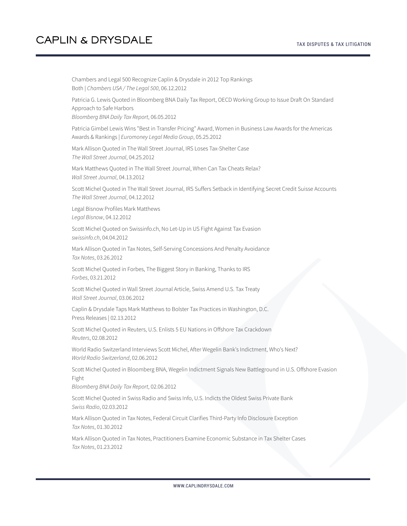Chambers and Legal 500 Recognize Caplin & Drysdale in 2012 Top Rankings Both | *Chambers USA / The Legal 500*, 06.12.2012 Patricia G. Lewis Quoted in Bloomberg BNA Daily Tax Report, OECD Working Group to Issue Draft On Standard Approach to Safe Harbors *Bloomberg BNA Daily Tax Report*, 06.05.2012 Patricia Gimbel Lewis Wins "Best in Transfer Pricing" Award, Women in Business Law Awards for the Americas Awards & Rankings | *Euromoney Legal Media Group*, 05.25.2012 Mark Allison Quoted in The Wall Street Journal, IRS Loses Tax-Shelter Case *The Wall Street Journal*, 04.25.2012 Mark Matthews Quoted in The Wall Street Journal, When Can Tax Cheats Relax? *Wall Street Journal*, 04.13.2012 Scott Michel Quoted in The Wall Street Journal, IRS Suffers Setback in Identifying Secret Credit Suisse Accounts *The Wall Street Journal*, 04.12.2012 Legal Bisnow Profiles Mark Matthews *Legal Bisnow*, 04.12.2012 Scott Michel Quoted on Swissinfo.ch, No Let-Up in US Fight Against Tax Evasion *swissinfo.ch*, 04.04.2012 Mark Allison Quoted in Tax Notes, Self-Serving Concessions And Penalty Avoidance *Tax Notes*, 03.26.2012 Scott Michel Quoted in Forbes, The Biggest Story in Banking, Thanks to IRS *Forbes*, 03.21.2012 Scott Michel Quoted in Wall Street Journal Article, Swiss Amend U.S. Tax Treaty *Wall Street Journal*, 03.06.2012 Caplin & Drysdale Taps Mark Matthews to Bolster Tax Practices in Washington, D.C. Press Releases | 02.13.2012 Scott Michel Quoted in Reuters, U.S. Enlists 5 EU Nations in Offshore Tax Crackdown *Reuters*, 02.08.2012 World Radio Switzerland Interviews Scott Michel, After Wegelin Bank's Indictment, Who's Next? *World Radio Switzerland*, 02.06.2012 Scott Michel Quoted in Bloomberg BNA, Wegelin Indictment Signals New Battleground in U.S. Offshore Evasion Fight *Bloomberg BNA Daily Tax Report*, 02.06.2012 Scott Michel Quoted in Swiss Radio and Swiss Info, U.S. Indicts the Oldest Swiss Private Bank *Swiss Radio*, 02.03.2012 Mark Allison Quoted in Tax Notes, Federal Circuit Clarifies Third-Party Info Disclosure Exception *Tax Notes*, 01.30.2012 Mark Allison Quoted in Tax Notes, Practitioners Examine Economic Substance in Tax Shelter Cases *Tax Notes*, 01.23.2012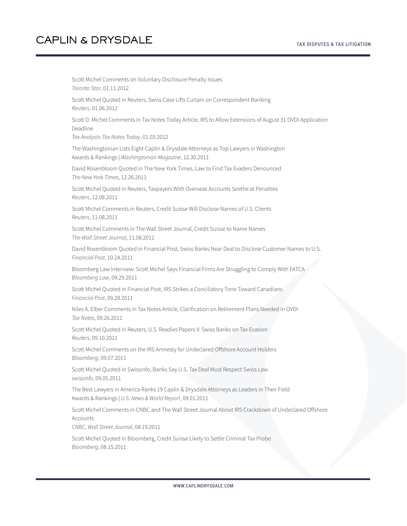Scott Michel Comments on Voluntary Disclosure Penalty Issues *Toronto Star*, 01.11.2012 Scott Michel Quoted in Reuters, Swiss Case Lifts Curtain on Correspondent Banking *Reuters*, 01.06.2012 Scott D. Michel Comments in Tax Notes Today Article, IRS to Allow Extensions of August 31 OVDI Application Deadline *Tax Analysts-Tax Notes Today*, 01.03.2012 The Washingtonian Lists Eight Caplin & Drysdale Attorneys as Top Lawyers in Washington Awards & Rankings | *Washingtonian Magazine*, 12.30.2011 David Rosenbloom Quoted in The New York Times, Law to Find Tax Evaders Denounced *The New York Times*, 12.26.2011 Scott Michel Quoted in Reuters, Taxpayers With Overseas Accounts Seethe at Penalties *Reuters*, 12.08.2011 Scott Michel Comments in Reuters, Credit Suisse Will Disclose Names of U.S. Clients *Reuters*, 11.08.2011 Scott Michel Comments in The Wall Street Journal, Credit Suisse to Name Names *The Wall Street Journal*, 11.08.2011 David Rosenbloom Quoted in Financial Post, Swiss Banks Near Deal to Disclose Customer Names to U.S. *Financial Post*, 10.24.2011 Bloomberg Law Interview: Scott Michel Says Financial Firms Are Struggling to Comply With FATCA *Bloomberg Law*, 09.29.2011 Scott Michel Quoted in Financial Post, IRS Strikes a Conciliatory Tone Toward Canadians *Financial Post*, 09.28.2011 Niles A. Elber Comments in Tax Notes Article, Clarification on Retirement Plans Needed in OVDI *Tax Notes*, 09.26.2011 Scott Michel Quoted in Reuters, U.S. Readies Papers V. Swiss Banks on Tax Evasion *Reuters*, 09.10.2011 Scott Michel Comments on the IRS Amnesty for Undeclared Offshore Account Holders *Bloomberg*, 09.07.2011 Scott Michel Quoted in Swissinfo, Banks Say U.S. Tax Deal Must Respect Swiss Law *swissinfo*, 09.05.2011 The Best Lawyers in America Ranks 19 Caplin & Drysdale Attorneys as Leaders in Their Field Awards & Rankings | *U.S. News & World Report*, 09.01.2011 Scott Michel Comments in CNBC and The Wall Street Journal About IRS Crackdown of Undeclared Offshore Accounts *CNBC, Wall Street Journal*, 08.19.2011 Scott Michel Quoted in Bloomberg, Credit Suisse Likely to Settle Criminal Tax Probe *Bloomberg*, 08.15.2011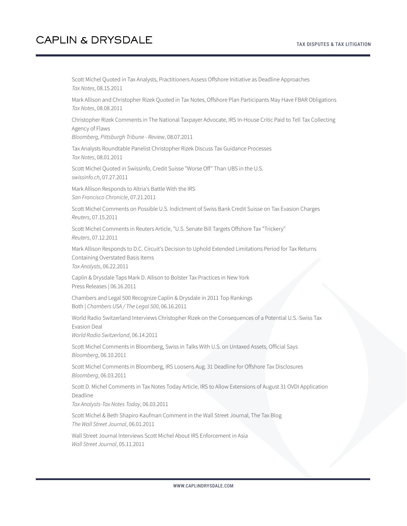Scott Michel Quoted in Tax Analysts, Practitioners Assess Offshore Initiative as Deadline Approaches *Tax Notes*, 08.15.2011

Mark Allison and Christopher Rizek Quoted in Tax Notes, Offshore Plan Participants May Have FBAR Obligations *Tax Notes*, 08.08.2011

Christopher Rizek Comments in The National Taxpayer Advocate, IRS In-House Critic Paid to Tell Tax Collecting Agency of Flaws

*Bloomberg, Pittsburgh Tribune - Review*, 08.07.2011

Tax Analysts Roundtable Panelist Christopher Rizek Discuss Tax Guidance Processes *Tax Notes*, 08.01.2011

Scott Michel Quoted in Swissinfo, Credit Suisse "Worse Off" Than UBS in the U.S. *swissinfo.ch*, 07.27.2011

Mark Allison Responds to Altria's Battle With the IRS *San Francisco Chronicle*, 07.21.2011

Scott Michel Comments on Possible U.S. Indictment of Swiss Bank Credit Suisse on Tax Evasion Charges *Reuters*, 07.15.2011

Scott Michel Comments in Reuters Article, "U.S. Senate Bill Targets Offshore Tax "Trickery" *Reuters*, 07.12.2011

Mark Allison Responds to D.C. Circuit's Decision to Uphold Extended Limitations Period for Tax Returns Containing Overstated Basis Items *Tax Analysts*, 06.22.2011

Caplin & Drysdale Taps Mark D. Allison to Bolster Tax Practices in New York Press Releases | 06.16.2011

Chambers and Legal 500 Recognize Caplin & Drysdale in 2011 Top Rankings Both | *Chambers USA / The Legal 500*, 06.16.2011

World Radio Switzerland Interviews Christopher Rizek on the Consequences of a Potential U.S.-Swiss Tax Evasion Deal

*World Radio Switzerland*, 06.14.2011

Scott Michel Comments in Bloomberg, Swiss in Talks With U.S. on Untaxed Assets, Official Says *Bloomberg*, 06.10.2011

Scott Michel Comments in Bloomberg, IRS Loosens Aug. 31 Deadline for Offshore Tax Disclosures *Bloomberg*, 06.03.2011

Scott D. Michel Comments in Tax Notes Today Article, IRS to Allow Extensions of August 31 OVDI Application Deadline

*Tax Analysts-Tax Notes Today*, 06.03.2011

Scott Michel & Beth Shapiro Kaufman Comment in the Wall Street Journal, The Tax Blog *The Wall Street Journal*, 06.01.2011

Wall Street Journal Interviews Scott Michel About IRS Enforcement in Asia *Wall Street Journal*, 05.11.2011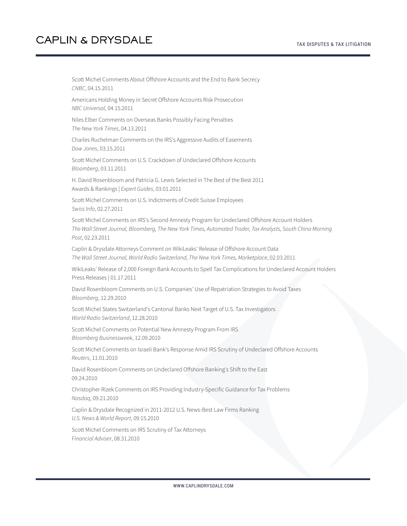Scott Michel Comments About Offshore Accounts and the End to Bank Secrecy *CNBC*, 04.15.2011

Americans Holding Money in Secret Offshore Accounts Risk Prosecution *NBC Universal*, 04.15.2011

Niles Elber Comments on Overseas Banks Possibly Facing Penalties *The New York Times*, 04.13.2011

Charles Ruchelman Comments on the IRS's Aggressive Audits of Easements *Dow Jones*, 03.15.2011

Scott Michel Comments on U.S. Crackdown of Undeclared Offshore Accounts *Bloomberg*, 03.11.2011

H. David Rosenbloom and Patricia G. Lewis Selected in The Best of the Best 2011 Awards & Rankings | *Expert Guides*, 03.01.2011

Scott Michel Comments on U.S. Indictments of Credit Suisse Employees *Swiss Info*, 02.27.2011

Scott Michel Comments on IRS's Second Amnesty Program for Undeclared Offshore Account Holders *The Wall Street Journal, Bloomberg, The New York Times, Automated Trader, Tax Analysts, South China Morning Post*, 02.23.2011

Caplin & Drysdale Attorneys Comment on WikiLeaks' Release of Offshore Account Data *The Wall Street Journal, World Radio Switzerland, The New York Times, Marketplace*, 02.03.2011

WikiLeaks' Release of 2,000 Foreign Bank Accounts to Spell Tax Complications for Undeclared Account Holders Press Releases | 01.17.2011

David Rosenbloom Comments on U.S. Companies' Use of Repatriation Strategies to Avoid Taxes *Bloomberg*, 12.29.2010

Scott Michel States Switzerland's Cantonal Banks Next Target of U.S. Tax Investigators *World Radio Switzerland*, 12.28.2010

Scott Michel Comments on Potential New Amnesty Program From IRS *Bloomberg Businessweek*, 12.09.2010

Scott Michel Comments on Israeli Bank's Response Amid IRS Scrutiny of Undeclared Offshore Accounts *Reuters*, 11.01.2010

David Rosenbloom Comments on Undeclared Offshore Banking's Shift to the East 09.24.2010

Christopher Rizek Comments on IRS Providing Industry-Specific Guidance for Tax Problems *Nasdaq*, 09.21.2010

Caplin & Drysdale Recognized in 2011-2012 U.S. News-Best Law Firms Ranking *U.S. News & World Report*, 09.15.2010

Scott Michel Comments on IRS Scrutiny of Tax Attorneys *Financial Adviser*, 08.31.2010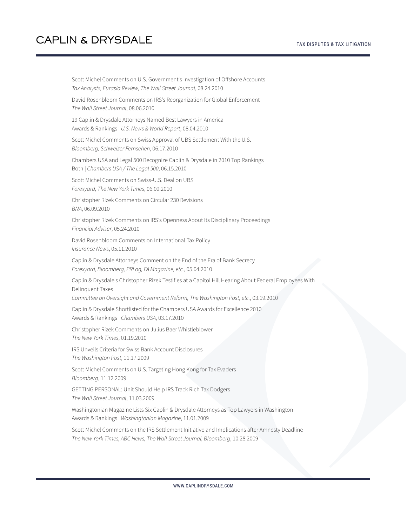Scott Michel Comments on U.S. Government's Investigation of Offshore Accounts *Tax Analysts, Eurasia Review, The Wall Street Journal*, 08.24.2010

David Rosenbloom Comments on IRS's Reorganization for Global Enforcement *The Wall Street Journal*, 08.06.2010

19 Caplin & Drysdale Attorneys Named Best Lawyers in America Awards & Rankings | *U.S. News & World Report*, 08.04.2010

Scott Michel Comments on Swiss Approval of UBS Settlement With the U.S. *Bloomberg, Schweizer Fernsehen*, 06.17.2010

Chambers USA and Legal 500 Recognize Caplin & Drysdale in 2010 Top Rankings Both | *Chambers USA / The Legal 500*, 06.15.2010

Scott Michel Comments on Swiss-U.S. Deal on UBS *Forexyard, The New York Times*, 06.09.2010

Christopher Rizek Comments on Circular 230 Revisions *BNA*, 06.09.2010

Christopher Rizek Comments on IRS's Openness About Its Disciplinary Proceedings *Financial Adviser*, 05.24.2010

David Rosenbloom Comments on International Tax Policy *Insurance News*, 05.11.2010

Caplin & Drysdale Attorneys Comment on the End of the Era of Bank Secrecy *Forexyard, Bloomberg, PRLog, FA Magazine, etc.*, 05.04.2010

Caplin & Drysdale's Christopher Rizek Testifies at a Capitol Hill Hearing About Federal Employees With Delinquent Taxes

*Committee on Oversight and Government Reform, The Washington Post, etc.*, 03.19.2010

Caplin & Drysdale Shortlisted for the Chambers USA Awards for Excellence 2010 Awards & Rankings | *Chambers USA*, 03.17.2010

Christopher Rizek Comments on Julius Baer Whistleblower *The New York Times*, 01.19.2010

IRS Unveils Criteria for Swiss Bank Account Disclosures *The Washington Post*, 11.17.2009

Scott Michel Comments on U.S. Targeting Hong Kong for Tax Evaders *Bloomberg*, 11.12.2009

GETTING PERSONAL: Unit Should Help IRS Track Rich Tax Dodgers *The Wall Street Journal*, 11.03.2009

Washingtonian Magazine Lists Six Caplin & Drysdale Attorneys as Top Lawyers in Washington Awards & Rankings | *Washingtonian Magazine*, 11.01.2009

Scott Michel Comments on the IRS Settlement Initiative and Implications after Amnesty Deadline *The New York Times, ABC News, The Wall Street Journal, Bloomberg*, 10.28.2009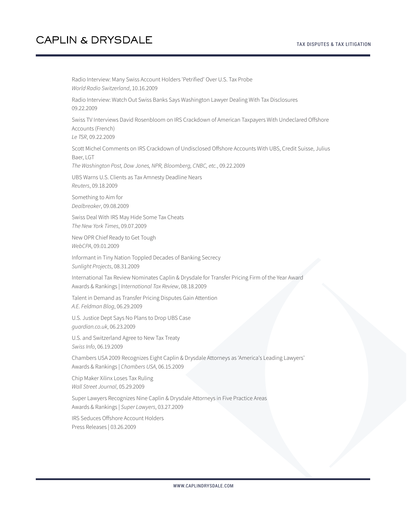Radio Interview: Many Swiss Account Holders 'Petrified' Over U.S. Tax Probe *World Radio Switzerland*, 10.16.2009 Radio Interview: Watch Out Swiss Banks Says Washington Lawyer Dealing With Tax Disclosures 09.22.2009 Swiss TV Interviews David Rosenbloom on IRS Crackdown of American Taxpayers With Undeclared Offshore Accounts (French) *Le TSR*, 09.22.2009 Scott Michel Comments on IRS Crackdown of Undisclosed Offshore Accounts With UBS, Credit Suisse, Julius Baer, LGT *The Washington Post, Dow Jones, NPR, Bloomberg, CNBC, etc.*, 09.22.2009 UBS Warns U.S. Clients as Tax Amnesty Deadline Nears *Reuters*, 09.18.2009 Something to Aim for *Dealbreaker*, 09.08.2009 Swiss Deal With IRS May Hide Some Tax Cheats *The New York Times*, 09.07.2009 New OPR Chief Ready to Get Tough *WebCPA*, 09.01.2009 Informant in Tiny Nation Toppled Decades of Banking Secrecy *Sunlight Projects*, 08.31.2009 International Tax Review Nominates Caplin & Drysdale for Transfer Pricing Firm of the Year Award Awards & Rankings | *International Tax Review*, 08.18.2009 Talent in Demand as Transfer Pricing Disputes Gain Attention *A.E. Feldman Blog*, 06.29.2009 U.S. Justice Dept Says No Plans to Drop UBS Case *guardian.co.uk*, 06.23.2009 U.S. and Switzerland Agree to New Tax Treaty *Swiss Info*, 06.19.2009 Chambers USA 2009 Recognizes Eight Caplin & Drysdale Attorneys as 'America's Leading Lawyers' Awards & Rankings | *Chambers USA*, 06.15.2009 Chip Maker Xilinx Loses Tax Ruling *Wall Street Journal*, 05.29.2009 Super Lawyers Recognizes Nine Caplin & Drysdale Attorneys in Five Practice Areas Awards & Rankings | *Super Lawyers*, 03.27.2009 IRS Seduces Offshore Account Holders Press Releases | 03.26.2009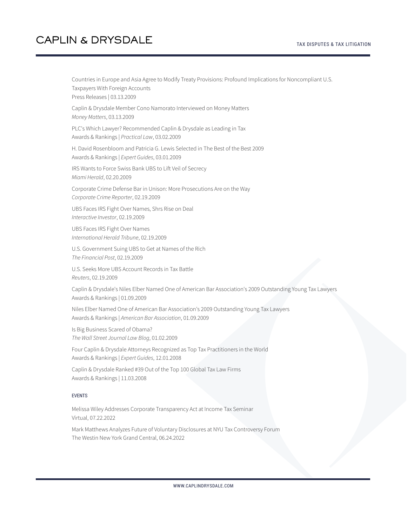#### TAX DISPUTES & TAX LITIGATION

# **CAPLIN & DRYSDALE**

Countries in Europe and Asia Agree to Modify Treaty Provisions: Profound Implications for Noncompliant U.S. Taxpayers With Foreign Accounts Press Releases | 03.13.2009

Caplin & Drysdale Member Cono Namorato Interviewed on Money Matters *Money Matters*, 03.13.2009

PLC's Which Lawyer? Recommended Caplin & Drysdale as Leading in Tax Awards & Rankings | *Practical Law*, 03.02.2009

H. David Rosenbloom and Patricia G. Lewis Selected in The Best of the Best 2009 Awards & Rankings | *Expert Guides*, 03.01.2009

IRS Wants to Force Swiss Bank UBS to Lift Veil of Secrecy *Miami Herald*, 02.20.2009

Corporate Crime Defense Bar in Unison: More Prosecutions Are on the Way *Corporate Crime Reporter*, 02.19.2009

UBS Faces IRS Fight Over Names, Shrs Rise on Deal *Interactive Investor*, 02.19.2009

UBS Faces IRS Fight Over Names *International Herald Tribune*, 02.19.2009

U.S. Government Suing UBS to Get at Names of the Rich *The Financial Post*, 02.19.2009

U.S. Seeks More UBS Account Records in Tax Battle *Reuters*, 02.19.2009

Caplin & Drysdale's Niles Elber Named One of American Bar Association's 2009 Outstanding Young Tax Lawyers Awards & Rankings | 01.09.2009

Niles Elber Named One of American Bar Association's 2009 Outstanding Young Tax Lawyers Awards & Rankings | *American Bar Association*, 01.09.2009

Is Big Business Scared of Obama? *The Wall Street Journal Law Blog*, 01.02.2009

Four Caplin & Drysdale Attorneys Recognized as Top Tax Practitioners in the World Awards & Rankings | *Expert Guides*, 12.01.2008

Caplin & Drysdale Ranked #39 Out of the Top 100 Global Tax Law Firms Awards & Rankings | 11.03.2008

#### EVENTS

Melissa Wiley Addresses Corporate Transparency Act at Income Tax Seminar Virtual, 07.22.2022

Mark Matthews Analyzes Future of Voluntary Disclosures at NYU Tax Controversy Forum The Westin New York Grand Central, 06.24.2022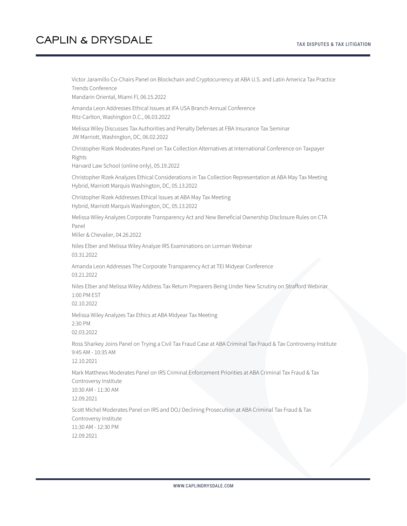Victor Jaramillo Co-Chairs Panel on Blockchain and Cryptocurrency at ABA U.S. and Latin America Tax Practice Trends Conference

Mandarin Oriental, Miami Fl, 06.15.2022

Amanda Leon Addresses Ethical Issues at IFA USA Branch Annual Conference Ritz-Carlton, Washington D.C., 06.03.2022

Melissa Wiley Discusses Tax Authorities and Penalty Defenses at FBA Insurance Tax Seminar JW Marriott, Washington, DC, 06.02.2022

Christopher Rizek Moderates Panel on Tax Collection Alternatives at International Conference on Taxpayer Rights

Harvard Law School (online only), 05.19.2022

Christopher Rizek Analyzes Ethical Considerations in Tax Collection Representation at ABA May Tax Meeting Hybrid, Marriott Marquis Washington, DC, 05.13.2022

Christopher Rizek Addresses Ethical Issues at ABA May Tax Meeting Hybrid, Marriott Marquis Washington, DC, 05.13.2022

Melissa Wiley Analyzes Corporate Transparency Act and New Beneficial Ownership Disclosure Rules on CTA Panel

Miller & Chevalier, 04.26.2022

Niles Elber and Melissa Wiley Analyze IRS Examinations on Lorman Webinar 03.31.2022

Amanda Leon Addresses The Corporate Transparency Act at TEI Midyear Conference 03.21.2022

Niles Elber and Melissa Wiley Address Tax Return Preparers Being Under New Scrutiny on Strafford Webinar 1:00 PM EST

02.10.2022

Melissa Wiley Analyzes Tax Ethics at ABA Midyear Tax Meeting 2:30 PM

02.03.2022

Ross Sharkey Joins Panel on Trying a Civil Tax Fraud Case at ABA Criminal Tax Fraud & Tax Controversy Institute 9:45 AM - 10:35 AM

12.10.2021

Mark Matthews Moderates Panel on IRS Criminal Enforcement Priorities at ABA Criminal Tax Fraud & Tax Controversy Institute 10:30 AM - 11:30 AM

12.09.2021

Scott Michel Moderates Panel on IRS and DOJ Declining Prosecution at ABA Criminal Tax Fraud & Tax Controversy Institute 11:30 AM - 12:30 PM 12.09.2021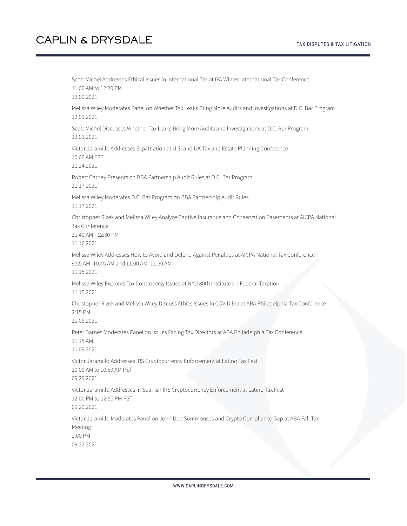Scott Michel Addresses Ethical Issues in International Tax at IFA Winter International Tax Conference 11:00 AM to 12:20 PM 12.09.2021 Melissa Wiley Moderates Panel on Whether Tax Leaks Bring More Audits and Investigations at D.C. Bar Program 12.01.2021 Scott Michel Discusses Whether Tax Leaks Bring More Audits and Investigations at D.C. Bar Program 12.01.2021 Victor Jaramillo Addresses Expatriation at U.S. and UK Tax and Estate Planning Conference 10:00 AM EST 11.24.2021 Robert Carney Presents on BBA Partnership Audit Rules at D.C. Bar Program 11.17.2021 Melissa Wiley Moderates D.C. Bar Program on BBA Partnership Audit Rules 11.17.2021 Christopher Rizek and Melissa Wiley Analyze Captive Insurance and Conservation Easements at AICPA National Tax Conference 11:40 AM - 12:30 PM 11.16.2021 Melissa Wiley Addresses How to Avoid and Defend Against Penalties at AICPA National Tax Conference 9:55 AM–10:45 AM and 11:00 AM–11:50 AM 11.15.2021 Melissa Wiley Explores Tax Controversy Issues at NYU 80th Institute on Federal Taxation 11.15.2021 Christopher Rizek and Melissa Wiley Discuss Ethics Issues in COVID Era at ABA Philadelphia Tax Conference 2:15 PM 11.09.2021 Peter Barnes Moderates Panel on Issues Facing Tax Directors at ABA Philadelphia Tax Conference 11:15 AM 11.09.2021 Victor Jaramillo Addresses IRS Cryptocurrency Enforcement at Latino Tax Fest 10:00 AM to 10:50 AM PST 09.29.2021 Victor Jaramillo Addresses in Spanish IRS Cryptocurrency Enforcement at Latino Tax Fest 12:00 PM to 12:50 PM PST 09.29.2021 Victor Jaramillo Moderates Panel on John Doe Summonses and Crypto Compliance Gap at ABA Fall Tax Meeting 2:00 PM 09.22.2021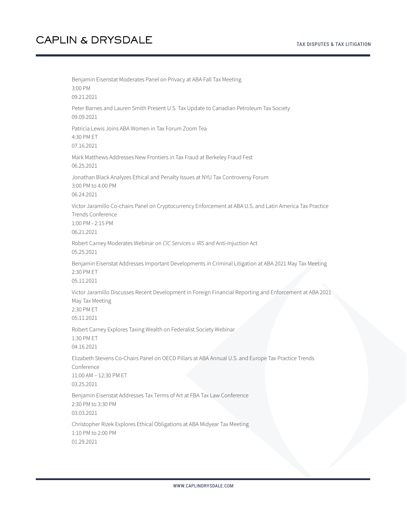Benjamin Eisenstat Moderates Panel on Privacy at ABA Fall Tax Meeting 3:00 PM 09.21.2021 Peter Barnes and Lauren Smith Present U.S. Tax Update to Canadian Petroleum Tax Society 09.09.2021 Patricia Lewis Joins ABA Women in Tax Forum Zoom Tea 4:30 PM ET 07.16.2021 Mark Matthews Addresses New Frontiers in Tax Fraud at Berkeley Fraud Fest 06.25.2021 Jonathan Black Analyzes Ethical and Penalty Issues at NYU Tax Controversy Forum 3:00 PM to 4:00 PM 06.24.2021 Victor Jaramillo Co-chairs Panel on Cryptocurrency Enforcement at ABA U.S. and Latin America Tax Practice Trends Conference 1:00 PM - 2:15 PM 06.21.2021 Robert Carney Moderates Webinar on *CIC Services v. IRS* and Anti-Injuction Act 05.25.2021 Benjamin Eisenstat Addresses Important Developments in Criminal Litigation at ABA 2021 May Tax Meeting 2:30 PM ET 05.11.2021 Victor Jaramillo Discusses Recent Development in Foreign Financial Reporting and Enforcement at ABA 2021 May Tax Meeting 2:30 PM ET 05.11.2021 Robert Carney Explores Taxing Wealth on Federalist Society Webinar 1:30 PM ET 04.16.2021 Elizabeth Stevens Co-Chairs Panel on OECD Pillars at ABA Annual U.S. and Europe Tax Practice Trends Conference 11:00 AM – 12:30 PM ET 03.25.2021 Benjamin Eisenstat Addresses Tax Terms of Art at FBA Tax Law Conference 2:30 PM to 3:30 PM 03.03.2021 Christopher Rizek Explores Ethical Obligations at ABA Midyear Tax Meeting 1:10 PM to 2:00 PM 01.29.2021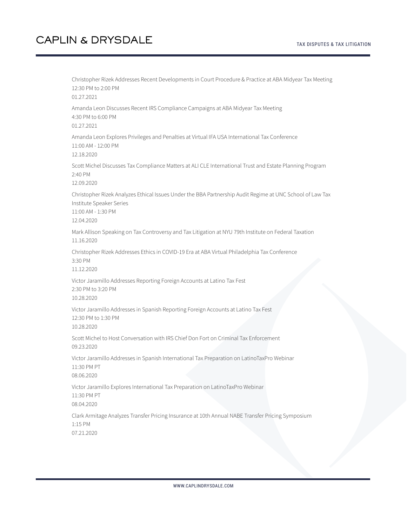Christopher Rizek Addresses Recent Developments in Court Procedure & Practice at ABA Midyear Tax Meeting 12:30 PM to 2:00 PM 01.27.2021 Amanda Leon Discusses Recent IRS Compliance Campaigns at ABA Midyear Tax Meeting 4:30 PM to 6:00 PM 01.27.2021 Amanda Leon Explores Privileges and Penalties at Virtual IFA USA International Tax Conference 11:00 AM - 12:00 PM 12.18.2020 Scott Michel Discusses Tax Compliance Matters at ALI CLE International Trust and Estate Planning Program 2:40 PM 12.09.2020 Christopher Rizek Analyzes Ethical Issues Under the BBA Partnership Audit Regime at UNC School of Law Tax Institute Speaker Series 11:00 AM - 1:30 PM 12.04.2020 Mark Allison Speaking on Tax Controversy and Tax Litigation at NYU 79th Institute on Federal Taxation 11.16.2020 Christopher Rizek Addresses Ethics in COVID-19 Era at ABA Virtual Philadelphia Tax Conference 3:30 PM 11.12.2020 Victor Jaramillo Addresses Reporting Foreign Accounts at Latino Tax Fest 2:30 PM to 3:20 PM 10.28.2020 Victor Jaramillo Addresses in Spanish Reporting Foreign Accounts at Latino Tax Fest 12:30 PM to 1:30 PM 10.28.2020 Scott Michel to Host Conversation with IRS Chief Don Fort on Criminal Tax Enforcement 09.23.2020 Victor Jaramillo Addresses in Spanish International Tax Preparation on LatinoTaxPro Webinar 11:30 PM PT 08.06.2020 Victor Jaramillo Explores International Tax Preparation on LatinoTaxPro Webinar 11:30 PM PT 08.04.2020 Clark Armitage Analyzes Transfer Pricing Insurance at 10th Annual NABE Transfer Pricing Symposium 1:15 PM 07.21.2020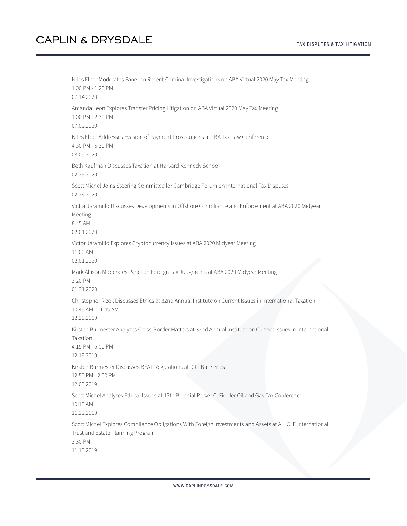Niles Elber Moderates Panel on Recent Criminal Investigations on ABA Virtual 2020 May Tax Meeting 1:00 PM - 1:20 PM 07.14.2020 Amanda Leon Explores Transfer Pricing Litigation on ABA Virtual 2020 May Tax Meeting 1:00 PM - 2:30 PM 07.02.2020 Niles Elber Addresses Evasion of Payment Prosecutions at FBA Tax Law Conference 4:30 PM - 5:30 PM 03.05.2020 Beth Kaufman Discusses Taxation at Harvard Kennedy School 02.29.2020 Scott Michel Joins Steering Committee for Cambridge Forum on International Tax Disputes 02.26.2020 Victor Jaramillo Discusses Developments in Offshore Compliance and Enforcement at ABA 2020 Midyear Meeting 8:45 AM 02.01.2020 Victor Jaramillo Explores Cryptocurrency Issues at ABA 2020 Midyear Meeting 11:00 AM 02.01.2020 Mark Allison Moderates Panel on Foreign Tax Judgments at ABA 2020 Midyear Meeting 3:20 PM 01.31.2020 Christopher Rizek Discusses Ethics at 32nd Annual Institute on Current Issues in International Taxation 10:45 AM - 11:45 AM 12.20.2019 Kirsten Burmester Analyzes Cross-Border Matters at 32nd Annual Institute on Current Issues in International Taxation 4:15 PM - 5:00 PM 12.19.2019 Kirsten Burmester Discusses BEAT Regulations at D.C. Bar Series 12:50 PM - 2:00 PM 12.05.2019 Scott Michel Analyzes Ethical Issues at 15th Biennial Parker C. Fielder Oil and Gas Tax Conference 10:15 AM 11.22.2019 Scott Michel Explores Compliance Obligations With Foreign Investments and Assets at ALI CLE International Trust and Estate Planning Program 3:30 PM 11.15.2019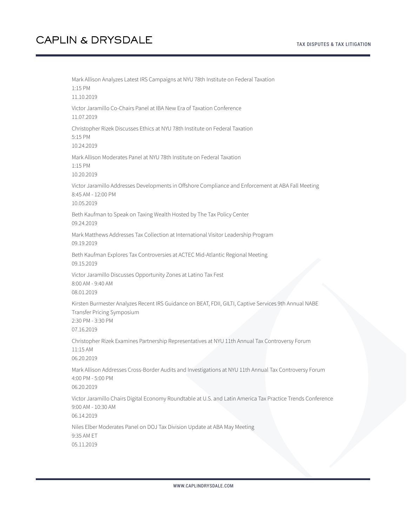Mark Allison Analyzes Latest IRS Campaigns at NYU 78th Institute on Federal Taxation 1:15 PM 11.10.2019 Victor Jaramillo Co-Chairs Panel at IBA New Era of Taxation Conference 11.07.2019 Christopher Rizek Discusses Ethics at NYU 78th Institute on Federal Taxation 5:15 PM 10.24.2019 Mark Allison Moderates Panel at NYU 78th Institute on Federal Taxation 1:15 PM 10.20.2019 Victor Jaramillo Addresses Developments in Offshore Compliance and Enforcement at ABA Fall Meeting 8:45 AM - 12:00 PM 10.05.2019 Beth Kaufman to Speak on Taxing Wealth Hosted by The Tax Policy Center 09.24.2019 Mark Matthews Addresses Tax Collection at International Visitor Leadership Program 09.19.2019 Beth Kaufman Explores Tax Controversies at ACTEC Mid-Atlantic Regional Meeting 09.15.2019 Victor Jaramillo Discusses Opportunity Zones at Latino Tax Fest 8:00 AM - 9:40 AM 08.01.2019 Kirsten Burmester Analyzes Recent IRS Guidance on BEAT, FDII, GILTI, Captive Services 9th Annual NABE Transfer Pricing Symposium 2:30 PM - 3:30 PM 07.16.2019 Christopher Rizek Examines Partnership Representatives at NYU 11th Annual Tax Controversy Forum 11:15 AM 06.20.2019 Mark Allison Addresses Cross-Border Audits and Investigations at NYU 11th Annual Tax Controversy Forum 4:00 PM - 5:00 PM 06.20.2019 Victor Jaramillo Chairs Digital Economy Roundtable at U.S. and Latin America Tax Practice Trends Conference 9:00 AM - 10:30 AM 06.14.2019 Niles Elber Moderates Panel on DOJ Tax Division Update at ABA May Meeting 9:35 AM ET 05.11.2019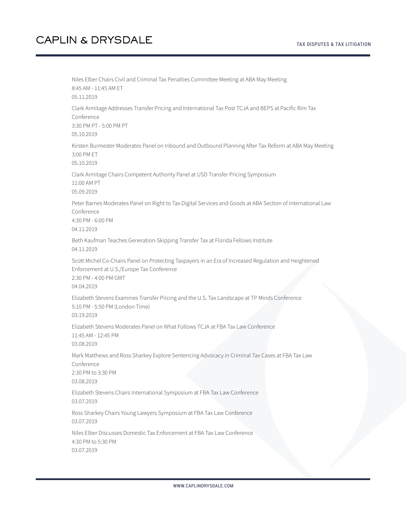Niles Elber Chairs Civil and Criminal Tax Penalties Committee Meeting at ABA May Meeting 8:45 AM - 11:45 AM ET 05.11.2019 Clark Armitage Addresses Transfer Pricing and International Tax Post TCJA and BEPS at Pacific Rim Tax Conference 3:30 PM PT - 5:00 PM PT 05.10.2019 Kirsten Burmester Moderates Panel on Inbound and Outbound Planning After Tax Reform at ABA May Meeting 3:00 PM ET 05.10.2019 Clark Armitage Chairs Competent Authority Panel at USD Transfer Pricing Symposium 11:00 AM PT 05.09.2019 Peter Barnes Moderates Panel on Right to Tax Digital Services and Goods at ABA Section of International Law Conference 4:30 PM - 6:00 PM 04.11.2019 Beth Kaufman Teaches Generation-Skipping Transfer Tax at Florida Fellows Institute 04.11.2019 Scott Michel Co-Chairs Panel on Protecting Taxpayers in an Era of Increased Regulation and Heightened Enforcement at U.S./Europe Tax Conference 2:30 PM - 4:00 PM GMT 04.04.2019 Elizabeth Stevens Examines Transfer Pricing and the U.S. Tax Landscape at TP Minds Conference 5:10 PM - 5:50 PM (London Time) 03.19.2019 Elizabeth Stevens Moderates Panel on What Follows TCJA at FBA Tax Law Conference 11:45 AM - 12:45 PM 03.08.2019 Mark Matthews and Ross Sharkey Explore Sentencing Advocacy in Criminal Tax Cases at FBA Tax Law Conference 2:30 PM to 3:30 PM 03.08.2019 Elizabeth Stevens Chairs International Symposium at FBA Tax Law Conference 03.07.2019 Ross Sharkey Chairs Young Lawyers Symposium at FBA Tax Law Conference 03.07.2019 Niles Elber Discusses Domestic Tax Enforcement at FBA Tax Law Conference 4:30 PM to 5:30 PM 03.07.2019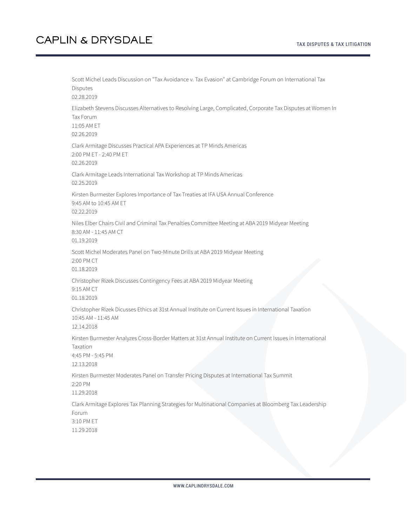Scott Michel Leads Discussion on "Tax Avoidance v. Tax Evasion" at Cambridge Forum on International Tax Disputes 02.28.2019 Elizabeth Stevens Discusses Alternatives to Resolving Large, Complicated, Corporate Tax Disputes at Women In Tax Forum 11:05 AM ET 02.26.2019 Clark Armitage Discusses Practical APA Experiences at TP Minds Americas 2:00 PM ET - 2:40 PM ET 02.26.2019 Clark Armitage Leads International Tax Workshop at TP Minds Americas 02.25.2019 Kirsten Burmester Explores Importance of Tax Treaties at IFA USA Annual Conference 9:45 AM to 10:45 AM ET 02.22.2019 Niles Elber Chairs Civil and Criminal Tax Penalties Committee Meeting at ABA 2019 Midyear Meeting 8:30 AM - 11:45 AM CT 01.19.2019 Scott Michel Moderates Panel on Two-Minute Drills at ABA 2019 Midyear Meeting 2:00 PM CT 01.18.2019 Christopher Rizek Discusses Contingency Fees at ABA 2019 Midyear Meeting 9:15 AM CT 01.18.2019 Christopher Rizek Dicusses Ethics at 31st Annual Institute on Current Issues in International Taxation 10:45 AM - 11:45 AM 12.14.2018 Kirsten Burmester Analyzes Cross-Border Matters at 31st Annual Institute on Current Issues in International Taxation 4:45 PM - 5:45 PM 12.13.2018 Kirsten Burmester Moderates Panel on Transfer Pricing Disputes at International Tax Summit 2:20 PM 11.29.2018 Clark Armitage Explores Tax Planning Strategies for Multinational Companies at Bloomberg Tax Leadership Forum 3:10 PM ET 11.29.2018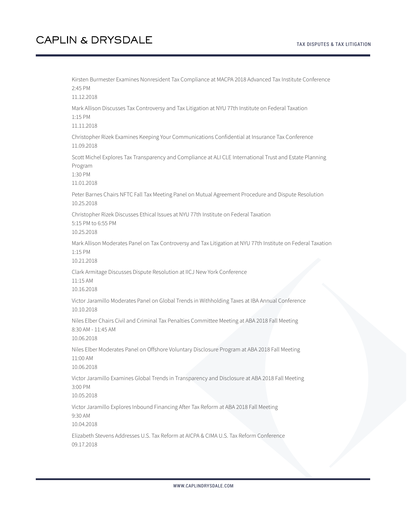Kirsten Burmester Examines Nonresident Tax Compliance at MACPA 2018 Advanced Tax Institute Conference 2:45 PM 11.12.2018 Mark Allison Discusses Tax Controversy and Tax Litigation at NYU 77th Institute on Federal Taxation 1:15 PM 11.11.2018 Christopher Rizek Examines Keeping Your Communications Confidential at Insurance Tax Conference 11.09.2018 Scott Michel Explores Tax Transparency and Compliance at ALI CLE International Trust and Estate Planning Program 1:30 PM 11.01.2018 Peter Barnes Chairs NFTC Fall Tax Meeting Panel on Mutual Agreement Procedure and Dispute Resolution 10.25.2018 Christopher Rizek Discusses Ethical Issues at NYU 77th Institute on Federal Taxation 5:15 PM to 6:55 PM 10.25.2018 Mark Allison Moderates Panel on Tax Controversy and Tax Litigation at NYU 77th Institute on Federal Taxation 1:15 PM 10.21.2018 Clark Armitage Discusses Dispute Resolution at IICJ New York Conference 11:15 AM 10.16.2018 Victor Jaramillo Moderates Panel on Global Trends in Withholding Taxes at IBA Annual Conference 10.10.2018 Niles Elber Chairs Civil and Criminal Tax Penalties Committee Meeting at ABA 2018 Fall Meeting 8:30 AM - 11:45 AM 10.06.2018 Niles Elber Moderates Panel on Offshore Voluntary Disclosure Program at ABA 2018 Fall Meeting 11:00 AM 10.06.2018 Victor Jaramillo Examines Global Trends in Transparency and Disclosure at ABA 2018 Fall Meeting 3:00 PM 10.05.2018 Victor Jaramillo Explores Inbound Financing After Tax Reform at ABA 2018 Fall Meeting 9:30 AM 10.04.2018 Elizabeth Stevens Addresses U.S. Tax Reform at AICPA & CIMA U.S. Tax Reform Conference 09.17.2018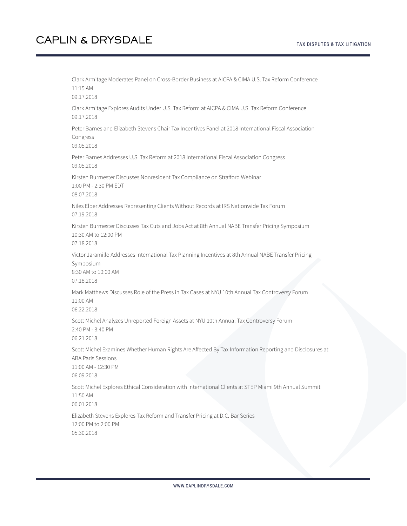Clark Armitage Moderates Panel on Cross-Border Business at AICPA & CIMA U.S. Tax Reform Conference 11:15 AM 09.17.2018 Clark Armitage Explores Audits Under U.S. Tax Reform at AICPA & CIMA U.S. Tax Reform Conference 09.17.2018 Peter Barnes and Elizabeth Stevens Chair Tax Incentives Panel at 2018 International Fiscal Association Congress 09.05.2018 Peter Barnes Addresses U.S. Tax Reform at 2018 International Fiscal Association Congress 09.05.2018 Kirsten Burmester Discusses Nonresident Tax Compliance on Strafford Webinar 1:00 PM - 2:30 PM EDT 08.07.2018 Niles Elber Addresses Representing Clients Without Records at IRS Nationwide Tax Forum 07.19.2018 Kirsten Burmester Discusses Tax Cuts and Jobs Act at 8th Annual NABE Transfer Pricing Symposium 10:30 AM to 12:00 PM 07.18.2018 Victor Jaramillo Addresses International Tax Planning Incentives at 8th Annual NABE Transfer Pricing Symposium 8:30 AM to 10:00 AM 07.18.2018 Mark Matthews Discusses Role of the Press in Tax Cases at NYU 10th Annual Tax Controversy Forum 11:00 AM 06.22.2018 Scott Michel Analyzes Unreported Foreign Assets at NYU 10th Annual Tax Controversy Forum 2:40 PM - 3:40 PM 06.21.2018 Scott Michel Examines Whether Human Rights Are Affected By Tax Information Reporting and Disclosures at ABA Paris Sessions 11:00 AM - 12:30 PM 06.09.2018 Scott Michel Explores Ethical Consideration with International Clients at STEP Miami 9th Annual Summit 11:50 AM 06.01.2018 Elizabeth Stevens Explores Tax Reform and Transfer Pricing at D.C. Bar Series 12:00 PM to 2:00 PM 05.30.2018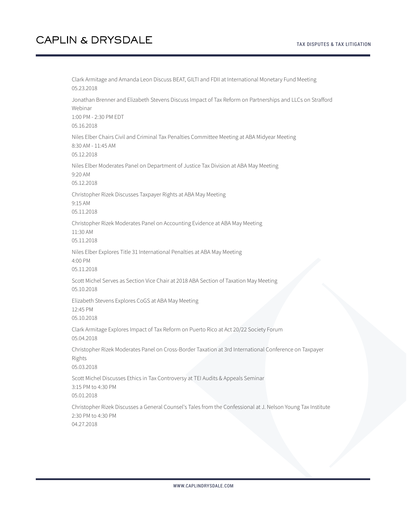Clark Armitage and Amanda Leon Discuss BEAT, GILTI and FDII at International Monetary Fund Meeting 05.23.2018 Jonathan Brenner and Elizabeth Stevens Discuss Impact of Tax Reform on Partnerships and LLCs on Strafford Webinar 1:00 PM - 2:30 PM EDT 05.16.2018 Niles Elber Chairs Civil and Criminal Tax Penalties Committee Meeting at ABA Midyear Meeting 8:30 AM - 11:45 AM 05.12.2018 Niles Elber Moderates Panel on Department of Justice Tax Division at ABA May Meeting 9:20 AM 05.12.2018 Christopher Rizek Discusses Taxpayer Rights at ABA May Meeting 9:15 AM 05.11.2018 Christopher Rizek Moderates Panel on Accounting Evidence at ABA May Meeting 11:30 AM 05.11.2018 Niles Elber Explores Title 31 International Penalties at ABA May Meeting 4:00 PM 05.11.2018 Scott Michel Serves as Section Vice Chair at 2018 ABA Section of Taxation May Meeting 05.10.2018 Elizabeth Stevens Explores CoGS at ABA May Meeting 12:45 PM 05.10.2018 Clark Armitage Explores Impact of Tax Reform on Puerto Rico at Act 20/22 Society Forum 05.04.2018 Christopher Rizek Moderates Panel on Cross-Border Taxation at 3rd International Conference on Taxpayer Rights 05.03.2018 Scott Michel Discusses Ethics in Tax Controversy at TEI Audits & Appeals Seminar 3:15 PM to 4:30 PM 05.01.2018 Christopher Rizek Discusses a General Counsel's Tales from the Confessional at J. Nelson Young Tax Institute 2:30 PM to 4:30 PM 04.27.2018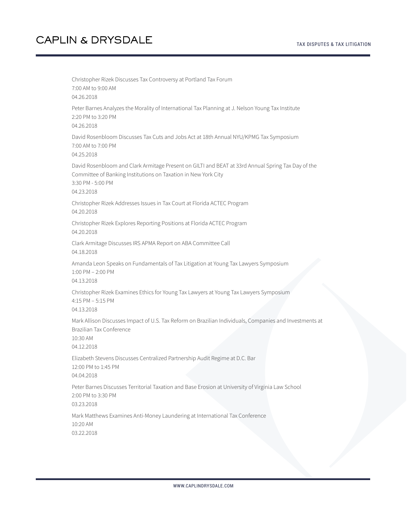Christopher Rizek Discusses Tax Controversy at Portland Tax Forum 7:00 AM to 9:00 AM 04.26.2018 Peter Barnes Analyzes the Morality of International Tax Planning at J. Nelson Young Tax Institute 2:20 PM to 3:20 PM 04.26.2018 David Rosenbloom Discusses Tax Cuts and Jobs Act at 18th Annual NYU/KPMG Tax Symposium 7:00 AM to 7:00 PM 04.25.2018 David Rosenbloom and Clark Armitage Present on GILTI and BEAT at 33rd Annual Spring Tax Day of the Committee of Banking Institutions on Taxation in New York City 3:30 PM - 5:00 PM 04.23.2018 Christopher Rizek Addresses Issues in Tax Court at Florida ACTEC Program 04.20.2018 Christopher Rizek Explores Reporting Positions at Florida ACTEC Program 04.20.2018 Clark Armitage Discusses IRS APMA Report on ABA Committee Call 04.18.2018 Amanda Leon Speaks on Fundamentals of Tax Litigation at Young Tax Lawyers Symposium 1:00 PM – 2:00 PM 04.13.2018 Christopher Rizek Examines Ethics for Young Tax Lawyers at Young Tax Lawyers Symposium 4:15 PM – 5:15 PM 04.13.2018 Mark Allison Discusses Impact of U.S. Tax Reform on Brazilian Individuals, Companies and Investments at Brazilian Tax Conference 10:30 AM 04.12.2018 Elizabeth Stevens Discusses Centralized Partnership Audit Regime at D.C. Bar 12:00 PM to 1:45 PM 04.04.2018 Peter Barnes Discusses Territorial Taxation and Base Erosion at University of Virginia Law School 2:00 PM to 3:30 PM 03.23.2018 Mark Matthews Examines Anti-Money Laundering at International Tax Conference 10:20 AM 03.22.2018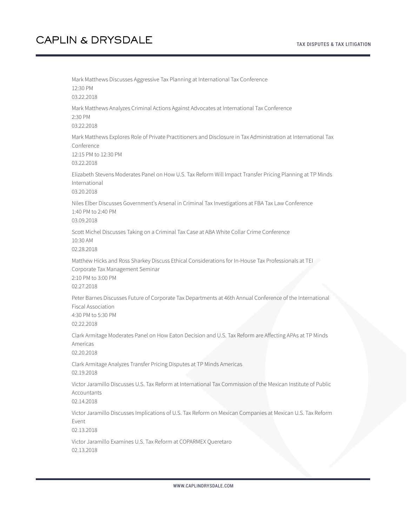Mark Matthews Discusses Aggressive Tax Planning at International Tax Conference 12:30 PM 03.22.2018 Mark Matthews Analyzes Criminal Actions Against Advocates at International Tax Conference 2:30 PM 03.22.2018 Mark Matthews Explores Role of Private Practitioners and Disclosure in Tax Administration at International Tax Conference 12:15 PM to 12:30 PM 03.22.2018 Elizabeth Stevens Moderates Panel on How U.S. Tax Reform Will Impact Transfer Pricing Planning at TP Minds International 03.20.2018 Niles Elber Discusses Government's Arsenal in Criminal Tax Investigations at FBA Tax Law Conference 1:40 PM to 2:40 PM 03.09.2018 Scott Michel Discusses Taking on a Criminal Tax Case at ABA White Collar Crime Conference 10:30 AM 02.28.2018 Matthew Hicks and Ross Sharkey Discuss Ethical Considerations for In-House Tax Professionals at TEI Corporate Tax Management Seminar 2:10 PM to 3:00 PM 02.27.2018 Peter Barnes Discusses Future of Corporate Tax Departments at 46th Annual Conference of the International Fiscal Association 4:30 PM to 5:30 PM 02.22.2018 Clark Armitage Moderates Panel on How Eaton Decision and U.S. Tax Reform are Affecting APAs at TP Minds Americas 02.20.2018 Clark Armitage Analyzes Transfer Pricing Disputes at TP Minds Americas 02.19.2018 Victor Jaramillo Discusses U.S. Tax Reform at International Tax Commission of the Mexican Institute of Public Accountants 02.14.2018 Victor Jaramillo Discusses Implications of U.S. Tax Reform on Mexican Companies at Mexican U.S. Tax Reform Event 02.13.2018 Victor Jaramillo Examines U.S. Tax Reform at COPARMEX Queretaro 02.13.2018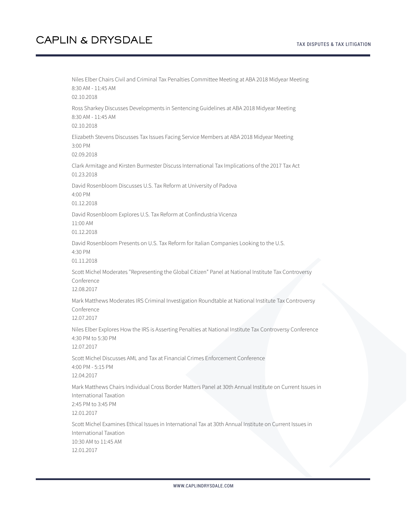Niles Elber Chairs Civil and Criminal Tax Penalties Committee Meeting at ABA 2018 Midyear Meeting 8:30 AM - 11:45 AM 02.10.2018 Ross Sharkey Discusses Developments in Sentencing Guidelines at ABA 2018 Midyear Meeting 8:30 AM - 11:45 AM 02.10.2018 Elizabeth Stevens Discusses Tax Issues Facing Service Members at ABA 2018 Midyear Meeting 3:00 PM 02.09.2018 Clark Armitage and Kirsten Burmester Discuss International Tax Implications of the 2017 Tax Act 01.23.2018 David Rosenbloom Discusses U.S. Tax Reform at University of Padova 4:00 PM 01.12.2018 David Rosenbloom Explores U.S. Tax Reform at Confindustria Vicenza 11:00 AM 01.12.2018 David Rosenbloom Presents on U.S. Tax Reform for Italian Companies Looking to the U.S. 4:30 PM 01.11.2018 Scott Michel Moderates "Representing the Global Citizen" Panel at National Institute Tax Controversy Conference 12.08.2017 Mark Matthews Moderates IRS Criminal Investigation Roundtable at National Institute Tax Controversy Conference 12.07.2017 Niles Elber Explores How the IRS is Asserting Penalties at National Institute Tax Controversy Conference 4:30 PM to 5:30 PM 12.07.2017 Scott Michel Discusses AML and Tax at Financial Crimes Enforcement Conference 4:00 PM - 5:15 PM 12.04.2017 Mark Matthews Chairs Individual Cross Border Matters Panel at 30th Annual Institute on Current Issues in International Taxation 2:45 PM to 3:45 PM 12.01.2017 Scott Michel Examines Ethical Issues in International Tax at 30th Annual Institute on Current Issues in International Taxation 10:30 AM to 11:45 AM 12.01.2017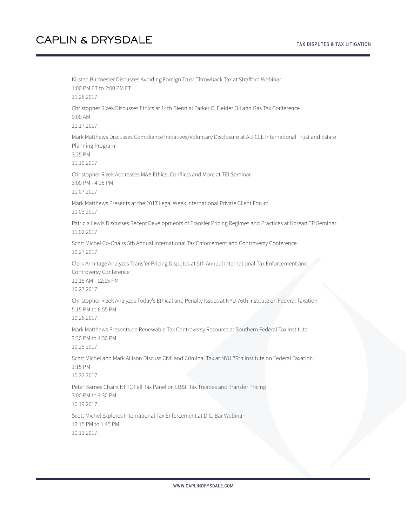Kirsten Burmester Discusses Avoiding Foreign Trust Throwback Tax at Strafford Webinar 1:00 PM ET to 2:00 PM ET 11.28.2017 Christopher Rizek Discusses Ethics at 14th Biennial Parker C. Fielder Oil and Gas Tax Conference 9:00 AM 11.17.2017 Mark Matthews Discusses Compliance Initiatives/Voluntary Disclosure at ALI CLE International Trust and Estate Planning Program 3:25 PM 11.10.2017 Christopher Rizek Addresses M&A Ethics, Conflicts and More at TEI Seminar 3:00 PM - 4:15 PM 11.07.2017 Mark Matthews Presents at the 2017 Legal Week International Private Client Forum 11.03.2017 Patricia Lewis Discusses Recent Developments of Transfer Pricing Regimes and Practices at Korean TP Seminar 11.02.2017 Scott Michel Co-Chairs 5th Annual International Tax Enforcement and Controversy Conference 10.27.2017 Clark Armitage Analyzes Transfer Pricing Disputes at 5th Annual International Tax Enforcement and Controversy Conference 11:15 AM - 12:15 PM 10.27.2017 Christopher Rizek Analyzes Today's Ethical and Penalty Issues at NYU 76th Institute on Federal Taxation 5:15 PM to 6:55 PM 10.26.2017 Mark Matthews Presents on Renewable Tax Controversy Resource at Southern Federal Tax Institute 3:30 PM to 4:30 PM 10.25.2017 Scott Michel and Mark Allison Discuss Civil and Criminal Tax at NYU 76th Institute on Federal Taxation 1:15 PM 10.22.2017 Peter Barnes Chairs NFTC Fall Tax Panel on LB&I, Tax Treaties and Transfer Pricing 3:00 PM to 4:30 PM 10.19.2017 Scott Michel Explores International Tax Enforcement at D.C. Bar Webinar 12:15 PM to 1:45 PM 10.11.2017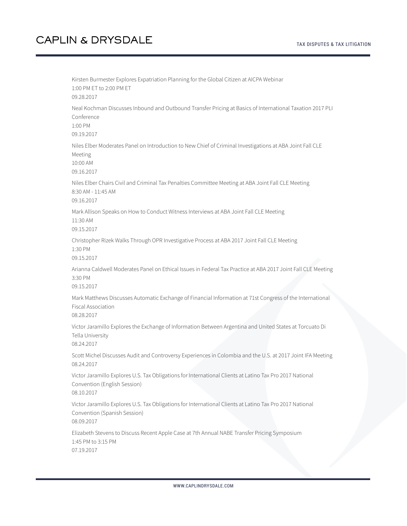Kirsten Burmester Explores Expatriation Planning for the Global Citizen at AICPA Webinar 1:00 PM ET to 2:00 PM ET 09.28.2017 Neal Kochman Discusses Inbound and Outbound Transfer Pricing at Basics of International Taxation 2017 PLI Conference 1:00 PM 09.19.2017 Niles Elber Moderates Panel on Introduction to New Chief of Criminal Investigations at ABA Joint Fall CLE Meeting 10:00 AM 09.16.2017 Niles Elber Chairs Civil and Criminal Tax Penalties Committee Meeting at ABA Joint Fall CLE Meeting 8:30 AM - 11:45 AM 09.16.2017 Mark Allison Speaks on How to Conduct Witness Interviews at ABA Joint Fall CLE Meeting 11:30 AM 09.15.2017 Christopher Rizek Walks Through OPR Investigative Process at ABA 2017 Joint Fall CLE Meeting 1:30 PM 09.15.2017 Arianna Caldwell Moderates Panel on Ethical Issues in Federal Tax Practice at ABA 2017 Joint Fall CLE Meeting 3:30 PM 09.15.2017 Mark Matthews Discusses Automatic Exchange of Financial Information at 71st Congress of the International Fiscal Association 08.28.2017 Victor Jaramillo Explores the Exchange of Information Between Argentina and United States at Torcuato Di Tella University 08.24.2017 Scott Michel Discusses Audit and Controversy Experiences in Colombia and the U.S. at 2017 Joint IFA Meeting 08.24.2017 Victor Jaramillo Explores U.S. Tax Obligations for International Clients at Latino Tax Pro 2017 National Convention (English Session) 08.10.2017 Victor Jaramillo Explores U.S. Tax Obligations for International Clients at Latino Tax Pro 2017 National Convention (Spanish Session) 08.09.2017 Elizabeth Stevens to Discuss Recent Apple Case at 7th Annual NABE Transfer Pricing Symposium 1:45 PM to 3:15 PM 07.19.2017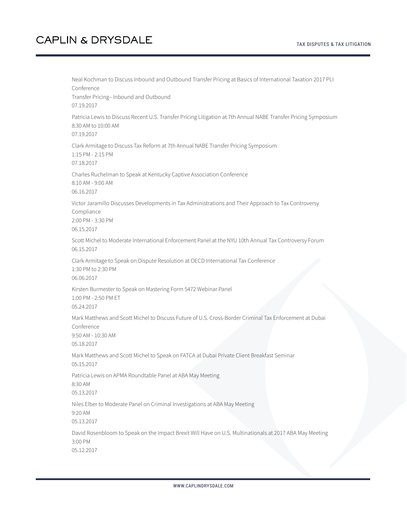Neal Kochman to Discuss Inbound and Outbound Transfer Pricing at Basics of International Taxation 2017 PLI Conference Transfer Pricing– Inbound and Outbound 07.19.2017 Patricia Lewis to Discuss Recent U.S. Transfer Pricing Litigation at 7th Annual NABE Transfer Pricing Symposium 8:30 AM to 10:00 AM 07.19.2017 Clark Armitage to Discuss Tax Reform at 7th Annual NABE Transfer Pricing Symposium 1:15 PM - 2:15 PM 07.18.2017 Charles Ruchelman to Speak at Kentucky Captive Association Conference 8:10 AM - 9:00 AM 06.16.2017 Victor Jaramillo Discusses Developments in Tax Administrations and Their Approach to Tax Controversy Compliance 2:00 PM - 3:30 PM 06.15.2017 Scott Michel to Moderate International Enforcement Panel at the NYU 10th Annual Tax Controversy Forum 06.15.2017 Clark Armitage to Speak on Dispute Resolution at OECD International Tax Conference 1:30 PM to 2:30 PM 06.06.2017 Kirsten Burmester to Speak on Mastering Form 5472 Webinar Panel 1:00 PM - 2:50 PM ET 05.24.2017 Mark Matthews and Scott Michel to Discuss Future of U.S. Cross-Border Criminal Tax Enforcement at Dubai Conference 9:50 AM - 10:30 AM 05.18.2017 Mark Matthews and Scott Michel to Speak on FATCA at Dubai Private Client Breakfast Seminar 05.15.2017 Patricia Lewis on APMA Roundtable Panel at ABA May Meeting 8:30 AM 05.13.2017 Niles Elber to Moderate Panel on Criminal Investigations at ABA May Meeting 9:20 AM 05.13.2017 David Rosenbloom to Speak on the Impact Brexit Will Have on U.S. Multinationals at 2017 ABA May Meeting 3:00 PM 05.12.2017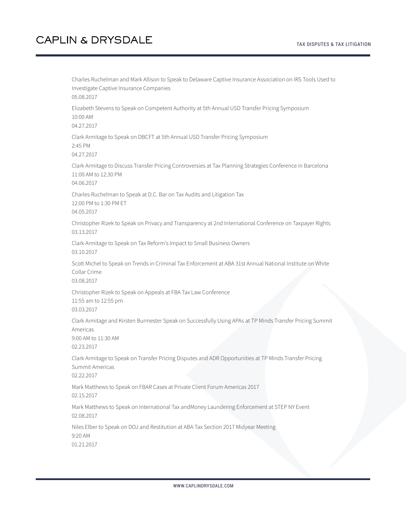Charles Ruchelman and Mark Allison to Speak to Delaware Captive Insurance Association on IRS Tools Used to Investigate Captive Insurance Companies 05.08.2017 Elizabeth Stevens to Speak on Competent Authority at 5th Annual USD Transfer Pricing Symposium 10:00 AM 04.27.2017 Clark Armitage to Speak on DBCFT at 5th Annual USD Transfer Pricing Symposium 2:45 PM 04.27.2017 Clark Armitage to Discuss Transfer Pricing Controversies at Tax Planning Strategies Conference in Barcelona 11:00 AM to 12:30 PM 04.06.2017 Charles Ruchelman to Speak at D.C. Bar on Tax Audits and Litigation Tax 12:00 PM to 1:30 PM ET 04.05.2017 Christopher Rizek to Speak on Privacy and Transparency at 2nd International Conference on Taxpayer Rights 03.13.2017 Clark Armitage to Speak on Tax Reform's Impact to Small Business Owners 03.10.2017 Scott Michel to Speak on Trends in Criminal Tax Enforcement at ABA 31st Annual National Institute on White Collar Crime 03.08.2017 Christopher Rizek to Speak on Appeals at FBA Tax Law Conference 11:55 am to 12:55 pm 03.03.2017 Clark Armitage and Kirsten Burmester Speak on Successfully Using APAs at TP Minds Transfer Pricing Summit Americas 9:00 AM to 11:30 AM 02.23.2017 Clark Armitage to Speak on Transfer Pricing Disputes and ADR Opportunities at TP Minds Transfer Pricing Summit Americas 02.22.2017 Mark Matthews to Speak on FBAR Cases at Private Client Forum Americas 2017 02.15.2017 Mark Matthews to Speak on International Tax andMoney Laundering Enforcement at STEP NY Event 02.08.2017 Niles Elber to Speak on DOJ and Restitution at ABA Tax Section 2017 Midyear Meeting 9:20 AM 01.21.2017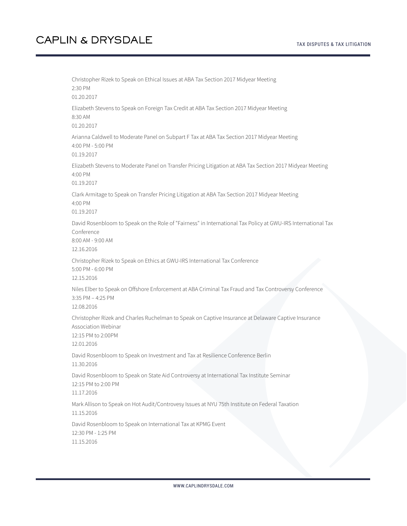Christopher Rizek to Speak on Ethical Issues at ABA Tax Section 2017 Midyear Meeting 2:30 PM 01.20.2017 Elizabeth Stevens to Speak on Foreign Tax Credit at ABA Tax Section 2017 Midyear Meeting 8:30 AM 01.20.2017 Arianna Caldwell to Moderate Panel on Subpart F Tax at ABA Tax Section 2017 Midyear Meeting 4:00 PM - 5:00 PM 01.19.2017 Elizabeth Stevens to Moderate Panel on Transfer Pricing Litigation at ABA Tax Section 2017 Midyear Meeting 4:00 PM 01.19.2017 Clark Armitage to Speak on Transfer Pricing Litigation at ABA Tax Section 2017 Midyear Meeting 4:00 PM 01.19.2017 David Rosenbloom to Speak on the Role of "Fairness" in International Tax Policy at GWU-IRS International Tax Conference 8:00 AM - 9:00 AM 12.16.2016 Christopher Rizek to Speak on Ethics at GWU-IRS International Tax Conference 5:00 PM - 6:00 PM 12.15.2016 Niles Elber to Speak on Offshore Enforcement at ABA Criminal Tax Fraud and Tax Controversy Conference 3:35 PM – 4:25 PM 12.08.2016 Christopher Rizek and Charles Ruchelman to Speak on Captive Insurance at Delaware Captive Insurance Association Webinar 12:15 PM to 2:00PM 12.01.2016 David Rosenbloom to Speak on Investment and Tax at Resilience Conference Berlin 11.30.2016 David Rosenbloom to Speak on State Aid Controversy at International Tax Institute Seminar 12:15 PM to 2:00 PM 11.17.2016 Mark Allison to Speak on Hot Audit/Controvesy Issues at NYU 75th Institute on Federal Taxation 11.15.2016 David Rosenbloom to Speak on International Tax at KPMG Event 12:30 PM - 1:25 PM 11.15.2016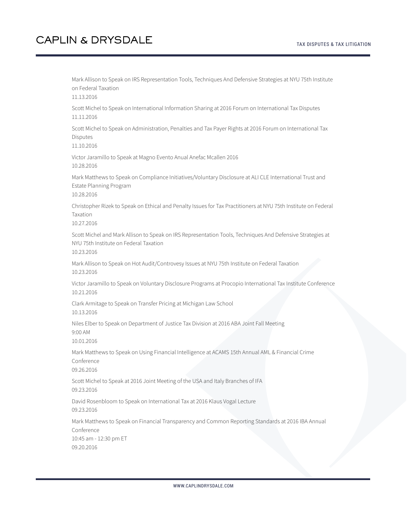Mark Allison to Speak on IRS Representation Tools, Techniques And Defensive Strategies at NYU 75th Institute on Federal Taxation 11.13.2016 Scott Michel to Speak on International Information Sharing at 2016 Forum on International Tax Disputes 11.11.2016 Scott Michel to Speak on Administration, Penalties and Tax Payer Rights at 2016 Forum on International Tax **Disputes** 11.10.2016 Victor Jaramillo to Speak at Magno Evento Anual Anefac Mcallen 2016 10.28.2016 Mark Matthews to Speak on Compliance Initiatives/Voluntary Disclosure at ALI CLE International Trust and Estate Planning Program 10.28.2016 Christopher Rizek to Speak on Ethical and Penalty Issues for Tax Practitioners at NYU 75th Institute on Federal Taxation 10.27.2016 Scott Michel and Mark Allison to Speak on IRS Representation Tools, Techniques And Defensive Strategies at NYU 75th Institute on Federal Taxation 10.23.2016 Mark Allison to Speak on Hot Audit/Controvesy Issues at NYU 75th Institute on Federal Taxation 10.23.2016 Victor Jaramillo to Speak on Voluntary Disclosure Programs at Procopio International Tax Institute Conference 10.21.2016 Clark Armitage to Speak on Transfer Pricing at Michigan Law School 10.13.2016 Niles Elber to Speak on Department of Justice Tax Division at 2016 ABA Joint Fall Meeting 9:00 AM 10.01.2016 Mark Matthews to Speak on Using Financial Intelligence at ACAMS 15th Annual AML & Financial Crime Conference 09.26.2016 Scott Michel to Speak at 2016 Joint Meeting of the USA and Italy Branches of IFA 09.23.2016 David Rosenbloom to Speak on International Tax at 2016 Klaus Vogal Lecture 09.23.2016 Mark Matthews to Speak on Financial Transparency and Common Reporting Standards at 2016 IBA Annual Conference 10:45 am - 12:30 pm ET 09.20.2016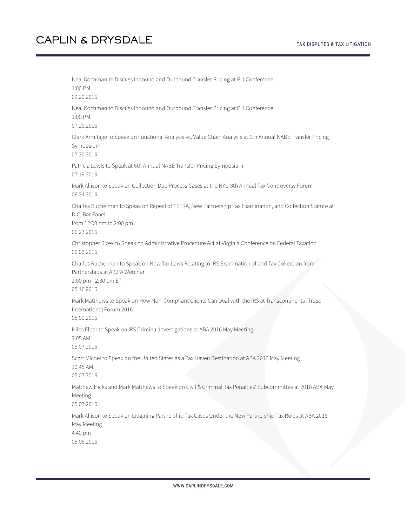Neal Kochman to Discuss Inbound and Outbound Transfer Pricing at PLI Conference 1:00 PM 09.20.2016 Neal Kochman to Discuss Inbound and Outbound Transfer Pricing at PLI Conference 1:00 PM 07.20.2016 Clark Armitage to Speak on Functional Analysis vs. Value Chain Analysis at 6th Annual NABE Transfer Pricing Symposium 07.20.2016 Patricia Lewis to Speak at 6th Annual NABE Transfer Pricing Symposium 07.19.2016 Mark Allison to Speak on Collection Due Process Cases at the NYU 8th Annual Tax Controversy Forum 06.24.2016 Charles Ruchelman to Speak on Repeal of TEFRA, New Partnership Tax Examination, and Collection Statute at D.C. Bar Panel from 12:00 pm to 2:00 pm 06.23.2016 Christopher Rizek to Speak on Administrative Procedure Act at Virginia Conference on Federal Taxation 06.03.2016 Charles Ruchelman to Speak on New Tax Laws Relating to IRS Examination of and Tax Collection from Partnerships at AICPA Webinar 1:00 pm - 2:30 pm ET 05.16.2016 Mark Matthews to Speak on How Non-Compliant Clients Can Deal with the IRS at Transcontinental Trust: International Forum 2016 05.09.2016 Niles Elber to Speak on IRS Criminal Investigations at ABA 2016 May Meeting 9:05 AM 05.07.2016 Scott Michel to Speak on the United States as a Tax Haven Destination at ABA 2016 May Meeting 10:45 AM 05.07.2016 Matthew Hicks and Mark Matthews to Speak on Civil & Criminal Tax Penalties' Subcommittee at 2016 ABA May Meeting 05.07.2016 Mark Allison to Speak on Litigating Partnership Tax Cases Under the New Partnership Tax Rules at ABA 2016 May Meeting 4:40 pm 05.06.2016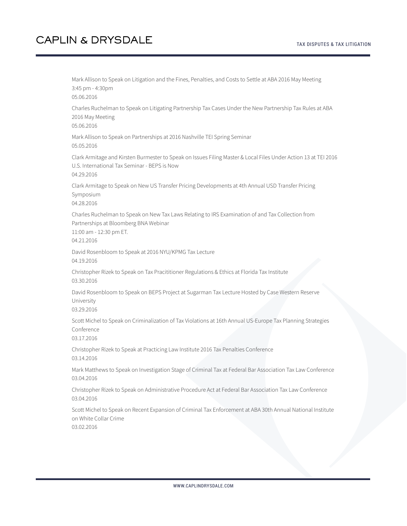Mark Allison to Speak on Litigation and the Fines, Penalties, and Costs to Settle at ABA 2016 May Meeting 3:45 pm - 4:30pm 05.06.2016 Charles Ruchelman to Speak on Litigating Partnership Tax Cases Under the New Partnership Tax Rules at ABA 2016 May Meeting 05.06.2016 Mark Allison to Speak on Partnerships at 2016 Nashville TEI Spring Seminar 05.05.2016 Clark Armitage and Kirsten Burmester to Speak on Issues Filing Master & Local Files Under Action 13 at TEI 2016 U.S. International Tax Seminar - BEPS is Now 04.29.2016 Clark Armitage to Speak on New US Transfer Pricing Developments at 4th Annual USD Transfer Pricing Symposium 04.28.2016 Charles Ruchelman to Speak on New Tax Laws Relating to IRS Examination of and Tax Collection from Partnerships at Bloomberg BNA Webinar 11:00 am - 12:30 pm ET. 04.21.2016 David Rosenbloom to Speak at 2016 NYU/KPMG Tax Lecture 04.19.2016 Christopher Rizek to Speak on Tax Pracititioner Regulations & Ethics at Florida Tax Institute 03.30.2016 David Rosenbloom to Speak on BEPS Project at Sugarman Tax Lecture Hosted by Case Western Reserve University 03.29.2016 Scott Michel to Speak on Criminalization of Tax Violations at 16th Annual US-Europe Tax Planning Strategies Conference 03.17.2016 Christopher Rizek to Speak at Practicing Law Institute 2016 Tax Penalties Conference 03.14.2016 Mark Matthews to Speak on Investigation Stage of Criminal Tax at Federal Bar Association Tax Law Conference 03.04.2016 Christopher Rizek to Speak on Administrative Procedure Act at Federal Bar Association Tax Law Conference 03.04.2016 Scott Michel to Speak on Recent Expansion of Criminal Tax Enforcement at ABA 30th Annual National Institute on White Collar Crime 03.02.2016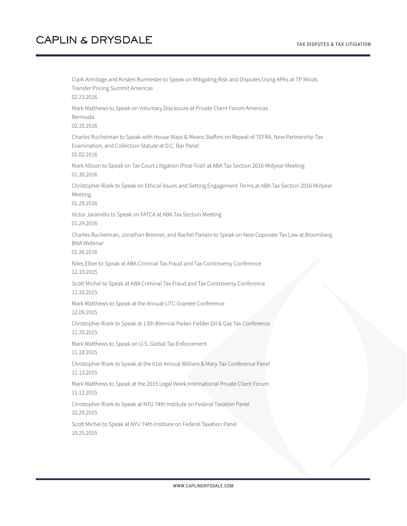Clark Armitage and Kirsten Burmester to Speak on Mitigating Risk and Disputes Using APAs at TP Minds Transfer Pricing Summit Americas 02.23.2016 Mark Matthews to Speak on Voluntary Disclosure at Private Client Forum Americas Bermuda 02.10.2016 Charles Ruchelman to Speak with House Ways & Means Staffers on Repeal of TEFRA, New Partnership Tax Examination, and Collection Statute at D.C. Bar Panel 02.02.2016 Mark Allison to Speak on Tax Court Litigation (Post-Trial) at ABA Tax Section 2016 Midyear Meeting 01.30.2016 Christopher Rizek to Speak on Ethical Issues and Setting Engagement Terms at ABA Tax Section 2016 Midyear Meeting 01.29.2016 Victor Jaramillo to Speak on FATCA at ABA Tax Section Meeting 01.29.2016 Charles Ruchelman, Jonathan Brenner, and Rachel Partain to Speak on New Coporate Tax Law at Bloomberg BNA Webinar 01.26.2016 Niles Elber to Speak at ABA Criminal Tax Fraud and Tax Controversy Conference 12.10.2015 Scott Michel to Speak at ABA Criminal Tax Fraud and Tax Controversy Conference 12.10.2015 Mark Matthews to Speak at the Annual LITC Grantee Conference 12.09.2015 Christopher Rizek to Speak at 13th Biennial Parker Fielder Oil & Gas Tax Conference 11.20.2015 Mark Matthews to Speak on U.S. Global Tax Enforcement 11.18.2015 Christopher Rizek to Speak at the 61st Annual William & Mary Tax Conference Panel 11.13.2015 Mark Matthews to Speak at the 2015 Legal Week International Private Client Forum 11.12.2015 Christopher Rizek to Speak at NYU 74th Institute on Federal Taxation Panel 10.29.2015 Scott Michel to Speak at NYU 74th Institute on Federal Taxation Panel 10.25.2015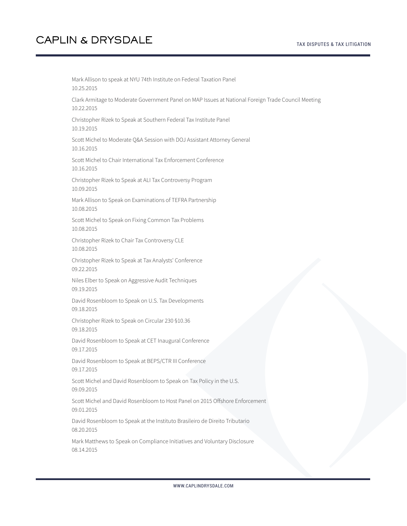Mark Allison to speak at NYU 74th Institute on Federal Taxation Panel 10.25.2015 Clark Armitage to Moderate Government Panel on MAP Issues at National Foreign Trade Council Meeting 10.22.2015 Christopher Rizek to Speak at Southern Federal Tax Institute Panel 10.19.2015 Scott Michel to Moderate Q&A Session with DOJ Assistant Attorney General 10.16.2015 Scott Michel to Chair International Tax Enforcement Conference 10.16.2015 Christopher Rizek to Speak at ALI Tax Controversy Program 10.09.2015 Mark Allison to Speak on Examinations of TEFRA Partnership 10.08.2015 Scott Michel to Speak on Fixing Common Tax Problems 10.08.2015 Christopher Rizek to Chair Tax Controversy CLE 10.08.2015 Christopher Rizek to Speak at Tax Analysts' Conference 09.22.2015 Niles Elber to Speak on Aggressive Audit Techniques 09.19.2015 David Rosenbloom to Speak on U.S. Tax Developments 09.18.2015 Christopher Rizek to Speak on Circular 230 §10.36 09.18.2015 David Rosenbloom to Speak at CET Inaugural Conference 09.17.2015 David Rosenbloom to Speak at BEPS/CTR III Conference 09.17.2015 Scott Michel and David Rosenbloom to Speak on Tax Policy in the U.S. 09.09.2015 Scott Michel and David Rosenbloom to Host Panel on 2015 Offshore Enforcement 09.01.2015 David Rosenbloom to Speak at the Instituto Brasileiro de Direito Tributario 08.20.2015 Mark Matthews to Speak on Compliance Initiatives and Voluntary Disclosure 08.14.2015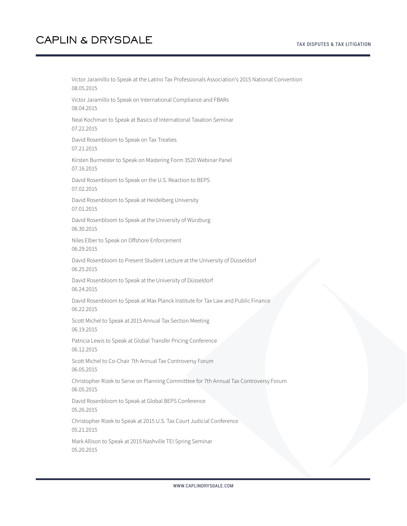Victor Jaramillo to Speak at the Latino Tax Professionals Association's 2015 National Convention 08.05.2015 Victor Jaramillo to Speak on International Compliance and FBARs 08.04.2015 Neal Kochman to Speak at Basics of International Taxation Seminar 07.22.2015 David Rosenbloom to Speak on Tax Treaties 07.21.2015 Kirsten Burmester to Speak on Mastering Form 3520 Webinar Panel 07.16.2015 David Rosenbloom to Speak on the U.S. Reaction to BEPS 07.02.2015 David Rosenbloom to Speak at Heidelberg University 07.01.2015 David Rosenbloom to Speak at the University of Würzburg 06.30.2015 Niles Elber to Speak on Offshore Enforcement 06.29.2015 David Rosenbloom to Present Student Lecture at the University of Düsseldorf 06.25.2015 David Rosenbloom to Speak at the University of Düsseldorf 06.24.2015 David Rosenbloom to Speak at Max Planck Institute for Tax Law and Public Finance 06.22.2015 Scott Michel to Speak at 2015 Annual Tax Section Meeting 06.19.2015 Patricia Lewis to Speak at Global Transfer Pricing Conference 06.12.2015 Scott Michel to Co-Chair 7th Annual Tax Controversy Forum 06.05.2015 Christopher Rizek to Serve on Planning Committtee for 7th Annual Tax Controversy Forum 06.05.2015 David Rosenbloom to Speak at Global BEPS Conference 05.26.2015 Christopher Rizek to Speak at 2015 U.S. Tax Court Judicial Conference 05.21.2015 Mark Allison to Speak at 2015 Nashville TEI Spring Seminar 05.20.2015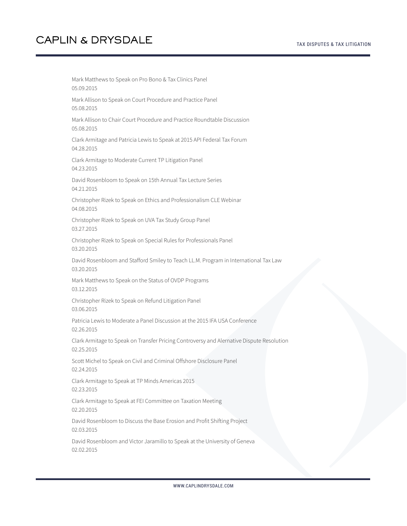Mark Matthews to Speak on Pro Bono & Tax Clinics Panel 05.09.2015 Mark Allison to Speak on Court Procedure and Practice Panel 05.08.2015 Mark Allison to Chair Court Procedure and Practice Roundtable Discussion 05.08.2015 Clark Armitage and Patricia Lewis to Speak at 2015 API Federal Tax Forum 04.28.2015 Clark Armitage to Moderate Current TP Litigation Panel 04.23.2015 David Rosenbloom to Speak on 15th Annual Tax Lecture Series 04.21.2015 Christopher Rizek to Speak on Ethics and Professionalism CLE Webinar 04.08.2015 Christopher Rizek to Speak on UVA Tax Study Group Panel 03.27.2015 Christopher Rizek to Speak on Special Rules for Professionals Panel 03.20.2015 David Rosenbloom and Stafford Smiley to Teach LL.M. Program in International Tax Law 03.20.2015 Mark Matthews to Speak on the Status of OVDP Programs 03.12.2015 Christopher Rizek to Speak on Refund Litigation Panel 03.06.2015 Patricia Lewis to Moderate a Panel Discussion at the 2015 IFA USA Conference 02.26.2015 Clark Armitage to Speak on Transfer Pricing Controversy and Alernative Dispute Resolution 02.25.2015 Scott Michel to Speak on Civil and Criminal Offshore Disclosure Panel 02.24.2015 Clark Armitage to Speak at TP Minds Americas 2015 02.23.2015 Clark Armitage to Speak at FEI Committee on Taxation Meeting 02.20.2015 David Rosenbloom to Discuss the Base Erosion and Profit Shifting Project 02.03.2015 David Rosenbloom and Victor Jaramillo to Speak at the University of Geneva

02.02.2015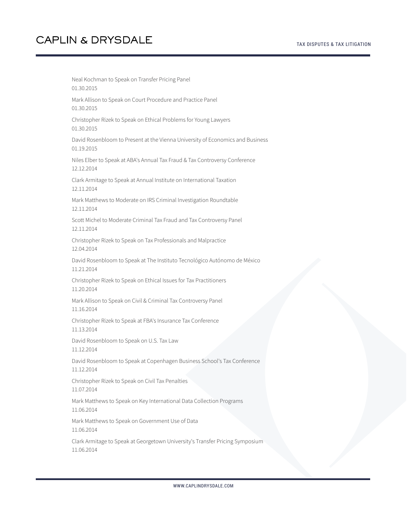Neal Kochman to Speak on Transfer Pricing Panel 01.30.2015 Mark Allison to Speak on Court Procedure and Practice Panel 01.30.2015 Christopher Rizek to Speak on Ethical Problems for Young Lawyers 01.30.2015 David Rosenbloom to Present at the Vienna University of Economics and Business 01.19.2015 Niles Elber to Speak at ABA's Annual Tax Fraud & Tax Controversy Conference 12.12.2014 Clark Armitage to Speak at Annual Institute on International Taxation 12.11.2014 Mark Matthews to Moderate on IRS Criminal Investigation Roundtable 12.11.2014 Scott Michel to Moderate Criminal Tax Fraud and Tax Controversy Panel 12.11.2014 Christopher Rizek to Speak on Tax Professionals and Malpractice 12.04.2014 David Rosenbloom to Speak at The Instituto Tecnológico Autónomo de México 11.21.2014 Christopher Rizek to Speak on Ethical Issues for Tax Practitioners 11.20.2014 Mark Allison to Speak on Civil & Criminal Tax Controversy Panel 11.16.2014 Christopher Rizek to Speak at FBA's Insurance Tax Conference 11.13.2014 David Rosenbloom to Speak on U.S. Tax Law 11.12.2014 David Rosenbloom to Speak at Copenhagen Business School's Tax Conference 11.12.2014 Christopher Rizek to Speak on Civil Tax Penalties 11.07.2014 Mark Matthews to Speak on Key International Data Collection Programs 11.06.2014 Mark Matthews to Speak on Government Use of Data 11.06.2014 Clark Armitage to Speak at Georgetown University's Transfer Pricing Symposium 11.06.2014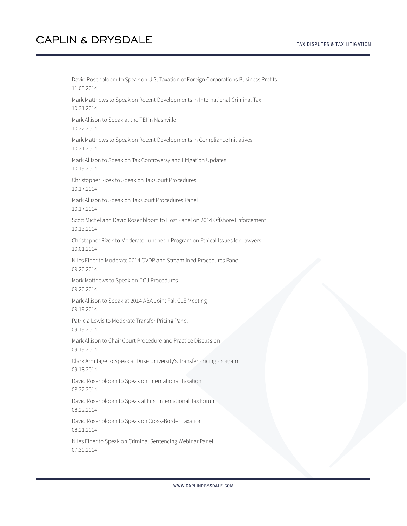David Rosenbloom to Speak on U.S. Taxation of Foreign Corporations Business Profits 11.05.2014 Mark Matthews to Speak on Recent Developments in International Criminal Tax 10.31.2014 Mark Allison to Speak at the TEI in Nashville 10.22.2014 Mark Matthews to Speak on Recent Developments in Compliance Initiatives 10.21.2014 Mark Allison to Speak on Tax Controversy and Litigation Updates 10.19.2014 Christopher Rizek to Speak on Tax Court Procedures 10.17.2014 Mark Allison to Speak on Tax Court Procedures Panel 10.17.2014 Scott Michel and David Rosenbloom to Host Panel on 2014 Offshore Enforcement 10.13.2014 Christopher Rizek to Moderate Luncheon Program on Ethical Issues for Lawyers 10.01.2014 Niles Elber to Moderate 2014 OVDP and Streamlined Procedures Panel 09.20.2014 Mark Matthews to Speak on DOJ Procedures 09.20.2014 Mark Allison to Speak at 2014 ABA Joint Fall CLE Meeting 09.19.2014 Patricia Lewis to Moderate Transfer Pricing Panel 09.19.2014 Mark Allison to Chair Court Procedure and Practice Discussion 09.19.2014 Clark Armitage to Speak at Duke University's Transfer Pricing Program 09.18.2014 David Rosenbloom to Speak on International Taxation 08.22.2014 David Rosenbloom to Speak at First International Tax Forum 08.22.2014 David Rosenbloom to Speak on Cross-Border Taxation 08.21.2014 Niles Elber to Speak on Criminal Sentencing Webinar Panel 07.30.2014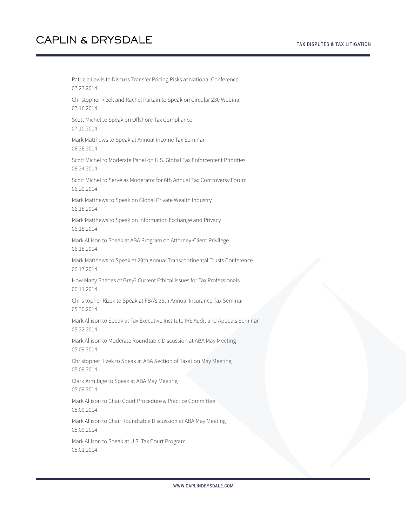Patricia Lewis to Discuss Transfer Pricing Risks at National Conference 07.23.2014 Christopher Rizek and Rachel Partain to Speak on Circular 230 Webinar 07.16.2014 Scott Michel to Speak on Offshore Tax Compliance 07.10.2014 Mark Matthews to Speak at Annual Income Tax Seminar 06.26.2014 Scott Michel to Moderate Panel on U.S. Global Tax Enforcement Priorities 06.24.2014 Scott Michel to Serve as Moderator for 6th Annual Tax Controversy Forum 06.20.2014 Mark Matthews to Speak on Global Private Wealth Industry 06.18.2014 Mark Matthews to Speak on Information Exchange and Privacy 06.18.2014 Mark Allison to Speak at ABA Program on Attorney-Client Privilege 06.18.2014 Mark Matthews to Speak at 29th Annual Transcontinental Trusts Conference 06.17.2014 How Many Shades of Grey? Current Ethical Issues for Tax Professionals 06.11.2014 Chris topher Rizek to Speak at FBA's 26th Annual Insurance Tax Seminar 05.30.2014 Mark Allison to Speak at Tax Executive Institute IRS Audit and Appeals Seminar 05.22.2014 Mark Allison to Moderate Roundtable Discussion at ABA May Meeting 05.09.2014 Christopher Rizek to Speak at ABA Section of Taxation May Meeting 05.09.2014 Clark Armitage to Speak at ABA May Meeting 05.09.2014 Mark Allison to Chair Court Procedure & Practice Committee 05.09.2014 Mark Allison to Chair Roundtable Discussion at ABA May Meeting 05.09.2014 Mark Allison to Speak at U.S. Tax Court Program

05.01.2014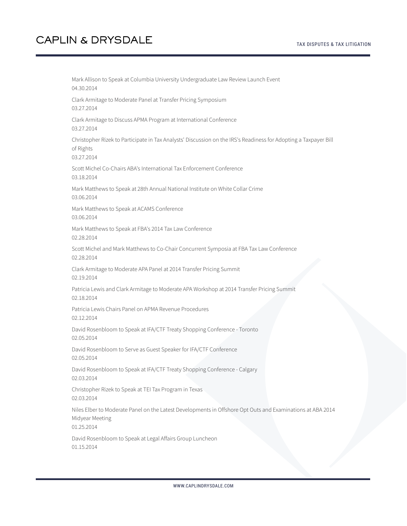Mark Allison to Speak at Columbia University Undergraduate Law Review Launch Event 04.30.2014 Clark Armitage to Moderate Panel at Transfer Pricing Symposium 03.27.2014 Clark Armitage to Discuss APMA Program at International Conference 03.27.2014 Christopher Rizek to Participate in Tax Analysts' Discussion on the IRS's Readiness for Adopting a Taxpayer Bill of Rights 03.27.2014 Scott Michel Co-Chairs ABA's International Tax Enforcement Conference 03.18.2014 Mark Matthews to Speak at 28th Annual National Institute on White Collar Crime 03.06.2014 Mark Matthews to Speak at ACAMS Conference 03.06.2014 Mark Matthews to Speak at FBA's 2014 Tax Law Conference 02.28.2014 Scott Michel and Mark Matthews to Co-Chair Concurrent Symposia at FBA Tax Law Conference 02.28.2014 Clark Armitage to Moderate APA Panel at 2014 Transfer Pricing Summit 02.19.2014 Patricia Lewis and Clark Armitage to Moderate APA Workshop at 2014 Transfer Pricing Summit 02.18.2014 Patricia Lewis Chairs Panel on APMA Revenue Procedures 02.12.2014 David Rosenbloom to Speak at IFA/CTF Treaty Shopping Conference - Toronto 02.05.2014 David Rosenbloom to Serve as Guest Speaker for IFA/CTF Conference 02.05.2014 David Rosenbloom to Speak at IFA/CTF Treaty Shopping Conference - Calgary 02.03.2014 Christopher Rizek to Speak at TEI Tax Program in Texas 02.03.2014 Niles Elber to Moderate Panel on the Latest Developments in Offshore Opt Outs and Examinations at ABA 2014 Midyear Meeting 01.25.2014 David Rosenbloom to Speak at Legal Affairs Group Luncheon 01.15.2014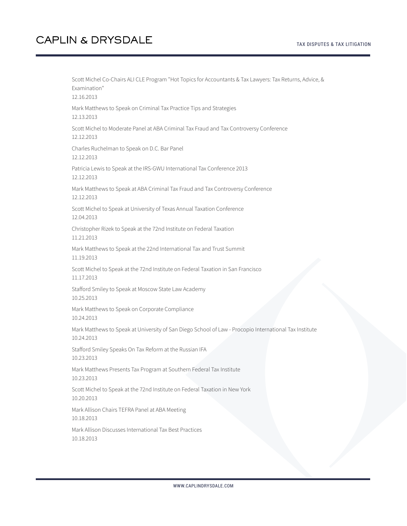Scott Michel Co-Chairs ALI CLE Program "Hot Topics for Accountants & Tax Lawyers: Tax Returns, Advice, & Examination" 12.16.2013 Mark Matthews to Speak on Criminal Tax Practice Tips and Strategies 12.13.2013 Scott Michel to Moderate Panel at ABA Criminal Tax Fraud and Tax Controversy Conference 12.12.2013 Charles Ruchelman to Speak on D.C. Bar Panel 12.12.2013 Patricia Lewis to Speak at the IRS-GWU International Tax Conference 2013 12.12.2013 Mark Matthews to Speak at ABA Criminal Tax Fraud and Tax Controversy Conference 12.12.2013 Scott Michel to Speak at University of Texas Annual Taxation Conference 12.04.2013 Christopher Rizek to Speak at the 72nd Institute on Federal Taxation 11.21.2013 Mark Matthews to Speak at the 22nd International Tax and Trust Summit 11.19.2013 Scott Michel to Speak at the 72nd Institute on Federal Taxation in San Francisco 11.17.2013 Stafford Smiley to Speak at Moscow State Law Academy 10.25.2013 Mark Matthews to Speak on Corporate Compliance 10.24.2013 Mark Matthews to Speak at University of San Diego School of Law - Procopio International Tax Institute 10.24.2013 Stafford Smiley Speaks On Tax Reform at the Russian IFA 10.23.2013 Mark Matthews Presents Tax Program at Southern Federal Tax Institute 10.23.2013 Scott Michel to Speak at the 72nd Institute on Federal Taxation in New York 10.20.2013 Mark Allison Chairs TEFRA Panel at ABA Meeting 10.18.2013 Mark Allison Discusses International Tax Best Practices 10.18.2013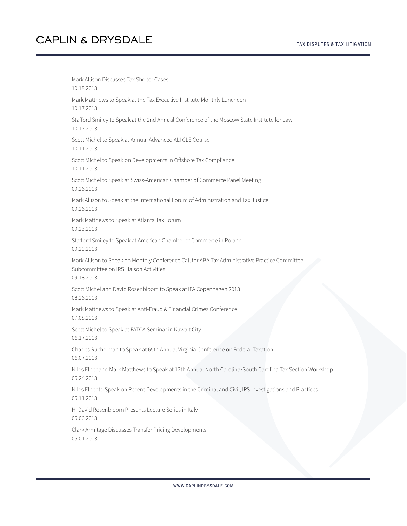#### TAX DISPUTES & TAX LITIGATION

# **CAPLIN & DRYSDALE**

Mark Allison Discusses Tax Shelter Cases 10.18.2013 Mark Matthews to Speak at the Tax Executive Institute Monthly Luncheon 10.17.2013 Stafford Smiley to Speak at the 2nd Annual Conference of the Moscow State Institute for Law 10.17.2013 Scott Michel to Speak at Annual Advanced ALI CLE Course 10.11.2013 Scott Michel to Speak on Developments in Offshore Tax Compliance 10.11.2013 Scott Michel to Speak at Swiss-American Chamber of Commerce Panel Meeting 09.26.2013 Mark Allison to Speak at the International Forum of Administration and Tax Justice 09.26.2013 Mark Matthews to Speak at Atlanta Tax Forum 09.23.2013 Stafford Smiley to Speak at American Chamber of Commerce in Poland 09.20.2013 Mark Allison to Speak on Monthly Conference Call for ABA Tax Administrative Practice Committee Subcommittee on IRS Liaison Activities 09.18.2013 Scott Michel and David Rosenbloom to Speak at IFA Copenhagen 2013 08.26.2013 Mark Matthews to Speak at Anti-Fraud & Financial Crimes Conference 07.08.2013 Scott Michel to Speak at FATCA Seminar in Kuwait City 06.17.2013 Charles Ruchelman to Speak at 65th Annual Virginia Conference on Federal Taxation 06.07.2013 Niles Elber and Mark Matthews to Speak at 12th Annual North Carolina/South Carolina Tax Section Workshop 05.24.2013 Niles Elber to Speak on Recent Developments in the Criminal and Civil, IRS Investigations and Practices 05.11.2013 H. David Rosenbloom Presents Lecture Series in Italy 05.06.2013 Clark Armitage Discusses Transfer Pricing Developments 05.01.2013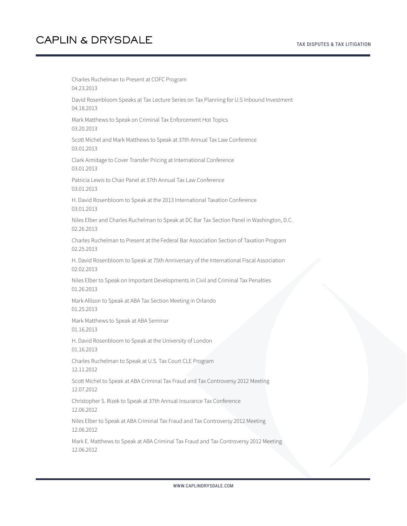Charles Ruchelman to Present at COFC Program 04.23.2013 David Rosenbloom Speaks at Tax Lecture Series on Tax Planning for U.S Inbound Investment 04.18.2013 Mark Matthews to Speak on Criminal Tax Enforcement Hot Topics 03.20.2013 Scott Michel and Mark Matthews to Speak at 37th Annual Tax Law Conference 03.01.2013 Clark Armitage to Cover Transfer Pricing at International Conference 03.01.2013 Patricia Lewis to Chair Panel at 37th Annual Tax Law Conference 03.01.2013 H. David Rosenbloom to Speak at the 2013 International Taxation Conference 03.01.2013 Niles Elber and Charles Ruchelman to Speak at DC Bar Tax Section Panel in Washington, D.C. 02.26.2013 Charles Ruchelman to Present at the Federal Bar Association Section of Taxation Program 02.25.2013 H. David Rosenbloom to Speak at 75th Anniversary of the International Fiscal Association 02.02.2013 Niles Elber to Speak on Important Developments in Civil and Criminal Tax Penalties 01.26.2013 Mark Allison to Speak at ABA Tax Section Meeting in Orlando 01.25.2013 Mark Matthews to Speak at ABA Seminar 01.16.2013 H. David Rosenbloom to Speak at the University of London 01.16.2013 Charles Ruchelman to Speak at U.S. Tax Court CLE Program 12.11.2012 Scott Michel to Speak at ABA Criminal Tax Fraud and Tax Controversy 2012 Meeting 12.07.2012 Christopher S. Rizek to Speak at 37th Annual Insurance Tax Conference 12.06.2012 Niles Elber to Speak at ABA Criminal Tax Fraud and Tax Controversy 2012 Meeting 12.06.2012 Mark E. Matthews to Speak at ABA Criminal Tax Fraud and Tax Controversy 2012 Meeting 12.06.2012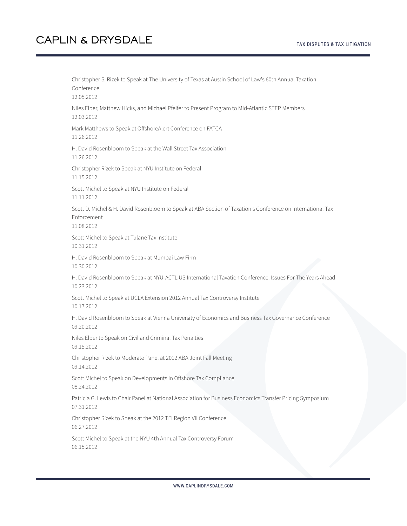Christopher S. Rizek to Speak at The University of Texas at Austin School of Law's 60th Annual Taxation Conference 12.05.2012 Niles Elber, Matthew Hicks, and Michael Pfeifer to Present Program to Mid-Atlantic STEP Members 12.03.2012 Mark Matthews to Speak at OffshoreAlert Conference on FATCA 11.26.2012 H. David Rosenbloom to Speak at the Wall Street Tax Association 11.26.2012 Christopher Rizek to Speak at NYU Institute on Federal 11.15.2012 Scott Michel to Speak at NYU Institute on Federal 11.11.2012 Scott D. Michel & H. David Rosenbloom to Speak at ABA Section of Taxation's Conference on International Tax Enforcement 11.08.2012 Scott Michel to Speak at Tulane Tax Institute 10.31.2012 H. David Rosenbloom to Speak at Mumbai Law Firm 10.30.2012 H. David Rosenbloom to Speak at NYU-ACTL US International Taxation Conference: Issues For The Years Ahead 10.23.2012 Scott Michel to Speak at UCLA Extension 2012 Annual Tax Controversy Institute 10.17.2012 H. David Rosenbloom to Speak at Vienna University of Economics and Business Tax Governance Conference 09.20.2012 Niles Elber to Speak on Civil and Criminal Tax Penalties 09.15.2012 Christopher Rizek to Moderate Panel at 2012 ABA Joint Fall Meeting 09.14.2012 Scott Michel to Speak on Developments in Offshore Tax Compliance 08.24.2012 Patricia G. Lewis to Chair Panel at National Association for Business Economics Transfer Pricing Symposium 07.31.2012 Christopher Rizek to Speak at the 2012 TEI Region VII Conference 06.27.2012 Scott Michel to Speak at the NYU 4th Annual Tax Controversy Forum 06.15.2012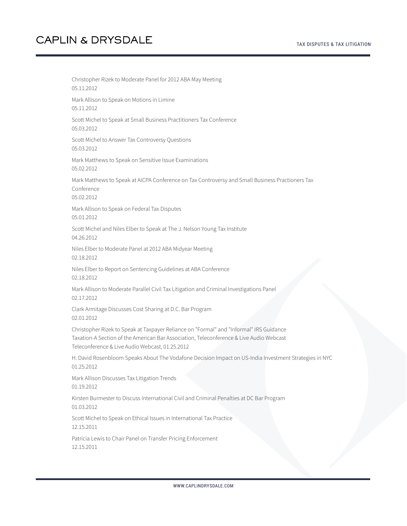Christopher Rizek to Moderate Panel for 2012 ABA May Meeting 05.11.2012 Mark Allison to Speak on Motions in Limine 05.11.2012 Scott Michel to Speak at Small Business Practitioners Tax Conference 05.03.2012 Scott Michel to Answer Tax Controversy Questions 05.03.2012 Mark Matthews to Speak on Sensitive Issue Examinations 05.02.2012 Mark Matthews to Speak at AICPA Conference on Tax Controversy and Small Business Practioners Tax Conference 05.02.2012 Mark Allison to Speak on Federal Tax Disputes 05.01.2012 Scott Michel and Niles Elber to Speak at The J. Nelson Young Tax Institute 04.26.2012 Niles Elber to Moderate Panel at 2012 ABA Midyear Meeting 02.18.2012 Niles Elber to Report on Sentencing Guidelines at ABA Conference 02.18.2012 Mark Allison to Moderate Parallel Civil Tax Litigation and Criminal Investigations Panel 02.17.2012 Clark Armitage Discusses Cost Sharing at D.C. Bar Program 02.01.2012 Christopher Rizek to Speak at Taxpayer Reliance on "Formal" and "Informal" IRS Guidance Taxation-A Section of the American Bar Association, Teleconference & Live Audio Webcast Teleconference & Live Audio Webcast, 01.25.2012 H. David Rosenbloom Speaks About The Vodafone Decision Impact on US-India Investment Strategies in NYC 01.25.2012 Mark Allison Discusses Tax Litigation Trends 01.19.2012 Kirsten Burmester to Discuss International Civil and Criminal Penalties at DC Bar Program 01.03.2012 Scott Michel to Speak on Ethical Issues in International Tax Practice 12.15.2011 Patricia Lewis to Chair Panel on Transfer Pricing Enforcement 12.15.2011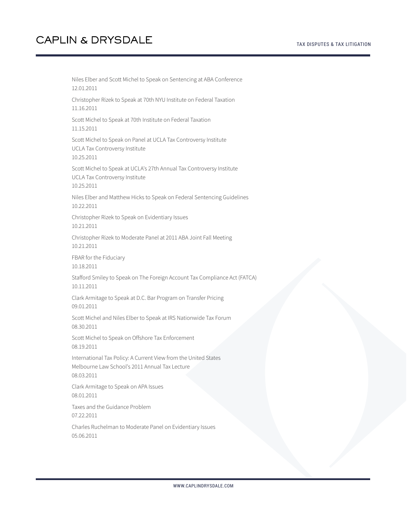05.06.2011

Niles Elber and Scott Michel to Speak on Sentencing at ABA Conference 12.01.2011 Christopher Rizek to Speak at 70th NYU Institute on Federal Taxation 11.16.2011 Scott Michel to Speak at 70th Institute on Federal Taxation 11.15.2011 Scott Michel to Speak on Panel at UCLA Tax Controversy Institute UCLA Tax Controversy Institute 10.25.2011 Scott Michel to Speak at UCLA's 27th Annual Tax Controversy Institute UCLA Tax Controversy Institute 10.25.2011 Niles Elber and Matthew Hicks to Speak on Federal Sentencing Guidelines 10.22.2011 Christopher Rizek to Speak on Evidentiary Issues 10.21.2011 Christopher Rizek to Moderate Panel at 2011 ABA Joint Fall Meeting 10.21.2011 FBAR for the Fiduciary 10.18.2011 Stafford Smiley to Speak on The Foreign Account Tax Compliance Act (FATCA) 10.11.2011 Clark Armitage to Speak at D.C. Bar Program on Transfer Pricing 09.01.2011 Scott Michel and Niles Elber to Speak at IRS Nationwide Tax Forum 08.30.2011 Scott Michel to Speak on Offshore Tax Enforcement 08.19.2011 International Tax Policy: A Current View from the United States Melbourne Law School's 2011 Annual Tax Lecture 08.03.2011 Clark Armitage to Speak on APA Issues 08.01.2011 Taxes and the Guidance Problem 07.22.2011 Charles Ruchelman to Moderate Panel on Evidentiary Issues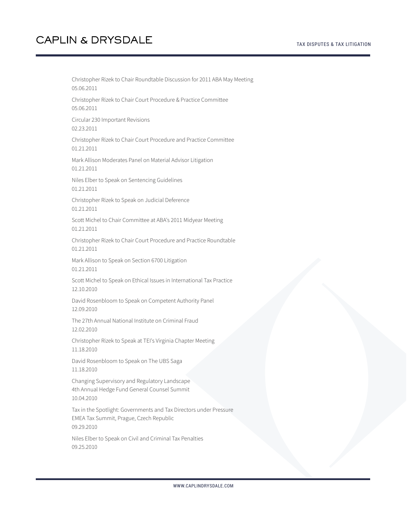Christopher Rizek to Chair Roundtable Discussion for 2011 ABA May Meeting 05.06.2011 Christopher Rizek to Chair Court Procedure & Practice Committee 05.06.2011 Circular 230 Important Revisions 02.23.2011 Christopher Rizek to Chair Court Procedure and Practice Committee 01.21.2011 Mark Allison Moderates Panel on Material Advisor Litigation 01.21.2011 Niles Elber to Speak on Sentencing Guidelines 01.21.2011 Christopher Rizek to Speak on Judicial Deference 01.21.2011 Scott Michel to Chair Committee at ABA's 2011 Midyear Meeting 01.21.2011 Christopher Rizek to Chair Court Procedure and Practice Roundtable 01.21.2011 Mark Allison to Speak on Section 6700 Litigation 01.21.2011 Scott Michel to Speak on Ethical Issues in International Tax Practice 12.10.2010 David Rosenbloom to Speak on Competent Authority Panel 12.09.2010 The 27th Annual National Institute on Criminal Fraud 12.02.2010 Christopher Rizek to Speak at TEI's Virginia Chapter Meeting 11.18.2010 David Rosenbloom to Speak on The UBS Saga 11.18.2010 Changing Supervisory and Regulatory Landscape 4th Annual Hedge Fund General Counsel Summit 10.04.2010 Tax in the Spotlight: Governments and Tax Directors under Pressure EMEA Tax Summit, Prague, Czech Republic 09.29.2010 Niles Elber to Speak on Civil and Criminal Tax Penalties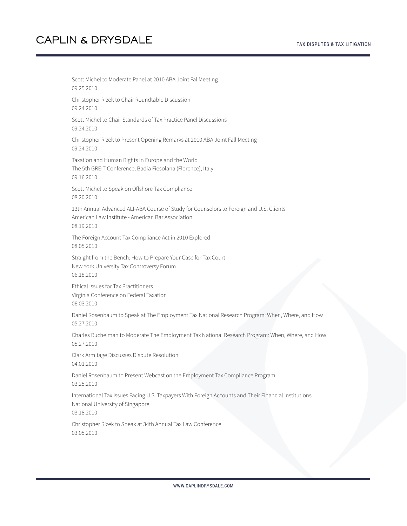Scott Michel to Moderate Panel at 2010 ABA Joint Fal Meeting 09.25.2010 Christopher Rizek to Chair Roundtable Discussion 09.24.2010 Scott Michel to Chair Standards of Tax Practice Panel Discussions 09.24.2010 Christopher Rizek to Present Opening Remarks at 2010 ABA Joint Fall Meeting 09.24.2010 Taxation and Human Rights in Europe and the World The 5th GREIT Conference, Badia Fiesolana (Florence), Italy 09.16.2010 Scott Michel to Speak on Offshore Tax Compliance 08.20.2010 13th Annual Advanced ALI-ABA Course of Study for Counselors to Foreign and U.S. Clients American Law Institute - American Bar Association 08.19.2010 The Foreign Account Tax Compliance Act in 2010 Explored 08.05.2010 Straight from the Bench: How to Prepare Your Case for Tax Court New York University Tax Controversy Forum 06.18.2010 Ethical Issues for Tax Practitioners Virginia Conference on Federal Taxation 06.03.2010 Daniel Rosenbaum to Speak at The Employment Tax National Research Program: When, Where, and How 05.27.2010 Charles Ruchelman to Moderate The Employment Tax National Research Program: When, Where, and How 05.27.2010 Clark Armitage Discusses Dispute Resolution 04.01.2010 Daniel Rosenbaum to Present Webcast on the Employment Tax Compliance Program 03.25.2010 International Tax Issues Facing U.S. Taxpayers With Foreign Accounts and Their Financial Institutions National University of Singapore 03.18.2010 Christopher Rizek to Speak at 34th Annual Tax Law Conference 03.05.2010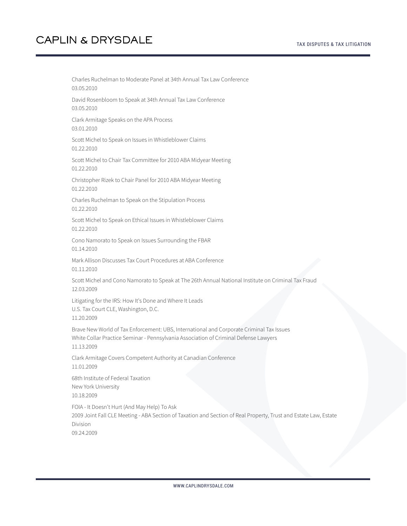Charles Ruchelman to Moderate Panel at 34th Annual Tax Law Conference 03.05.2010 David Rosenbloom to Speak at 34th Annual Tax Law Conference 03.05.2010 Clark Armitage Speaks on the APA Process 03.01.2010 Scott Michel to Speak on Issues in Whistleblower Claims 01.22.2010 Scott Michel to Chair Tax Committee for 2010 ABA Midyear Meeting 01.22.2010 Christopher Rizek to Chair Panel for 2010 ABA Midyear Meeting 01.22.2010 Charles Ruchelman to Speak on the Stipulation Process 01.22.2010 Scott Michel to Speak on Ethical Issues in Whistleblower Claims 01.22.2010 Cono Namorato to Speak on Issues Surrounding the FBAR 01.14.2010 Mark Allison Discusses Tax Court Procedures at ABA Conference 01.11.2010 Scott Michel and Cono Namorato to Speak at The 26th Annual National Institute on Criminal Tax Fraud 12.03.2009 Litigating for the IRS: How It's Done and Where It Leads U.S. Tax Court CLE, Washington, D.C. 11.20.2009 Brave New World of Tax Enforcement: UBS, International and Corporate Criminal Tax Issues White Collar Practice Seminar - Pennsylvania Association of Criminal Defense Lawyers 11.13.2009 Clark Armitage Covers Competent Authority at Canadian Conference 11.01.2009 68th Institute of Federal Taxation New York University 10.18.2009 FOIA - It Doesn't Hurt (And May Help) To Ask 2009 Joint Fall CLE Meeting - ABA Section of Taxation and Section of Real Property, Trust and Estate Law, Estate Division 09.24.2009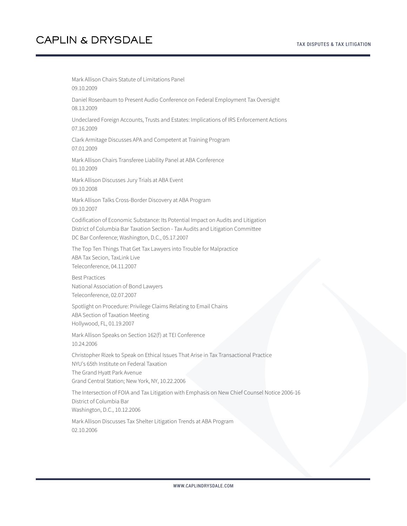02.10.2006

Mark Allison Chairs Statute of Limitations Panel 09.10.2009 Daniel Rosenbaum to Present Audio Conference on Federal Employment Tax Oversight 08.13.2009 Undeclared Foreign Accounts, Trusts and Estates: Implications of IRS Enforcement Actions 07.16.2009 Clark Armitage Discusses APA and Competent at Training Program 07.01.2009 Mark Allison Chairs Transferee Liability Panel at ABA Conference 01.10.2009 Mark Allison Discusses Jury Trials at ABA Event 09.10.2008 Mark Allison Talks Cross-Border Discovery at ABA Program 09.10.2007 Codification of Economic Substance: Its Potential Impact on Audits and Litigation District of Columbia Bar Taxation Section - Tax Audits and Litigation Committee DC Bar Conference; Washington, D.C., 05.17.2007 The Top Ten Things That Get Tax Lawyers into Trouble for Malpractice ABA Tax Secion, TaxLink Live Teleconference, 04.11.2007 Best Practices National Association of Bond Lawyers Teleconference, 02.07.2007 Spotlight on Procedure: Privilege Claims Relating to Email Chains ABA Section of Taxation Meeting Hollywood, FL, 01.19.2007 Mark Allison Speaks on Section 162(f) at TEI Conference 10.24.2006 Christopher Rizek to Speak on Ethical Issues That Arise in Tax Transactional Practice NYU's 65th Institute on Federal Taxation The Grand Hyatt Park Avenue Grand Central Station; New York, NY, 10.22.2006 The Intersection of FOIA and Tax Litigation with Emphasis on New Chief Counsel Notice 2006-16 District of Columbia Bar Washington, D.C., 10.12.2006 Mark Allison Discusses Tax Shelter Litigation Trends at ABA Program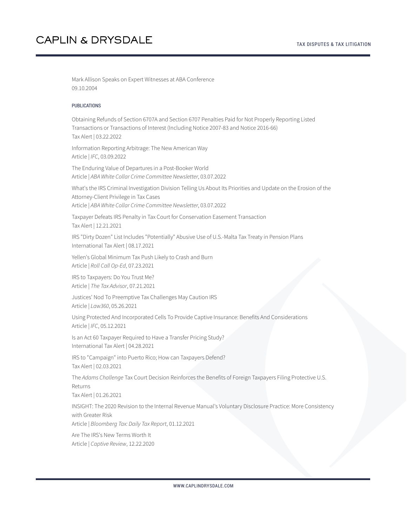Mark Allison Speaks on Expert Witnesses at ABA Conference 09.10.2004

#### PUBLICATIONS

Obtaining Refunds of Section 6707A and Section 6707 Penalties Paid for Not Properly Reporting Listed Transactions or Transactions of Interest (Including Notice 2007-83 and Notice 2016-66) Tax Alert | 03.22.2022

Information Reporting Arbitrage: The New American Way Article | *IFC*, 03.09.2022

The Enduring Value of Departures in a Post-Booker World Article | *ABA White Collar Crime Committee Newsletter*, 03.07.2022

What's the IRS Criminal Investigation Division Telling Us About Its Priorities and Update on the Erosion of the Attorney-Client Privilege in Tax Cases Article | *ABA White Collar Crime Committee Newsletter*, 03.07.2022

Taxpayer Defeats IRS Penalty in Tax Court for Conservation Easement Transaction Tax Alert | 12.21.2021

IRS "Dirty Dozen" List Includes "Potentially" Abusive Use of U.S.-Malta Tax Treaty in Pension Plans International Tax Alert | 08.17.2021

Yellen's Global Minimum Tax Push Likely to Crash and Burn Article | *Roll Call Op-Ed*, 07.23.2021

IRS to Taxpayers: Do You Trust Me? Article | *The Tax Advisor*, 07.21.2021

Justices' Nod To Preemptive Tax Challenges May Caution IRS Article | *Law360*, 05.26.2021

Using Protected And Incorporated Cells To Provide Captive Insurance: Benefits And Considerations Article | *IFC*, 05.12.2021

Is an Act 60 Taxpayer Required to Have a Transfer Pricing Study? International Tax Alert | 04.28.2021

IRS to "Campaign" into Puerto Rico; How can Taxpayers Defend? Tax Alert | 02.03.2021

The *Adams Challenge* Tax Court Decision Reinforces the Benefits of Foreign Taxpayers Filing Protective U.S. Returns

Tax Alert | 01.26.2021

INSIGHT: The 2020 Revision to the Internal Revenue Manual's Voluntary Disclosure Practice: More Consistency with Greater Risk

Article | *Bloomberg Tax: Daily Tax Report*, 01.12.2021

Are The IRS's New Terms Worth It Article | *Captive Review*, 12.22.2020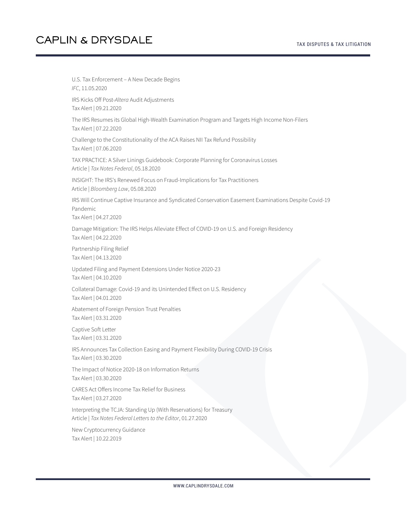U.S. Tax Enforcement – A New Decade Begins *IFC*, 11.05.2020 IRS Kicks Off Post-*Altera* Audit Adjustments Tax Alert | 09.21.2020 The IRS Resumes its Global High-Wealth Examination Program and Targets High Income Non-Filers Tax Alert | 07.22.2020 Challenge to the Constitutionality of the ACA Raises NII Tax Refund Possibility Tax Alert | 07.06.2020 TAX PRACTICE: A Silver Linings Guidebook: Corporate Planning for Coronavirus Losses Article | *Tax Notes Federal*, 05.18.2020 INSIGHT: The IRS's Renewed Focus on Fraud-Implications for Tax Practitioners Article | *Bloomberg Law*, 05.08.2020 IRS Will Continue Captive Insurance and Syndicated Conservation Easement Examinations Despite Covid-19 Pandemic Tax Alert | 04.27.2020 Damage Mitigation: The IRS Helps Alleviate Effect of COVID-19 on U.S. and Foreign Residency Tax Alert | 04.22.2020 Partnership Filing Relief Tax Alert | 04.13.2020 Updated Filing and Payment Extensions Under Notice 2020-23 Tax Alert | 04.10.2020 Collateral Damage: Covid-19 and its Unintended Effect on U.S. Residency Tax Alert | 04.01.2020 Abatement of Foreign Pension Trust Penalties Tax Alert | 03.31.2020 Captive Soft Letter Tax Alert | 03.31.2020 IRS Announces Tax Collection Easing and Payment Flexibility During COVID-19 Crisis Tax Alert | 03.30.2020 The Impact of Notice 2020-18 on Information Returns Tax Alert | 03.30.2020 CARES Act Offers Income Tax Relief for Business Tax Alert | 03.27.2020 Interpreting the TCJA: Standing Up (With Reservations) for Treasury Article | *Tax Notes Federal Letters to the Editor*, 01.27.2020 New Cryptocurrency Guidance Tax Alert | 10.22.2019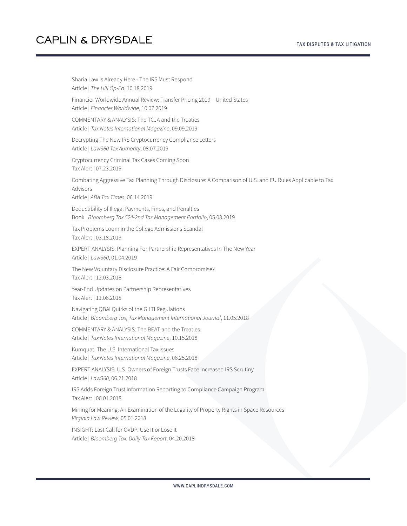Sharia Law Is Already Here - The IRS Must Respond Article | *The Hill Op-Ed*, 10.18.2019 Financier Worldwide Annual Review: Transfer Pricing 2019 – United States Article | *Financier Worldwide*, 10.07.2019 COMMENTARY & ANALYSIS: The TCJA and the Treaties Article | *Tax Notes International Magazine*, 09.09.2019 Decrypting The New IRS Cryptocurrency Compliance Letters Article | *Law360 Tax Authority*, 08.07.2019 Cryptocurrency Criminal Tax Cases Coming Soon Tax Alert | 07.23.2019 Combating Aggressive Tax Planning Through Disclosure: A Comparison of U.S. and EU Rules Applicable to Tax Advisors Article | *ABA Tax Times*, 06.14.2019 Deductibility of Illegal Payments, Fines, and Penalties Book | *Bloomberg Tax 524-2nd Tax Management Portfolio*, 05.03.2019 Tax Problems Loom in the College Admissions Scandal Tax Alert | 03.18.2019 EXPERT ANALYSIS: Planning For Partnership Representatives In The New Year Article | *Law360*, 01.04.2019 The New Voluntary Disclosure Practice: A Fair Compromise? Tax Alert | 12.03.2018 Year-End Updates on Partnership Representatives Tax Alert | 11.06.2018 Navigating QBAI Quirks of the GILTI Regulations Article | *Bloomberg Tax, Tax Management International Journal*, 11.05.2018 COMMENTARY & ANALYSIS: The BEAT and the Treaties Article | *Tax Notes International Magazine*, 10.15.2018 Kumquat: The U.S. International Tax Issues Article | *Tax Notes International Magazine*, 06.25.2018 EXPERT ANALYSIS: U.S. Owners of Foreign Trusts Face Increased IRS Scrutiny Article | *Law360*, 06.21.2018 IRS Adds Foreign Trust Information Reporting to Compliance Campaign Program Tax Alert | 06.01.2018 Mining for Meaning: An Examination of the Legality of Property Rights in Space Resources *Virginia Law Review*, 05.01.2018 INSIGHT: Last Call for OVDP: Use It or Lose It Article | *Bloomberg Tax: Daily Tax Report*, 04.20.2018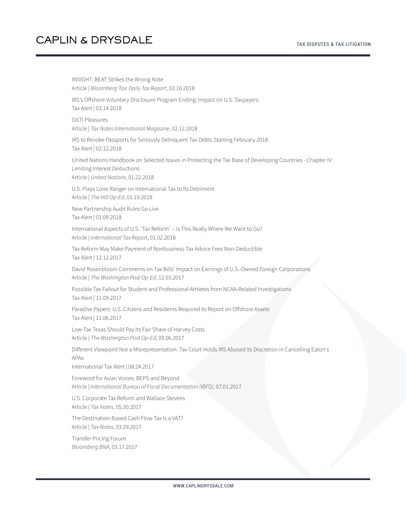#### TAX DISPUTES & TAX LITIGATION

## **CAPLIN & DRYSDALE**

INSIGHT: BEAT Strikes the Wrong Note Article | *Bloomberg Tax: Daily Tax Report*, 03.16.2018 IRS's Offshore Voluntary Disclosure Program Ending: Impact on U.S. Taxpayers Tax Alert | 03.14.2018 GILTI Pleasures Article | *Tax Notes International Magazine*, 02.12.2018 IRS to Revoke Passports for Seriously Delinquent Tax Debts Starting February 2018 Tax Alert | 02.12.2018 United Nations Handbook on Selected Issues in Protecting the Tax Base of Developing Countries - Chapter IV: Limiting Interest Deductions Article | *United Nations*, 01.22.2018 U.S. Plays Lone Ranger on International Tax to Its Detriment Article | *The Hill Op-Ed*, 01.19.2018 New Partnership Audit Rules Go Live Tax Alert | 01.09.2018 International Aspects of U.S. 'Tax Reform' -- Is This Really Where We Want to Go? Article | *International Tax Report*, 01.02.2018 Tax Reform May Make Payment of Nonbusiness Tax Advice Fees Non-Deductible Tax Alert | 12.12.2017 David Rosenbloom Comments on Tax Bills' Impact on Earnings of U.S.-Owned Foreign Corporations Article | *The Washington Post Op-Ed*, 12.03.2017 Possible Tax Fallout for Student and Professional Athletes from NCAA-Related Investigations Tax Alert | 11.09.2017 Paradise Papers: U.S. Citizens and Residents Required to Report on Offshore Assets Tax Alert | 11.06.2017 Low-Tax Texas Should Pay Its Fair Share of Harvey Costs Article | *The Washington Post Op-Ed*, 09.06.2017 Different Viewpoint Not a Misrepresentation: Tax Court Holds IRS Abused Its Discretion in Cancelling Eaton's APAs International Tax Alert | 08.24.2017 Foreword for Asian Voices: BEPS and Beyond Article | *International Bureau of Fiscal Documentation (IBFD)*, 07.01.2017 U.S. Corporate Tax Reform and Wallace Stevens Article | *Tax Notes*, 05.30.2017 The Destination-Based Cash Flow Tax Is a VAT? Article | *Tax Notes*, 03.29.2017 Transfer Pricing Forum *Bloomberg BNA*, 03.17.2017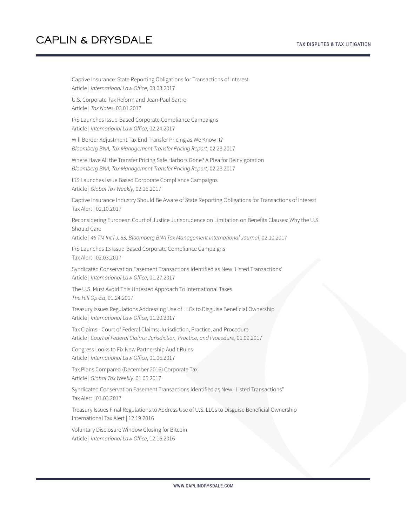Captive Insurance: State Reporting Obligations for Transactions of Interest Article | *International Law Office*, 03.03.2017

U.S. Corporate Tax Reform and Jean-Paul Sartre Article | *Tax Notes*, 03.01.2017

IRS Launches Issue-Based Corporate Compliance Campaigns Article | *International Law Office*, 02.24.2017

Will Border Adjustment Tax End Transfer Pricing as We Know It? *Bloomberg BNA, Tax Management Transfer Pricing Report*, 02.23.2017

Where Have All the Transfer Pricing Safe Harbors Gone? A Plea for Reinvigoration *Bloomberg BNA, Tax Management Transfer Pricing Report*, 02.23.2017

IRS Launches Issue Based Corporate Compliance Campaigns Article | *Global Tax Weekly*, 02.16.2017

Captive Insurance Industry Should Be Aware of State Reporting Obligations for Transactions of Interest Tax Alert | 02.10.2017

Reconsidering European Court of Justice Jurisprudence on Limitation on Benefits Clauses: Why the U.S. Should Care

Article | *46 TM Int'l J. 83, Bloomberg BNA Tax Management International Journal*, 02.10.2017

IRS Launches 13 Issue-Based Corporate Compliance Campaigns Tax Alert | 02.03.2017

Syndicated Conservation Easement Transactions Identified as New 'Listed Transactions' Article | *International Law Office*, 01.27.2017

The U.S. Must Avoid This Untested Approach To International Taxes *The Hill Op-Ed*, 01.24.2017

Treasury Issues Regulations Addressing Use of LLCs to Disguise Beneficial Ownership Article | *International Law Office*, 01.20.2017

Tax Claims - Court of Federal Claims: Jurisdiction, Practice, and Procedure Article | *Court of Federal Claims: Jurisdiction, Practice, and Procedure*, 01.09.2017

Congress Looks to Fix New Partnership Audit Rules Article | *International Law Office*, 01.06.2017

Tax Plans Compared (December 2016) Corporate Tax Article | *Global Tax Weekly*, 01.05.2017

Syndicated Conservation Easement Transactions Identified as New "Listed Transactions" Tax Alert | 01.03.2017

Treasury Issues Final Regulations to Address Use of U.S. LLCs to Disguise Beneficial Ownership International Tax Alert | 12.19.2016

Voluntary Disclosure Window Closing for Bitcoin Article | *International Law Office*, 12.16.2016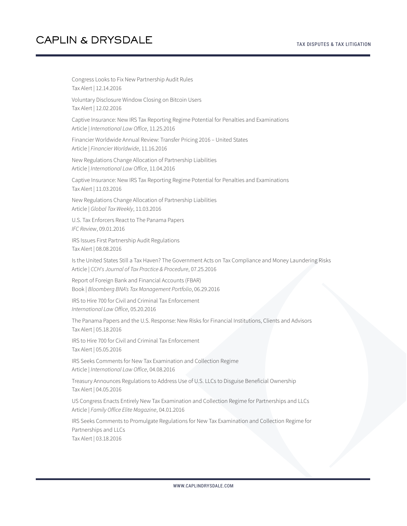Congress Looks to Fix New Partnership Audit Rules Tax Alert | 12.14.2016 Voluntary Disclosure Window Closing on Bitcoin Users Tax Alert | 12.02.2016 Captive Insurance: New IRS Tax Reporting Regime Potential for Penalties and Examinations Article | *International Law Office*, 11.25.2016 Financier Worldwide Annual Review: Transfer Pricing 2016 – United States Article | *Financier Worldwide*, 11.16.2016 New Regulations Change Allocation of Partnership Liabilities Article | *International Law Office*, 11.04.2016 Captive Insurance: New IRS Tax Reporting Regime Potential for Penalties and Examinations Tax Alert | 11.03.2016 New Regulations Change Allocation of Partnership Liabilities Article | *Global Tax Weekly*, 11.03.2016 U.S. Tax Enforcers React to The Panama Papers *IFC Review*, 09.01.2016 IRS Issues First Partnership Audit Regulations Tax Alert | 08.08.2016 Is the United States Still a Tax Haven? The Government Acts on Tax Compliance and Money Laundering Risks Article | *CCH's Journal of Tax Practice & Procedure*, 07.25.2016 Report of Foreign Bank and Financial Accounts (FBAR) Book | *Bloomberg BNA's Tax Management Portfolio*, 06.29.2016 IRS to Hire 700 for Civil and Criminal Tax Enforcement *International Law Office*, 05.20.2016 The Panama Papers and the U.S. Response: New Risks for Financial Institutions, Clients and Advisors Tax Alert | 05.18.2016 IRS to Hire 700 for Civil and Criminal Tax Enforcement Tax Alert | 05.05.2016 IRS Seeks Comments for New Tax Examination and Collection Regime Article | *International Law Office*, 04.08.2016 Treasury Announces Regulations to Address Use of U.S. LLCs to Disguise Beneficial Ownership Tax Alert | 04.05.2016 US Congress Enacts Entirely New Tax Examination and Collection Regime for Partnerships and LLCs Article | *Family Office Elite Magazine*, 04.01.2016 IRS Seeks Comments to Promulgate Regulations for New Tax Examination and Collection Regime for Partnerships and LLCs Tax Alert | 03.18.2016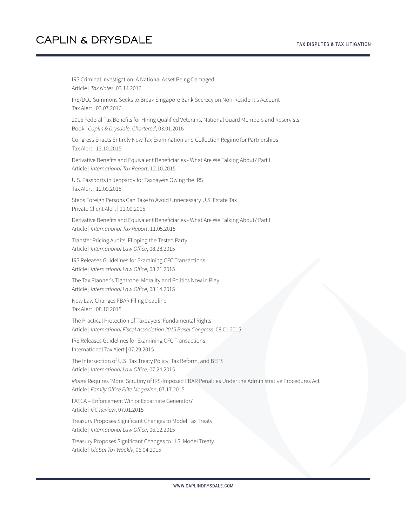IRS Criminal Investigation: A National Asset Being Damaged Article | *Tax Notes*, 03.14.2016 IRS/DOJ Summons Seeks to Break Singapore Bank Secrecy on Non-Resident's Account Tax Alert | 03.07.2016 2016 Federal Tax Benefits for Hiring Qualified Veterans, National Guard Members and Reservists Book | *Caplin & Drysdale, Chartered*, 03.01.2016 Congress Enacts Entirely New Tax Examination and Collection Regime for Partnerships Tax Alert | 12.10.2015 Derivative Benefits and Equivalent Beneficiaries - What Are We Talking About? Part II Article | *International Tax Report*, 12.10.2015 U.S. Passports in Jeopardy for Taxpayers Owing the IRS Tax Alert | 12.09.2015 Steps Foreign Persons Can Take to Avoid Unnecessary U.S. Estate Tax Private Client Alert | 11.09.2015 Derivative Benefits and Equivalent Beneficiaries - What Are We Talking About? Part I Article | *International Tax Report*, 11.05.2015 Transfer Pricing Audits: Flipping the Tested Party Article | *International Law Office*, 08.28.2015 IRS Releases Guidelines for Examining CFC Transactions Article | *International Law Office*, 08.21.2015 The Tax Planner's Tightrope: Morality and Politics Now in Play Article | *International Law Office*, 08.14.2015 New Law Changes FBAR Filing Deadline Tax Alert | 08.10.2015 The Practical Protection of Taxpayers' Fundamental Rights Article | *International Fiscal Association 2015 Basel Congress*, 08.01.2015 IRS Releases Guidelines for Examining CFC Transactions International Tax Alert | 07.29.2015 The Intersection of U.S. Tax Treaty Policy, Tax Reform, and BEPS Article | *International Law Office*, 07.24.2015 *Moore* Requires 'More' Scrutiny of IRS-Imposed FBAR Penalties Under the Administrative Procedures Act Article | *Family Office Elite Magazine*, 07.17.2015 FATCA – Enforcement Win or Expatriate Generator? Article | *IFC Review*, 07.01.2015 Treasury Proposes Significant Changes to Model Tax Treaty Article | *International Law Office*, 06.12.2015 Treasury Proposes Significant Changes to U.S. Model Treaty Article | *Global Tax Weekly*, 06.04.2015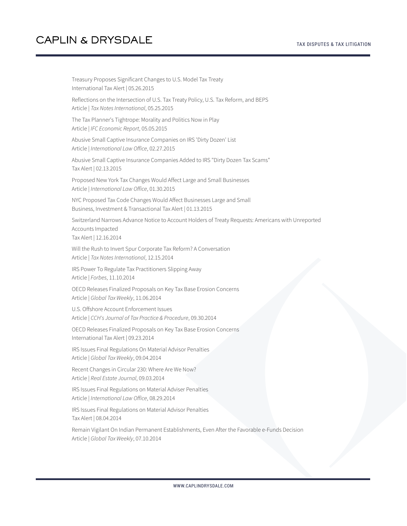Treasury Proposes Significant Changes to U.S. Model Tax Treaty International Tax Alert | 05.26.2015 Reflections on the Intersection of U.S. Tax Treaty Policy, U.S. Tax Reform, and BEPS Article | *Tax Notes International*, 05.25.2015 The Tax Planner's Tightrope: Morality and Politics Now in Play Article | *IFC Economic Report*, 05.05.2015 Abusive Small Captive Insurance Companies on IRS 'Dirty Dozen' List Article | *International Law Office*, 02.27.2015 Abusive Small Captive Insurance Companies Added to IRS "Dirty Dozen Tax Scams" Tax Alert | 02.13.2015 Proposed New York Tax Changes Would Affect Large and Small Businesses Article | *International Law Office*, 01.30.2015 NYC Proposed Tax Code Changes Would Affect Businesses Large and Small Business, Investment & Transactional Tax Alert | 01.13.2015 Switzerland Narrows Advance Notice to Account Holders of Treaty Requests: Americans with Unreported Accounts Impacted Tax Alert | 12.16.2014 Will the Rush to Invert Spur Corporate Tax Reform? A Conversation Article | *Tax Notes International*, 12.15.2014 IRS Power To Regulate Tax Practitioners Slipping Away Article | *Forbes*, 11.10.2014 OECD Releases Finalized Proposals on Key Tax Base Erosion Concerns Article | *Global Tax Weekly*, 11.06.2014 U.S. Offshore Account Enforcement Issues Article | *CCH's Journal of Tax Practice & Procedure*, 09.30.2014 OECD Releases Finalized Proposals on Key Tax Base Erosion Concerns International Tax Alert | 09.23.2014 IRS Issues Final Regulations On Material Advisor Penalties Article | *Global Tax Weekly*, 09.04.2014 Recent Changes in Circular 230: Where Are We Now? Article | *Real Estate Journal*, 09.03.2014 IRS Issues Final Regulations on Material Adviser Penalties Article | *International Law Office*, 08.29.2014 IRS Issues Final Regulations on Material Advisor Penalties Tax Alert | 08.04.2014 Remain Vigilant On Indian Permanent Establishments, Even After the Favorable e-Funds Decision Article | *Global Tax Weekly*, 07.10.2014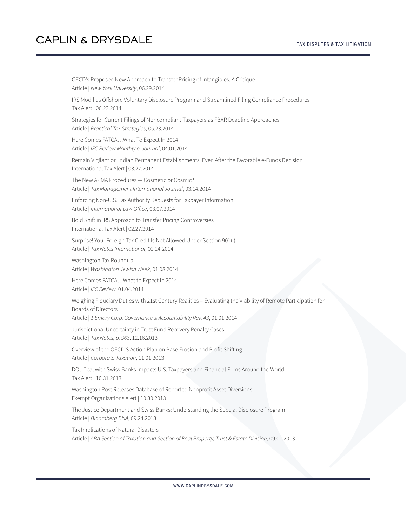OECD's Proposed New Approach to Transfer Pricing of Intangibles: A Critique Article | *New York University*, 06.29.2014 IRS Modifies Offshore Voluntary Disclosure Program and Streamlined Filing Compliance Procedures Tax Alert | 06.23.2014 Strategies for Current Filings of Noncompliant Taxpayers as FBAR Deadline Approaches Article | *Practical Tax Strategies*, 05.23.2014 Here Comes FATCA…What To Expect In 2014 Article | *IFC Review Monthly e-Journal*, 04.01.2014 Remain Vigilant on Indian Permanent Establishments, Even After the Favorable e-Funds Decision International Tax Alert | 03.27.2014 The New APMA Procedures — Cosmetic or Cosmic? Article | *Tax Management International Journal*, 03.14.2014 Enforcing Non-U.S. Tax Authority Requests for Taxpayer Information Article | *International Law Office*, 03.07.2014 Bold Shift in IRS Approach to Transfer Pricing Controversies International Tax Alert | 02.27.2014 Surprise! Your Foreign Tax Credit Is Not Allowed Under Section 901(I) Article | *Tax Notes International*, 01.14.2014 Washington Tax Roundup Article | *Washington Jewish Week*, 01.08.2014 Here Comes FATCA…What to Expect in 2014 Article | *IFC Review*, 01.04.2014 Weighing Fiduciary Duties with 21st Century Realities – Evaluating the Viability of Remote Participation for Boards of Directors Article | *1 Emory Corp. Governance & Accountability Rev. 43*, 01.01.2014 Jurisdictional Uncertainty in Trust Fund Recovery Penalty Cases Article | *Tax Notes, p. 963*, 12.16.2013 Overview of the OECD'S Action Plan on Base Erosion and Profit Shifting Article | *Corporate Taxation*, 11.01.2013 DOJ Deal with Swiss Banks Impacts U.S. Taxpayers and Financial Firms Around the World Tax Alert | 10.31.2013 Washington Post Releases Database of Reported Nonprofit Asset Diversions Exempt Organizations Alert | 10.30.2013 The Justice Department and Swiss Banks: Understanding the Special Disclosure Program Article | *Bloomberg BNA*, 09.24.2013 Tax Implications of Natural Disasters

Article | *ABA Section of Taxation and Section of Real Property, Trust & Estate Division*, 09.01.2013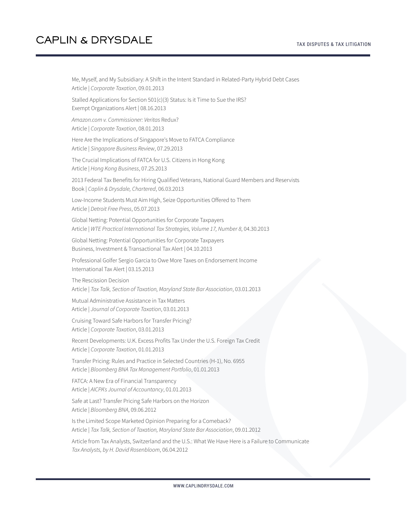#### TAX DISPUTES & TAX LITIGATION

### **CAPLIN & DRYSDALE**

Me, Myself, and My Subsidiary: A Shift in the Intent Standard in Related-Party Hybrid Debt Cases Article | *Corporate Taxation*, 09.01.2013 Stalled Applications for Section 501(c)(3) Status: Is it Time to Sue the IRS? Exempt Organizations Alert | 08.16.2013 *Amazon.com v. Commissioner: Veritas* Redux? Article | *Corporate Taxation*, 08.01.2013 Here Are the Implications of Singapore's Move to FATCA Compliance Article | *Singapore Business Review*, 07.29.2013 The Crucial Implications of FATCA for U.S. Citizens in Hong Kong Article | *Hong Kong Business*, 07.25.2013 2013 Federal Tax Benefits for Hiring Qualified Veterans, National Guard Members and Reservists Book | *Caplin & Drysdale, Chartered*, 06.03.2013 Low-Income Students Must Aim High, Seize Opportunities Offered to Them Article | *Detroit Free Press*, 05.07.2013 Global Netting: Potential Opportunities for Corporate Taxpayers Article | *WTE Practical International Tax Strategies, Volume 17, Number 8*, 04.30.2013 Global Netting: Potential Opportunities for Corporate Taxpayers Business, Investment & Transactional Tax Alert | 04.10.2013 Professional Golfer Sergio Garcia to Owe More Taxes on Endorsement Income International Tax Alert | 03.15.2013 The Rescission Decision Article | *Tax Talk, Section of Taxation, Maryland State Bar Association*, 03.01.2013 Mutual Administrative Assistance in Tax Matters Article | *Journal of Corporate Taxation*, 03.01.2013 Cruising Toward Safe Harbors for Transfer Pricing? Article | *Corporate Taxation*, 03.01.2013 Recent Developments: U.K. Excess Profits Tax Under the U.S. Foreign Tax Credit Article | *Corporate Taxation*, 01.01.2013 Transfer Pricing: Rules and Practice in Selected Countries (H-1), No. 6955 Article | *Bloomberg BNA Tax Management Portfolio*, 01.01.2013 FATCA: A New Era of Financial Transparency Article | *AICPA's Journal of Accountancy*, 01.01.2013 Safe at Last? Transfer Pricing Safe Harbors on the Horizon Article | *Bloomberg BNA*, 09.06.2012 Is the Limited Scope Marketed Opinion Preparing for a Comeback? Article | *Tax Talk, Section of Taxation, Maryland State Bar Association*, 09.01.2012 Article from Tax Analysts, Switzerland and the U.S.: What We Have Here is a Failure to Communicate *Tax Analysts, by H. David Rosenbloom*, 06.04.2012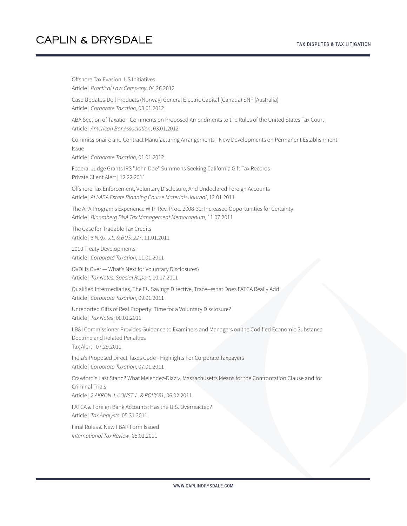### TAX DISPUTES & TAX LITIGATION

## **CAPLIN & DRYSDALE**

Offshore Tax Evasion: US Initiatives Article | *Practical Law Company*, 04.26.2012 Case Updates-Dell Products (Norway) General Electric Capital (Canada) SNF (Australia) Article | *Corporate Taxation*, 03.01.2012 ABA Section of Taxation Comments on Proposed Amendments to the Rules of the United States Tax Court Article | *American Bar Association*, 03.01.2012 Commissionaire and Contract Manufacturing Arrangements - New Developments on Permanent Establishment Issue Article | *Corporate Taxation*, 01.01.2012 Federal Judge Grants IRS "John Doe" Summons Seeking California Gift Tax Records Private Client Alert | 12.22.2011 Offshore Tax Enforcement, Voluntary Disclosure, And Undeclared Foreign Accounts Article | *ALI-ABA Estate Planning Course Materials Journal*, 12.01.2011 The APA Program's Experience With Rev. Proc. 2008-31: Increased Opportunities for Certainty Article | *Bloomberg BNA Tax Management Memorandum*, 11.07.2011 The Case for Tradable Tax Credits Article | *8 N.Y.U. J.L. & BUS. 227*, 11.01.2011 2010 Treaty Developments Article | *Corporate Taxation*, 11.01.2011 OVDI Is Over — What's Next for Voluntary Disclosures? Article | *Tax Notes, Special Report*, 10.17.2011 Qualified Intermediaries, The EU Savings Directive, Trace--What Does FATCA Really Add Article | *Corporate Taxation*, 09.01.2011 Unreported Gifts of Real Property: Time for a Voluntary Disclosure? Article | *Tax Notes*, 08.01.2011 LB&I Commissioner Provides Guidance to Examiners and Managers on the Codified Economic Substance Doctrine and Related Penalties Tax Alert | 07.29.2011 India's Proposed Direct Taxes Code - Highlights For Corporate Taxpayers Article | *Corporate Taxation*, 07.01.2011 Crawford's Last Stand? What Melendez-Diaz v. Massachusetts Means for the Confrontation Clause and for Criminal Trials Article | *2 AKRON J. CONST. L. & POL'Y 81*, 06.02.2011 FATCA & Foreign Bank Accounts: Has the U.S. Overreacted? Article | *Tax Analysts*, 05.31.2011 Final Rules & New FBAR Form Issued *International Tax Review*, 05.01.2011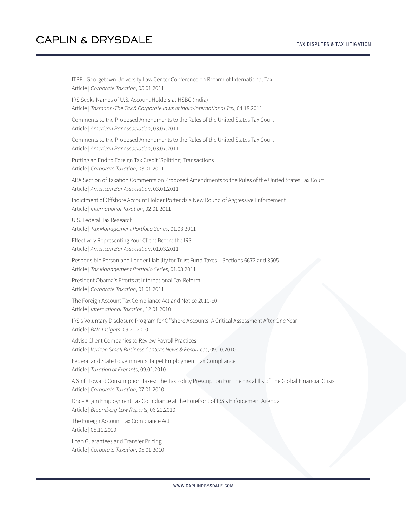ITPF - Georgetown University Law Center Conference on Reform of International Tax Article | *Corporate Taxation*, 05.01.2011 IRS Seeks Names of U.S. Account Holders at HSBC (India) Article | *Taxmann-The Tax & Corporate laws of India-International Tax*, 04.18.2011 Comments to the Proposed Amendments to the Rules of the United States Tax Court Article | *American Bar Association*, 03.07.2011 Comments to the Proposed Amendments to the Rules of the United States Tax Court Article | *American Bar Association*, 03.07.2011 Putting an End to Foreign Tax Credit 'Splitting' Transactions Article | *Corporate Taxation*, 03.01.2011 ABA Section of Taxation Comments on Proposed Amendments to the Rules of the United States Tax Court Article | *American Bar Association*, 03.01.2011 Indictment of Offshore Account Holder Portends a New Round of Aggressive Enforcement Article | *International Taxation*, 02.01.2011 U.S. Federal Tax Research Article | *Tax Management Portfolio Series*, 01.03.2011 Effectively Representing Your Client Before the IRS Article | *American Bar Association*, 01.03.2011 Responsible Person and Lender Liability for Trust Fund Taxes – Sections 6672 and 3505 Article | *Tax Management Portfolio Series*, 01.03.2011 President Obama's Efforts at International Tax Reform Article | *Corporate Taxation*, 01.01.2011 The Foreign Account Tax Compliance Act and Notice 2010-60 Article | *International Taxation*, 12.01.2010 IRS's Voluntary Disclosure Program for Offshore Accounts: A Critical Assessment After One Year Article | *BNA Insights*, 09.21.2010 Advise Client Companies to Review Payroll Practices Article | *Verizon Small Business Center's News & Resources*, 09.10.2010 Federal and State Governments Target Employment Tax Compliance Article | *Taxation of Exempts*, 09.01.2010 A Shift Toward Consumption Taxes: The Tax Policy Prescription For The Fiscal Ills of The Global Financial Crisis Article | *Corporate Taxation*, 07.01.2010 Once Again Employment Tax Compliance at the Forefront of IRS's Enforcement Agenda Article | *Bloomberg Law Reports*, 06.21.2010 The Foreign Account Tax Compliance Act Article | 05.11.2010 Loan Guarantees and Transfer Pricing Article | *Corporate Taxation*, 05.01.2010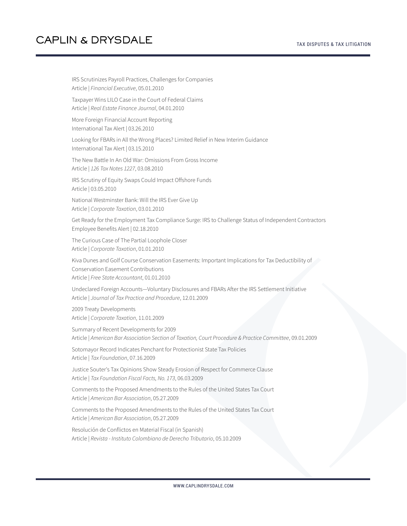IRS Scrutinizes Payroll Practices, Challenges for Companies Article | *Financial Executive*, 05.01.2010 Taxpayer Wins LILO Case in the Court of Federal Claims Article | *Real Estate Finance Journal*, 04.01.2010 More Foreign Financial Account Reporting International Tax Alert | 03.26.2010 Looking for FBARs in All the Wrong Places? Limited Relief in New Interim Guidance International Tax Alert | 03.15.2010 The New Battle In An Old War: Omissions From Gross Income Article | *126 Tax Notes 1227*, 03.08.2010 IRS Scrutiny of Equity Swaps Could Impact Offshore Funds Article | 03.05.2010 National Westminster Bank: Will the IRS Ever Give Up Article | *Corporate Taxation*, 03.01.2010 Get Ready for the Employment Tax Compliance Surge: IRS to Challenge Status of Independent Contractors Employee Benefits Alert | 02.18.2010 The Curious Case of The Partial Loophole Closer Article | *Corporate Taxation*, 01.01.2010 Kiva Dunes and Golf Course Conservation Easements: Important Implications for Tax Deductibility of Conservation Easement Contributions Article | *Free State Accountant*, 01.01.2010 Undeclared Foreign Accounts—Voluntary Disclosures and FBARs After the IRS Settlement Initiative Article | *Journal of Tax Practice and Procedure*, 12.01.2009 2009 Treaty Developments Article | *Corporate Taxation*, 11.01.2009 Summary of Recent Developments for 2009 Article | *American Bar Association Section of Taxation, Court Procedure & Practice Committee*, 09.01.2009 Sotomayor Record Indicates Penchant for Protectionist State Tax Policies Article | *Tax Foundation*, 07.16.2009 Justice Souter's Tax Opinions Show Steady Erosion of Respect for Commerce Clause Article | *Tax Foundation Fiscal Facts, No. 173*, 06.03.2009 Comments to the Proposed Amendments to the Rules of the United States Tax Court Article | *American Bar Association*, 05.27.2009 Comments to the Proposed Amendments to the Rules of the United States Tax Court Article | *American Bar Association*, 05.27.2009 Resolución de Conflictos en Material Fiscal (in Spanish) Article | *Revista - Instituto Colombiano de Derecho Tributario*, 05.10.2009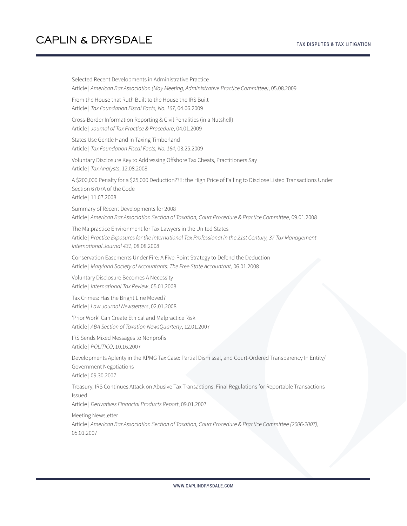Selected Recent Developments in Administrative Practice Article | *American Bar Association (May Meeting, Administrative Practice Committee)*, 05.08.2009 From the House that Ruth Built to the House the IRS Built Article | *Tax Foundation Fiscal Facts, No. 167*, 04.06.2009 Cross-Border Information Reporting & Civil Penalities (in a Nutshell) Article | *Journal of Tax Practice & Procedure*, 04.01.2009 States Use Gentle Hand in Taxing Timberland Article | *Tax Foundation Fiscal Facts, No. 164*, 03.25.2009 Voluntary Disclosure Key to Addressing Offshore Tax Cheats, Practitioners Say Article | *Tax Analysts*, 12.08.2008 A \$200,000 Penalty for a \$25,000 Deduction??!!: the High Price of Failing to Disclose Listed Transactions Under Section 6707A of the Code Article | 11.07.2008 Summary of Recent Developments for 2008 Article | *American Bar Association Section of Taxation, Court Procedure & Practice Committee*, 09.01.2008 The Malpractice Environment for Tax Lawyers in the United States Article | *Practice Exposures for the International Tax Professional in the 21st Century, 37 Tax Management International Journal 431*, 08.08.2008 Conservation Easements Under Fire: A Five-Point Strategy to Defend the Deduction Article | *Maryland Society of Accountants: The Free State Accountant*, 06.01.2008 Voluntary Disclosure Becomes A Necessity Article | *International Tax Review*, 05.01.2008 Tax Crimes: Has the Bright Line Moved? Article | *Law Journal Newsletters*, 02.01.2008 'Prior Work' Can Create Ethical and Malpractice Risk Article | *ABA Section of Taxation NewsQuarterly*, 12.01.2007 IRS Sends Mixed Messages to Nonprofis Article | *POLITICO*, 10.16.2007 Developments Aplenty in the KPMG Tax Case: Partial Dismissal, and Court-Ordered Transparency In Entity/ Government Negotiations Article | 09.30.2007 Treasury, IRS Continues Attack on Abusive Tax Transactions: Final Regulations for Reportable Transactions Issued Article | *Derivatives Financial Products Report*, 09.01.2007 Meeting Newsletter Article | *American Bar Association Section of Taxation, Court Procedure & Practice Committee (2006-2007)*, 05.01.2007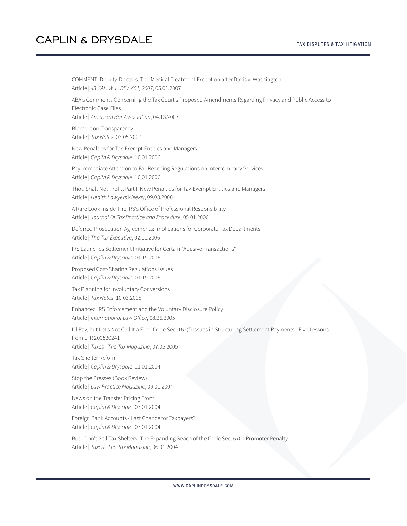COMMENT: Deputy-Doctors: The Medical Treatment Exception after Davis v. Washington Article | *43 CAL. W. L. REV. 451, 2007*, 05.01.2007 ABA's Comments Concerning the Tax Court's Proposed Amendments Regarding Privacy and Public Access to Electronic Case Files Article | *American Bar Association*, 04.13.2007 Blame It on Transparency Article | *Tax Notes*, 03.05.2007 New Penalties for Tax-Exempt Entities and Managers Article | *Caplin & Drysdale*, 10.01.2006 Pay Immediate Attention to Far-Reaching Regulations on Intercompany Services Article | *Caplin & Drysdale*, 10.01.2006 Thou Shalt Not Profit, Part I: New Penalties for Tax-Exempt Entities and Managers Article | *Health Lawyers Weekly*, 09.08.2006 A Rare Look Inside The IRS's Office of Professional Responsibility Article | *Journal Of Tax Practice and Procedure*, 05.01.2006 Deferred Prosecution Agreements: Implications for Corporate Tax Departments Article | *The Tax Executive*, 02.01.2006 IRS Launches Settlement Initiative for Certain "Abusive Transactions" Article | *Caplin & Drysdale*, 01.15.2006 Proposed Cost-Sharing Regulations Issues Article | *Caplin & Drysdale*, 01.15.2006 Tax Planning for Involuntary Conversions Article | *Tax Notes*, 10.03.2005 Enhanced IRS Enforcement and the Voluntary Disclosure Policy Article | *International Law Office*, 08.26.2005 I'll Pay, but Let's Not Call It a Fine: Code Sec. 162(f) Issues in Structuring Settlement Payments - Five Lessons from LTR 200520241 Article | *Taxes - The Tax Magazine*, 07.05.2005 Tax Shelter Reform Article | *Caplin & Drysdale*, 11.01.2004 Stop the Presses (Book Review) Article | *Law Practice Magazine*, 09.01.2004 News on the Transfer Pricing Front Article | *Caplin & Drysdale*, 07.01.2004 Foreign Bank Accounts - Last Chance for Taxpayers? Article | *Caplin & Drysdale*, 07.01.2004 But I Don't Sell Tax Shelters! The Expanding Reach of the Code Sec. 6700 Promoter Penalty Article | *Taxes - The Tax Magazine*, 06.01.2004